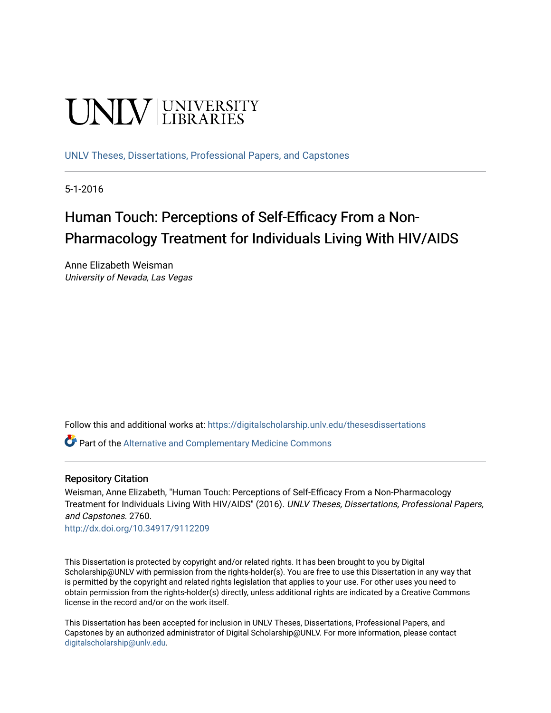# **UNIVERSITY**

[UNLV Theses, Dissertations, Professional Papers, and Capstones](https://digitalscholarship.unlv.edu/thesesdissertations)

5-1-2016

# Human Touch: Perceptions of Self-Efficacy From a Non-Pharmacology Treatment for Individuals Living With HIV/AIDS

Anne Elizabeth Weisman University of Nevada, Las Vegas

Follow this and additional works at: [https://digitalscholarship.unlv.edu/thesesdissertations](https://digitalscholarship.unlv.edu/thesesdissertations?utm_source=digitalscholarship.unlv.edu%2Fthesesdissertations%2F2760&utm_medium=PDF&utm_campaign=PDFCoverPages)

Part of the [Alternative and Complementary Medicine Commons](http://network.bepress.com/hgg/discipline/649?utm_source=digitalscholarship.unlv.edu%2Fthesesdissertations%2F2760&utm_medium=PDF&utm_campaign=PDFCoverPages) 

#### Repository Citation

Weisman, Anne Elizabeth, "Human Touch: Perceptions of Self-Efficacy From a Non-Pharmacology Treatment for Individuals Living With HIV/AIDS" (2016). UNLV Theses, Dissertations, Professional Papers, and Capstones. 2760.

<http://dx.doi.org/10.34917/9112209>

This Dissertation is protected by copyright and/or related rights. It has been brought to you by Digital Scholarship@UNLV with permission from the rights-holder(s). You are free to use this Dissertation in any way that is permitted by the copyright and related rights legislation that applies to your use. For other uses you need to obtain permission from the rights-holder(s) directly, unless additional rights are indicated by a Creative Commons license in the record and/or on the work itself.

This Dissertation has been accepted for inclusion in UNLV Theses, Dissertations, Professional Papers, and Capstones by an authorized administrator of Digital Scholarship@UNLV. For more information, please contact [digitalscholarship@unlv.edu](mailto:digitalscholarship@unlv.edu).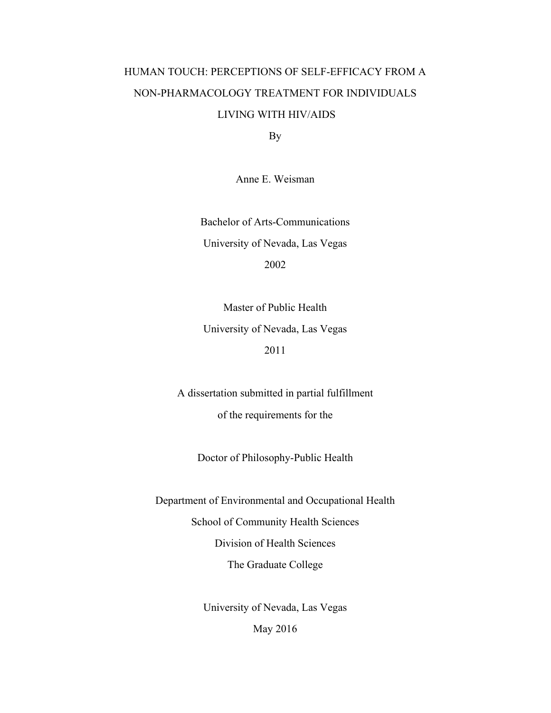## HUMAN TOUCH: PERCEPTIONS OF SELF-EFFICACY FROM A NON-PHARMACOLOGY TREATMENT FOR INDIVIDUALS LIVING WITH HIV/AIDS

By

Anne E. Weisman

Bachelor of Arts-Communications University of Nevada, Las Vegas 2002

Master of Public Health University of Nevada, Las Vegas 2011

A dissertation submitted in partial fulfillment of the requirements for the

Doctor of Philosophy-Public Health

Department of Environmental and Occupational Health School of Community Health Sciences Division of Health Sciences The Graduate College

> University of Nevada, Las Vegas May 2016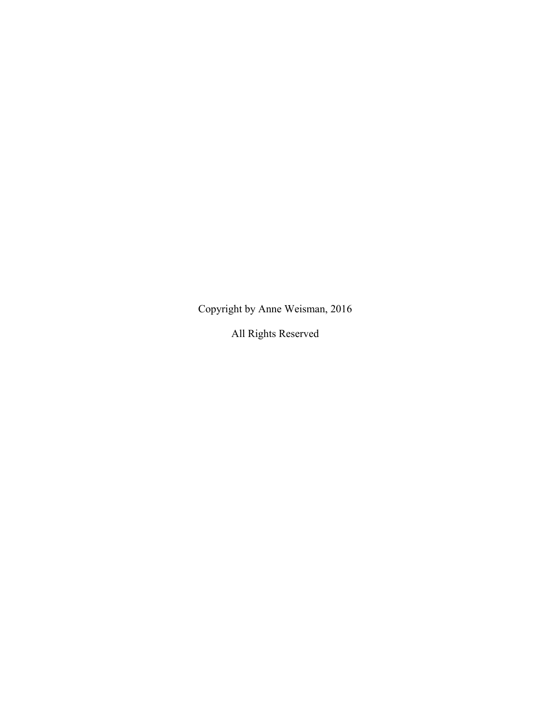Copyright by Anne Weisman, 2016

All Rights Reserved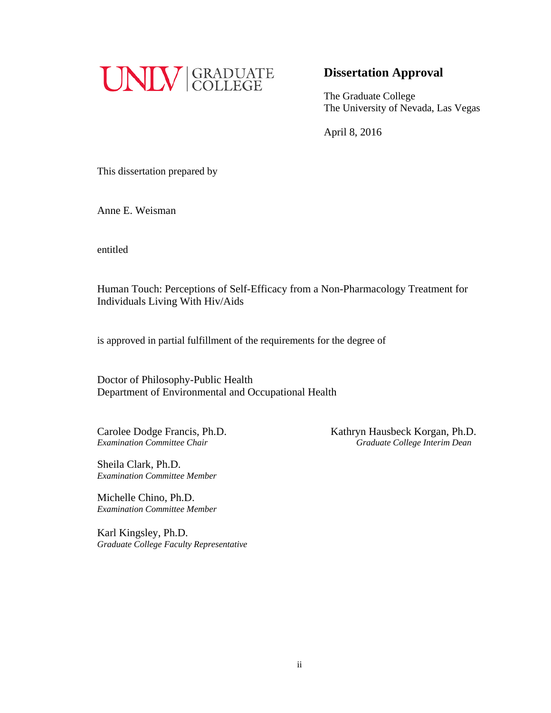

### **Dissertation Approval**

The Graduate College The University of Nevada, Las Vegas

April 8, 2016

This dissertation prepared by

Anne E. Weisman

entitled

Human Touch: Perceptions of Self-Efficacy from a Non-Pharmacology Treatment for Individuals Living With Hiv/Aids

is approved in partial fulfillment of the requirements for the degree of

Doctor of Philosophy-Public Health Department of Environmental and Occupational Health

Sheila Clark, Ph.D. *Examination Committee Member*

Michelle Chino, Ph.D. *Examination Committee Member*

Karl Kingsley, Ph.D. *Graduate College Faculty Representative*

Carolee Dodge Francis, Ph.D.<br> *Examination Committee Chair*<br> *Craduate College Interim Dean Examination Committee Chair Graduate College Interim Dean*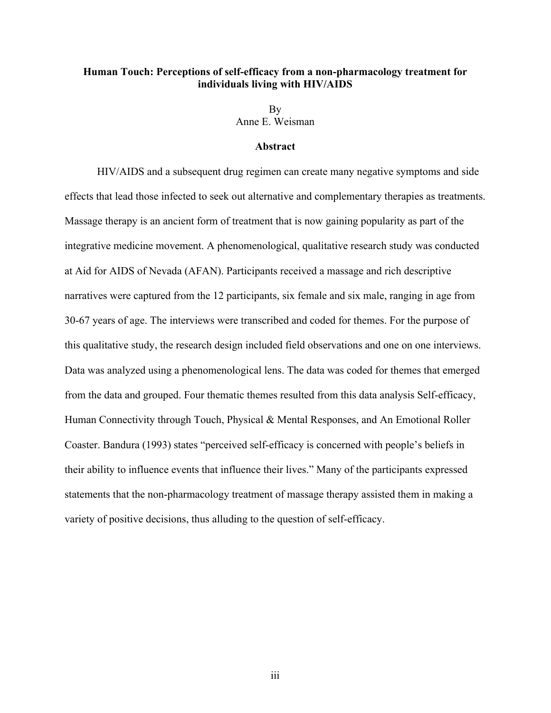#### **Human Touch: Perceptions of self-efficacy from a non-pharmacology treatment for individuals living with HIV/AIDS**

**B**<sub>V</sub> Anne E. Weisman

#### **Abstract**

HIV/AIDS and a subsequent drug regimen can create many negative symptoms and side effects that lead those infected to seek out alternative and complementary therapies as treatments. Massage therapy is an ancient form of treatment that is now gaining popularity as part of the integrative medicine movement. A phenomenological, qualitative research study was conducted at Aid for AIDS of Nevada (AFAN). Participants received a massage and rich descriptive narratives were captured from the 12 participants, six female and six male, ranging in age from 30-67 years of age. The interviews were transcribed and coded for themes. For the purpose of this qualitative study, the research design included field observations and one on one interviews. Data was analyzed using a phenomenological lens. The data was coded for themes that emerged from the data and grouped. Four thematic themes resulted from this data analysis Self-efficacy, Human Connectivity through Touch, Physical & Mental Responses, and An Emotional Roller Coaster. Bandura (1993) states "perceived self-efficacy is concerned with people's beliefs in their ability to influence events that influence their lives." Many of the participants expressed statements that the non-pharmacology treatment of massage therapy assisted them in making a variety of positive decisions, thus alluding to the question of self-efficacy.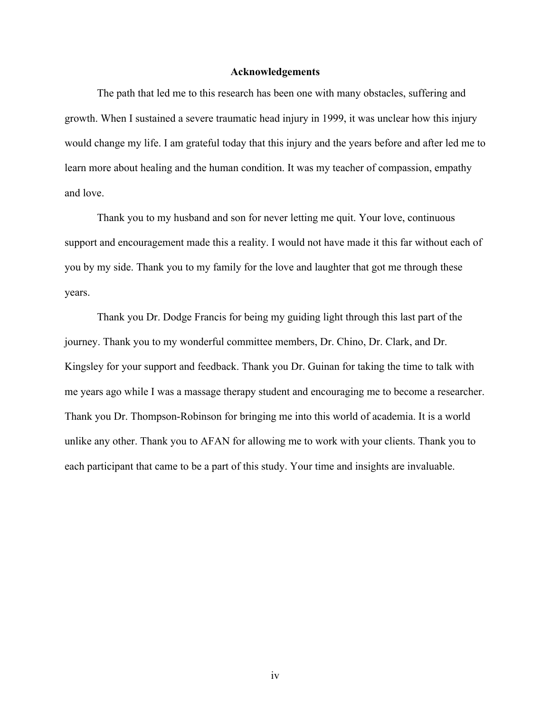#### **Acknowledgements**

The path that led me to this research has been one with many obstacles, suffering and growth. When I sustained a severe traumatic head injury in 1999, it was unclear how this injury would change my life. I am grateful today that this injury and the years before and after led me to learn more about healing and the human condition. It was my teacher of compassion, empathy and love.

Thank you to my husband and son for never letting me quit. Your love, continuous support and encouragement made this a reality. I would not have made it this far without each of you by my side. Thank you to my family for the love and laughter that got me through these years.

Thank you Dr. Dodge Francis for being my guiding light through this last part of the journey. Thank you to my wonderful committee members, Dr. Chino, Dr. Clark, and Dr. Kingsley for your support and feedback. Thank you Dr. Guinan for taking the time to talk with me years ago while I was a massage therapy student and encouraging me to become a researcher. Thank you Dr. Thompson-Robinson for bringing me into this world of academia. It is a world unlike any other. Thank you to AFAN for allowing me to work with your clients. Thank you to each participant that came to be a part of this study. Your time and insights are invaluable.

iv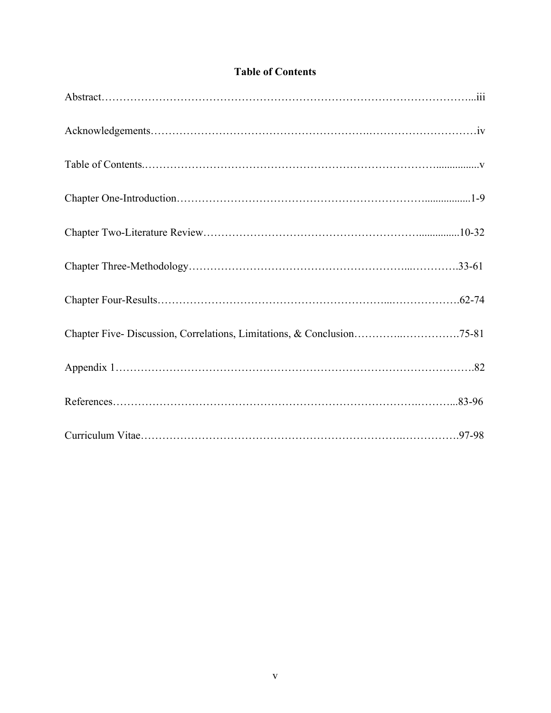| Chapter Five-Discussion, Correlations, Limitations, & Conclusion75-81 |  |
|-----------------------------------------------------------------------|--|
|                                                                       |  |
|                                                                       |  |
|                                                                       |  |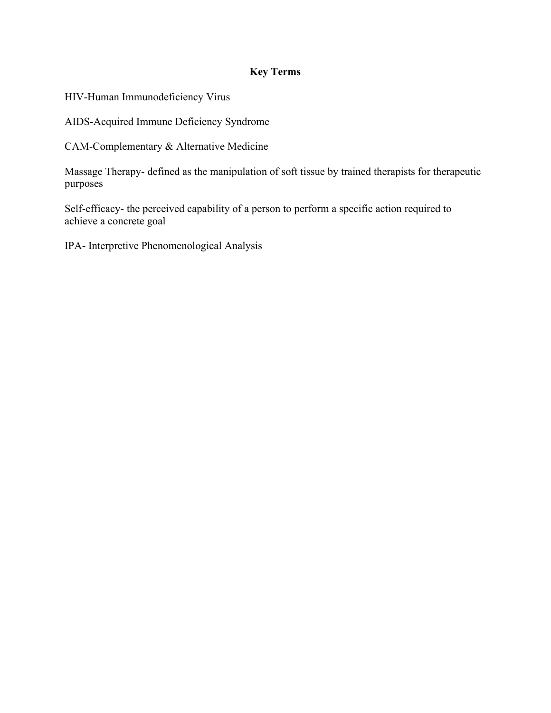## **Key Terms**

HIV-Human Immunodeficiency Virus

AIDS-Acquired Immune Deficiency Syndrome

CAM-Complementary & Alternative Medicine

Massage Therapy- defined as the manipulation of soft tissue by trained therapists for therapeutic purposes

Self-efficacy- the perceived capability of a person to perform a specific action required to achieve a concrete goal

IPA- Interpretive Phenomenological Analysis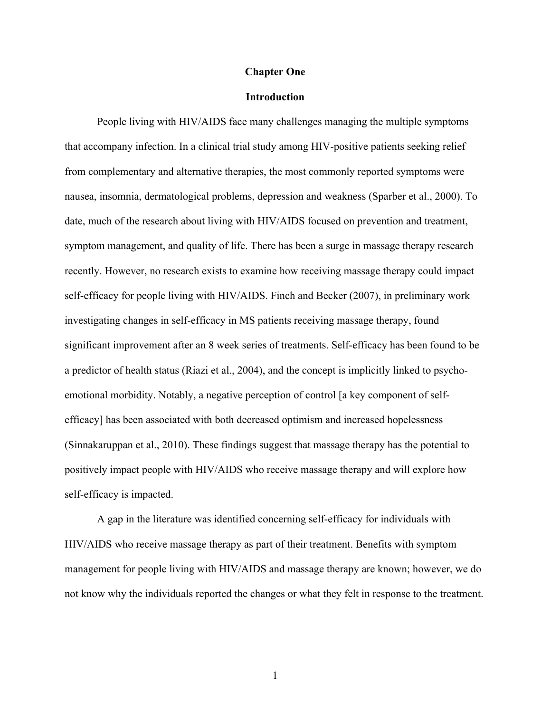#### **Chapter One**

#### **Introduction**

People living with HIV/AIDS face many challenges managing the multiple symptoms that accompany infection. In a clinical trial study among HIV-positive patients seeking relief from complementary and alternative therapies, the most commonly reported symptoms were nausea, insomnia, dermatological problems, depression and weakness (Sparber et al., 2000). To date, much of the research about living with HIV/AIDS focused on prevention and treatment, symptom management, and quality of life. There has been a surge in massage therapy research recently. However, no research exists to examine how receiving massage therapy could impact self-efficacy for people living with HIV/AIDS. Finch and Becker (2007), in preliminary work investigating changes in self-efficacy in MS patients receiving massage therapy, found significant improvement after an 8 week series of treatments. Self-efficacy has been found to be a predictor of health status (Riazi et al., 2004), and the concept is implicitly linked to psychoemotional morbidity. Notably, a negative perception of control [a key component of selfefficacy] has been associated with both decreased optimism and increased hopelessness (Sinnakaruppan et al., 2010). These findings suggest that massage therapy has the potential to positively impact people with HIV/AIDS who receive massage therapy and will explore how self-efficacy is impacted.

A gap in the literature was identified concerning self-efficacy for individuals with HIV/AIDS who receive massage therapy as part of their treatment. Benefits with symptom management for people living with HIV/AIDS and massage therapy are known; however, we do not know why the individuals reported the changes or what they felt in response to the treatment.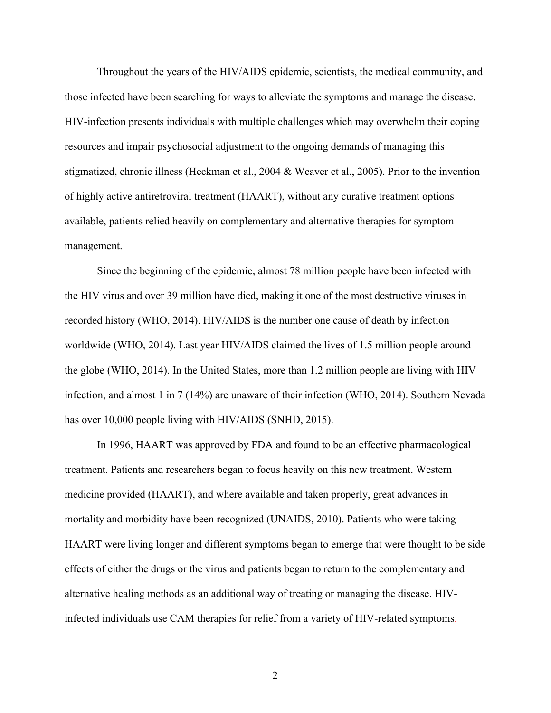Throughout the years of the HIV/AIDS epidemic, scientists, the medical community, and those infected have been searching for ways to alleviate the symptoms and manage the disease. HIV-infection presents individuals with multiple challenges which may overwhelm their coping resources and impair psychosocial adjustment to the ongoing demands of managing this stigmatized, chronic illness (Heckman et al., 2004 & Weaver et al., 2005). Prior to the invention of highly active antiretroviral treatment (HAART), without any curative treatment options available, patients relied heavily on complementary and alternative therapies for symptom management.

Since the beginning of the epidemic, almost 78 million people have been infected with the HIV virus and over 39 million have died, making it one of the most destructive viruses in recorded history (WHO, 2014). HIV/AIDS is the number one cause of death by infection worldwide (WHO, 2014). Last year HIV/AIDS claimed the lives of 1.5 million people around the globe (WHO, 2014). In the United States, more than 1.2 million people are living with HIV infection, and almost 1 in 7 (14%) are unaware of their infection (WHO, 2014). Southern Nevada has over 10,000 people living with HIV/AIDS (SNHD, 2015).

In 1996, HAART was approved by FDA and found to be an effective pharmacological treatment. Patients and researchers began to focus heavily on this new treatment. Western medicine provided (HAART), and where available and taken properly, great advances in mortality and morbidity have been recognized (UNAIDS, 2010). Patients who were taking HAART were living longer and different symptoms began to emerge that were thought to be side effects of either the drugs or the virus and patients began to return to the complementary and alternative healing methods as an additional way of treating or managing the disease. HIVinfected individuals use CAM therapies for relief from a variety of HIV-related symptoms.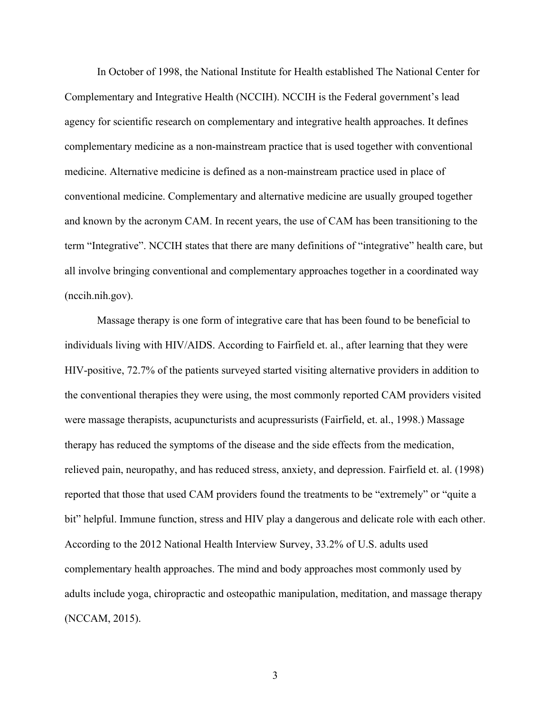In October of 1998, the National Institute for Health established The National Center for Complementary and Integrative Health (NCCIH). NCCIH is the Federal government's lead agency for scientific research on complementary and integrative health approaches. It defines complementary medicine as a non-mainstream practice that is used together with conventional medicine. Alternative medicine is defined as a non-mainstream practice used in place of conventional medicine. Complementary and alternative medicine are usually grouped together and known by the acronym CAM. In recent years, the use of CAM has been transitioning to the term "Integrative". NCCIH states that there are many definitions of "integrative" health care, but all involve bringing conventional and complementary approaches together in a coordinated way (nccih.nih.gov).

Massage therapy is one form of integrative care that has been found to be beneficial to individuals living with HIV/AIDS. According to Fairfield et. al., after learning that they were HIV-positive, 72.7% of the patients surveyed started visiting alternative providers in addition to the conventional therapies they were using, the most commonly reported CAM providers visited were massage therapists, acupuncturists and acupressurists (Fairfield, et. al., 1998.) Massage therapy has reduced the symptoms of the disease and the side effects from the medication, relieved pain, neuropathy, and has reduced stress, anxiety, and depression. Fairfield et. al. (1998) reported that those that used CAM providers found the treatments to be "extremely" or "quite a bit" helpful. Immune function, stress and HIV play a dangerous and delicate role with each other. According to the 2012 National Health Interview Survey, 33.2% of U.S. adults used complementary health approaches. The mind and body approaches most commonly used by adults include yoga, chiropractic and osteopathic manipulation, meditation, and massage therapy (NCCAM, 2015).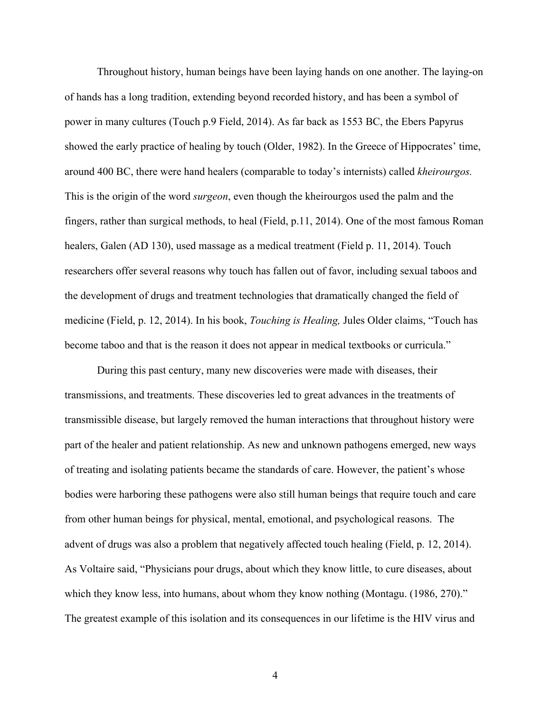Throughout history, human beings have been laying hands on one another. The laying-on of hands has a long tradition, extending beyond recorded history, and has been a symbol of power in many cultures (Touch p.9 Field, 2014). As far back as 1553 BC, the Ebers Papyrus showed the early practice of healing by touch (Older, 1982). In the Greece of Hippocrates' time, around 400 BC, there were hand healers (comparable to today's internists) called *kheirourgos.*  This is the origin of the word *surgeon*, even though the kheirourgos used the palm and the fingers, rather than surgical methods, to heal (Field, p.11, 2014). One of the most famous Roman healers, Galen (AD 130), used massage as a medical treatment (Field p. 11, 2014). Touch researchers offer several reasons why touch has fallen out of favor, including sexual taboos and the development of drugs and treatment technologies that dramatically changed the field of medicine (Field, p. 12, 2014). In his book, *Touching is Healing,* Jules Older claims, "Touch has become taboo and that is the reason it does not appear in medical textbooks or curricula."

During this past century, many new discoveries were made with diseases, their transmissions, and treatments. These discoveries led to great advances in the treatments of transmissible disease, but largely removed the human interactions that throughout history were part of the healer and patient relationship. As new and unknown pathogens emerged, new ways of treating and isolating patients became the standards of care. However, the patient's whose bodies were harboring these pathogens were also still human beings that require touch and care from other human beings for physical, mental, emotional, and psychological reasons. The advent of drugs was also a problem that negatively affected touch healing (Field, p. 12, 2014). As Voltaire said, "Physicians pour drugs, about which they know little, to cure diseases, about which they know less, into humans, about whom they know nothing (Montagu. (1986, 270)." The greatest example of this isolation and its consequences in our lifetime is the HIV virus and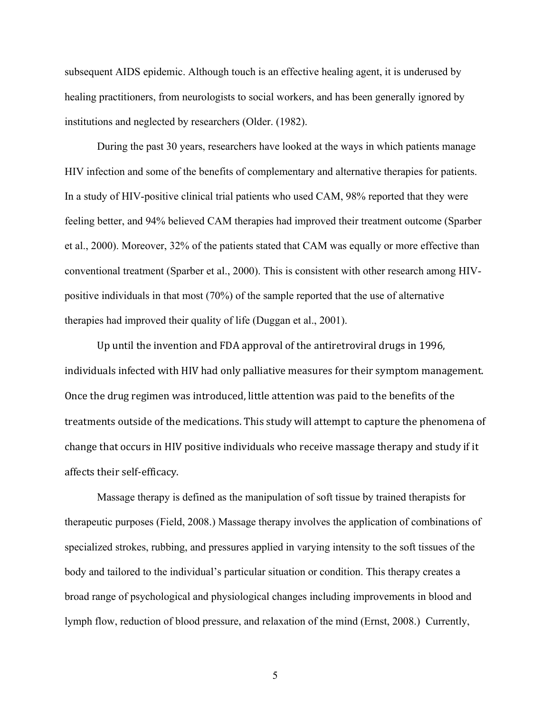subsequent AIDS epidemic. Although touch is an effective healing agent, it is underused by healing practitioners, from neurologists to social workers, and has been generally ignored by institutions and neglected by researchers (Older. (1982).

During the past 30 years, researchers have looked at the ways in which patients manage HIV infection and some of the benefits of complementary and alternative therapies for patients. In a study of HIV-positive clinical trial patients who used CAM, 98% reported that they were feeling better, and 94% believed CAM therapies had improved their treatment outcome (Sparber et al., 2000). Moreover, 32% of the patients stated that CAM was equally or more effective than conventional treatment (Sparber et al., 2000). This is consistent with other research among HIVpositive individuals in that most (70%) of the sample reported that the use of alternative therapies had improved their quality of life (Duggan et al., 2001).

Up until the invention and FDA approval of the antiretroviral drugs in 1996, individuals infected with HIV had only palliative measures for their symptom management. Once the drug regimen was introduced, little attention was paid to the benefits of the treatments outside of the medications. This study will attempt to capture the phenomena of change that occurs in HIV positive individuals who receive massage therapy and study if it affects their self-efficacy.

Massage therapy is defined as the manipulation of soft tissue by trained therapists for therapeutic purposes (Field, 2008.) Massage therapy involves the application of combinations of specialized strokes, rubbing, and pressures applied in varying intensity to the soft tissues of the body and tailored to the individual's particular situation or condition. This therapy creates a broad range of psychological and physiological changes including improvements in blood and lymph flow, reduction of blood pressure, and relaxation of the mind (Ernst, 2008.) Currently,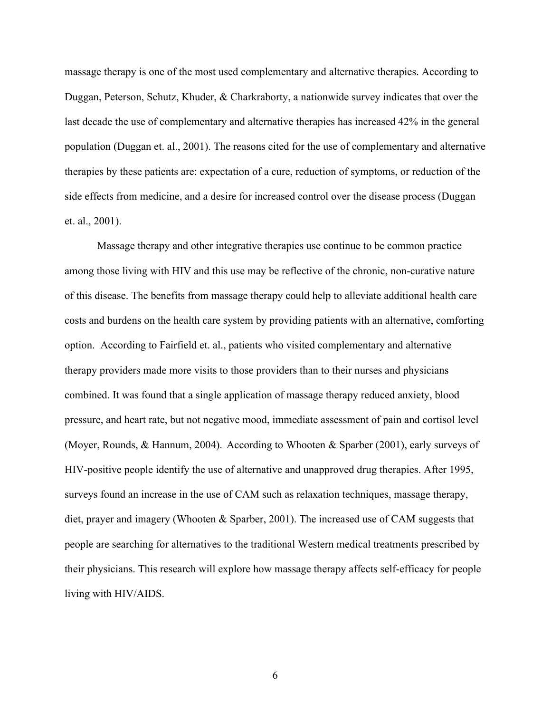massage therapy is one of the most used complementary and alternative therapies. According to Duggan, Peterson, Schutz, Khuder, & Charkraborty, a nationwide survey indicates that over the last decade the use of complementary and alternative therapies has increased 42% in the general population (Duggan et. al., 2001). The reasons cited for the use of complementary and alternative therapies by these patients are: expectation of a cure, reduction of symptoms, or reduction of the side effects from medicine, and a desire for increased control over the disease process (Duggan et. al., 2001).

Massage therapy and other integrative therapies use continue to be common practice among those living with HIV and this use may be reflective of the chronic, non-curative nature of this disease. The benefits from massage therapy could help to alleviate additional health care costs and burdens on the health care system by providing patients with an alternative, comforting option. According to Fairfield et. al., patients who visited complementary and alternative therapy providers made more visits to those providers than to their nurses and physicians combined. It was found that a single application of massage therapy reduced anxiety, blood pressure, and heart rate, but not negative mood, immediate assessment of pain and cortisol level (Moyer, Rounds, & Hannum, 2004). According to Whooten & Sparber (2001), early surveys of HIV-positive people identify the use of alternative and unapproved drug therapies. After 1995, surveys found an increase in the use of CAM such as relaxation techniques, massage therapy, diet, prayer and imagery (Whooten & Sparber, 2001). The increased use of CAM suggests that people are searching for alternatives to the traditional Western medical treatments prescribed by their physicians. This research will explore how massage therapy affects self-efficacy for people living with HIV/AIDS.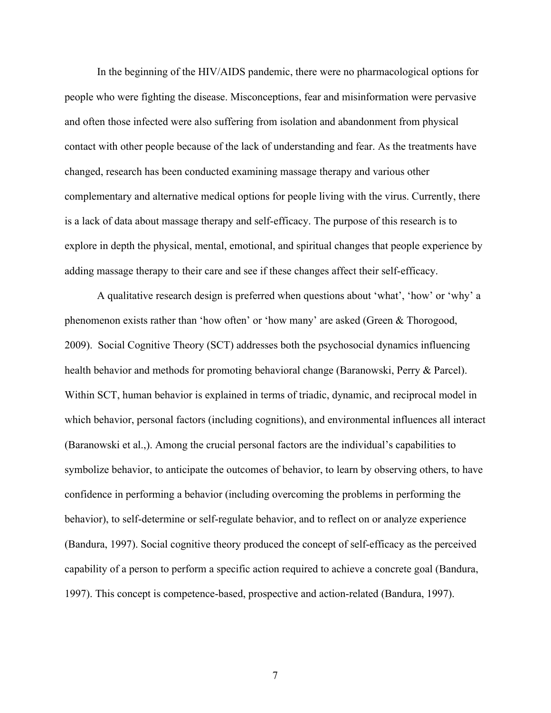In the beginning of the HIV/AIDS pandemic, there were no pharmacological options for people who were fighting the disease. Misconceptions, fear and misinformation were pervasive and often those infected were also suffering from isolation and abandonment from physical contact with other people because of the lack of understanding and fear. As the treatments have changed, research has been conducted examining massage therapy and various other complementary and alternative medical options for people living with the virus. Currently, there is a lack of data about massage therapy and self-efficacy. The purpose of this research is to explore in depth the physical, mental, emotional, and spiritual changes that people experience by adding massage therapy to their care and see if these changes affect their self-efficacy.

A qualitative research design is preferred when questions about 'what', 'how' or 'why' a phenomenon exists rather than 'how often' or 'how many' are asked (Green & Thorogood, 2009). Social Cognitive Theory (SCT) addresses both the psychosocial dynamics influencing health behavior and methods for promoting behavioral change (Baranowski, Perry & Parcel). Within SCT, human behavior is explained in terms of triadic, dynamic, and reciprocal model in which behavior, personal factors (including cognitions), and environmental influences all interact (Baranowski et al.,). Among the crucial personal factors are the individual's capabilities to symbolize behavior, to anticipate the outcomes of behavior, to learn by observing others, to have confidence in performing a behavior (including overcoming the problems in performing the behavior), to self-determine or self-regulate behavior, and to reflect on or analyze experience (Bandura, 1997). Social cognitive theory produced the concept of self-efficacy as the perceived capability of a person to perform a specific action required to achieve a concrete goal (Bandura, 1997). This concept is competence-based, prospective and action-related (Bandura, 1997).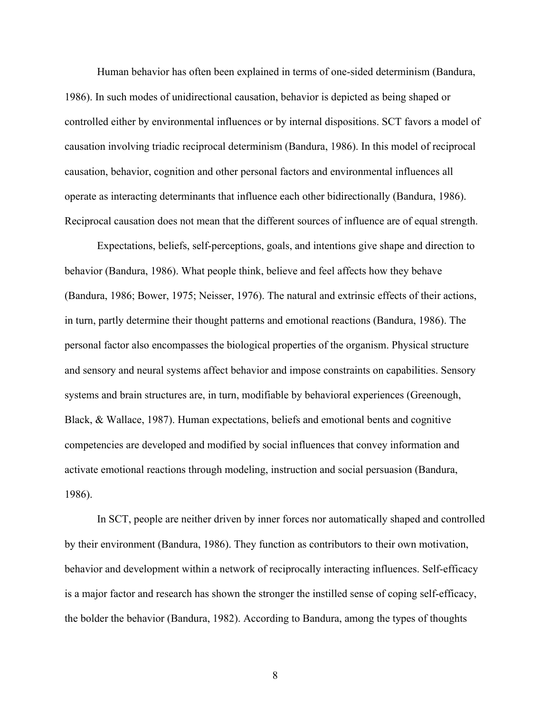Human behavior has often been explained in terms of one-sided determinism (Bandura, 1986). In such modes of unidirectional causation, behavior is depicted as being shaped or controlled either by environmental influences or by internal dispositions. SCT favors a model of causation involving triadic reciprocal determinism (Bandura, 1986). In this model of reciprocal causation, behavior, cognition and other personal factors and environmental influences all operate as interacting determinants that influence each other bidirectionally (Bandura, 1986). Reciprocal causation does not mean that the different sources of influence are of equal strength.

Expectations, beliefs, self-perceptions, goals, and intentions give shape and direction to behavior (Bandura, 1986). What people think, believe and feel affects how they behave (Bandura, 1986; Bower, 1975; Neisser, 1976). The natural and extrinsic effects of their actions, in turn, partly determine their thought patterns and emotional reactions (Bandura, 1986). The personal factor also encompasses the biological properties of the organism. Physical structure and sensory and neural systems affect behavior and impose constraints on capabilities. Sensory systems and brain structures are, in turn, modifiable by behavioral experiences (Greenough, Black, & Wallace, 1987). Human expectations, beliefs and emotional bents and cognitive competencies are developed and modified by social influences that convey information and activate emotional reactions through modeling, instruction and social persuasion (Bandura, 1986).

In SCT, people are neither driven by inner forces nor automatically shaped and controlled by their environment (Bandura, 1986). They function as contributors to their own motivation, behavior and development within a network of reciprocally interacting influences. Self-efficacy is a major factor and research has shown the stronger the instilled sense of coping self-efficacy, the bolder the behavior (Bandura, 1982). According to Bandura, among the types of thoughts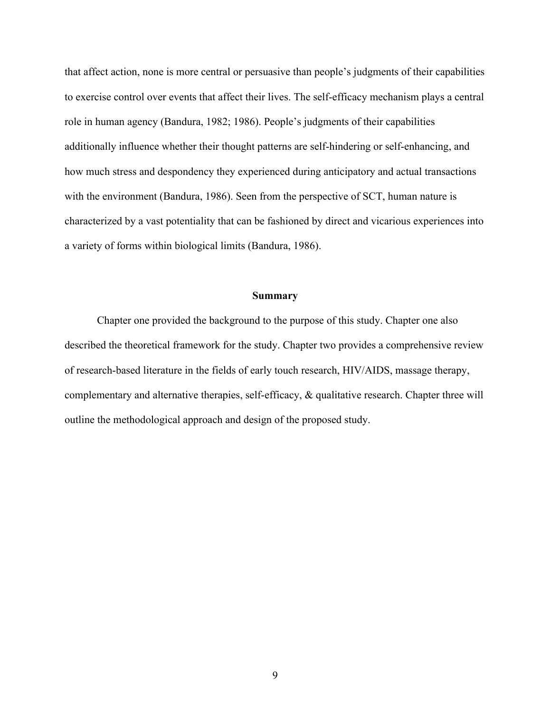that affect action, none is more central or persuasive than people's judgments of their capabilities to exercise control over events that affect their lives. The self-efficacy mechanism plays a central role in human agency (Bandura, 1982; 1986). People's judgments of their capabilities additionally influence whether their thought patterns are self-hindering or self-enhancing, and how much stress and despondency they experienced during anticipatory and actual transactions with the environment (Bandura, 1986). Seen from the perspective of SCT, human nature is characterized by a vast potentiality that can be fashioned by direct and vicarious experiences into a variety of forms within biological limits (Bandura, 1986).

#### **Summary**

Chapter one provided the background to the purpose of this study. Chapter one also described the theoretical framework for the study. Chapter two provides a comprehensive review of research-based literature in the fields of early touch research, HIV/AIDS, massage therapy, complementary and alternative therapies, self-efficacy, & qualitative research. Chapter three will outline the methodological approach and design of the proposed study.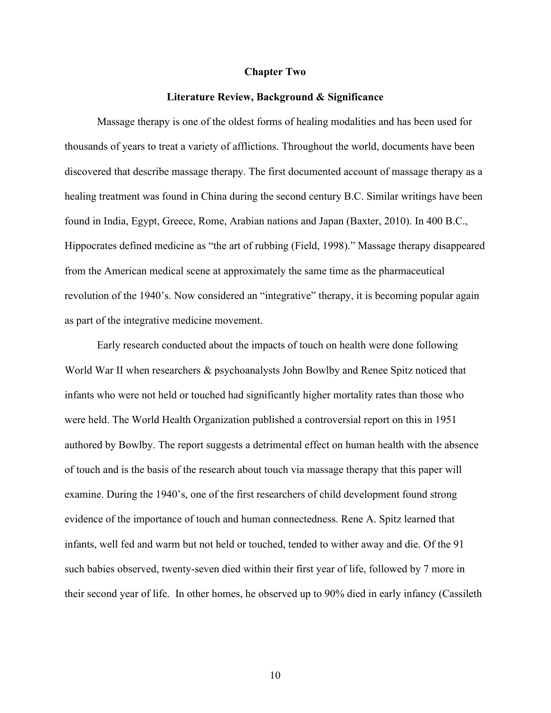#### **Chapter Two**

#### **Literature Review, Background & Significance**

Massage therapy is one of the oldest forms of healing modalities and has been used for thousands of years to treat a variety of afflictions. Throughout the world, documents have been discovered that describe massage therapy. The first documented account of massage therapy as a healing treatment was found in China during the second century B.C. Similar writings have been found in India, Egypt, Greece, Rome, Arabian nations and Japan (Baxter, 2010). In 400 B.C., Hippocrates defined medicine as "the art of rubbing (Field, 1998)." Massage therapy disappeared from the American medical scene at approximately the same time as the pharmaceutical revolution of the 1940's. Now considered an "integrative" therapy, it is becoming popular again as part of the integrative medicine movement.

Early research conducted about the impacts of touch on health were done following World War II when researchers & psychoanalysts John Bowlby and Renee Spitz noticed that infants who were not held or touched had significantly higher mortality rates than those who were held. The World Health Organization published a controversial report on this in 1951 authored by Bowlby. The report suggests a detrimental effect on human health with the absence of touch and is the basis of the research about touch via massage therapy that this paper will examine. During the 1940's, one of the first researchers of child development found strong evidence of the importance of touch and human connectedness. Rene A. Spitz learned that infants, well fed and warm but not held or touched, tended to wither away and die. Of the 91 such babies observed, twenty-seven died within their first year of life, followed by 7 more in their second year of life. In other homes, he observed up to 90% died in early infancy (Cassileth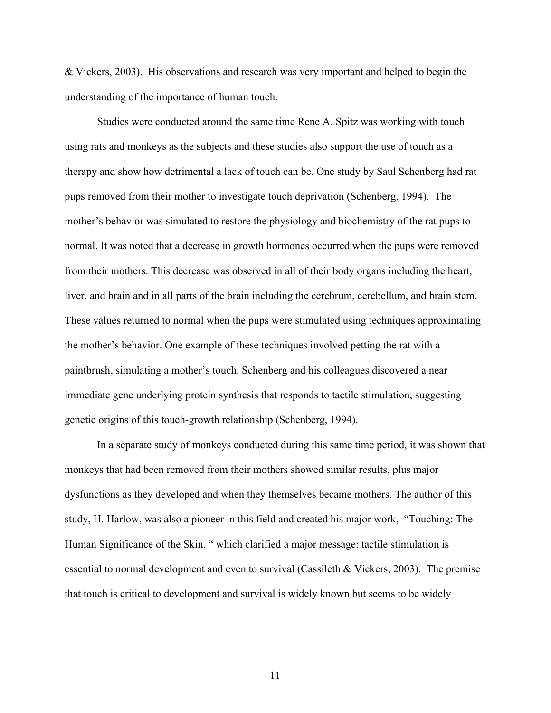& Vickers, 2003). His observations and research was very important and helped to begin the understanding of the importance of human touch.

Studies were conducted around the same time Rene A. Spitz was working with touch using rats and monkeys as the subjects and these studies also support the use of touch as a therapy and show how detrimental a lack of touch can be. One study by Saul Schenberg had rat pups removed from their mother to investigate touch deprivation (Schenberg, 1994). The mother's behavior was simulated to restore the physiology and biochemistry of the rat pups to normal. It was noted that a decrease in growth hormones occurred when the pups were removed from their mothers. This decrease was observed in all of their body organs including the heart, liver, and brain and in all parts of the brain including the cerebrum, cerebellum, and brain stem. These values returned to normal when the pups were stimulated using techniques approximating the mother's behavior. One example of these techniques involved petting the rat with a paintbrush, simulating a mother's touch. Schenberg and his colleagues discovered a near immediate gene underlying protein synthesis that responds to tactile stimulation, suggesting genetic origins of this touch-growth relationship (Schenberg, 1994).

In a separate study of monkeys conducted during this same time period, it was shown that monkeys that had been removed from their mothers showed similar results, plus major dysfunctions as they developed and when they themselves became mothers. The author of this study, H. Harlow, was also a pioneer in this field and created his major work, "Touching: The Human Significance of the Skin, " which clarified a major message: tactile stimulation is essential to normal development and even to survival (Cassileth & Vickers, 2003). The premise that touch is critical to development and survival is widely known but seems to be widely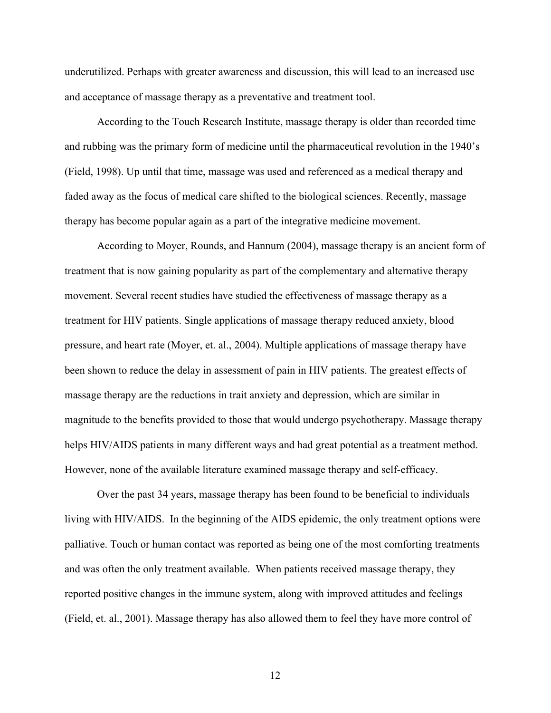underutilized. Perhaps with greater awareness and discussion, this will lead to an increased use and acceptance of massage therapy as a preventative and treatment tool.

According to the Touch Research Institute, massage therapy is older than recorded time and rubbing was the primary form of medicine until the pharmaceutical revolution in the 1940's (Field, 1998). Up until that time, massage was used and referenced as a medical therapy and faded away as the focus of medical care shifted to the biological sciences. Recently, massage therapy has become popular again as a part of the integrative medicine movement.

According to Moyer, Rounds, and Hannum (2004), massage therapy is an ancient form of treatment that is now gaining popularity as part of the complementary and alternative therapy movement. Several recent studies have studied the effectiveness of massage therapy as a treatment for HIV patients. Single applications of massage therapy reduced anxiety, blood pressure, and heart rate (Moyer, et. al., 2004). Multiple applications of massage therapy have been shown to reduce the delay in assessment of pain in HIV patients. The greatest effects of massage therapy are the reductions in trait anxiety and depression, which are similar in magnitude to the benefits provided to those that would undergo psychotherapy. Massage therapy helps HIV/AIDS patients in many different ways and had great potential as a treatment method. However, none of the available literature examined massage therapy and self-efficacy.

Over the past 34 years, massage therapy has been found to be beneficial to individuals living with HIV/AIDS. In the beginning of the AIDS epidemic, the only treatment options were palliative. Touch or human contact was reported as being one of the most comforting treatments and was often the only treatment available. When patients received massage therapy, they reported positive changes in the immune system, along with improved attitudes and feelings (Field, et. al., 2001). Massage therapy has also allowed them to feel they have more control of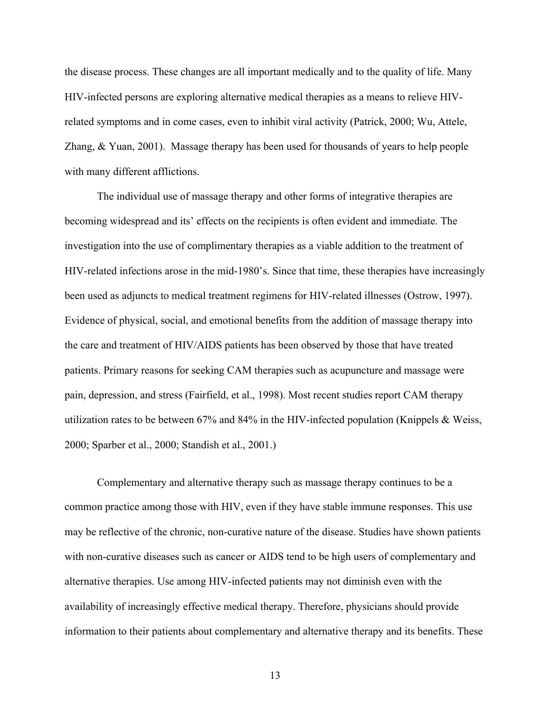the disease process. These changes are all important medically and to the quality of life. Many HIV-infected persons are exploring alternative medical therapies as a means to relieve HIVrelated symptoms and in come cases, even to inhibit viral activity (Patrick, 2000; Wu, Attele, Zhang, & Yuan, 2001). Massage therapy has been used for thousands of years to help people with many different afflictions.

The individual use of massage therapy and other forms of integrative therapies are becoming widespread and its' effects on the recipients is often evident and immediate. The investigation into the use of complimentary therapies as a viable addition to the treatment of HIV-related infections arose in the mid-1980's. Since that time, these therapies have increasingly been used as adjuncts to medical treatment regimens for HIV-related illnesses (Ostrow, 1997). Evidence of physical, social, and emotional benefits from the addition of massage therapy into the care and treatment of HIV/AIDS patients has been observed by those that have treated patients. Primary reasons for seeking CAM therapies such as acupuncture and massage were pain, depression, and stress (Fairfield, et al., 1998). Most recent studies report CAM therapy utilization rates to be between 67% and 84% in the HIV-infected population (Knippels & Weiss, 2000; Sparber et al., 2000; Standish et al., 2001.)

Complementary and alternative therapy such as massage therapy continues to be a common practice among those with HIV, even if they have stable immune responses. This use may be reflective of the chronic, non-curative nature of the disease. Studies have shown patients with non-curative diseases such as cancer or AIDS tend to be high users of complementary and alternative therapies. Use among HIV-infected patients may not diminish even with the availability of increasingly effective medical therapy. Therefore, physicians should provide information to their patients about complementary and alternative therapy and its benefits. These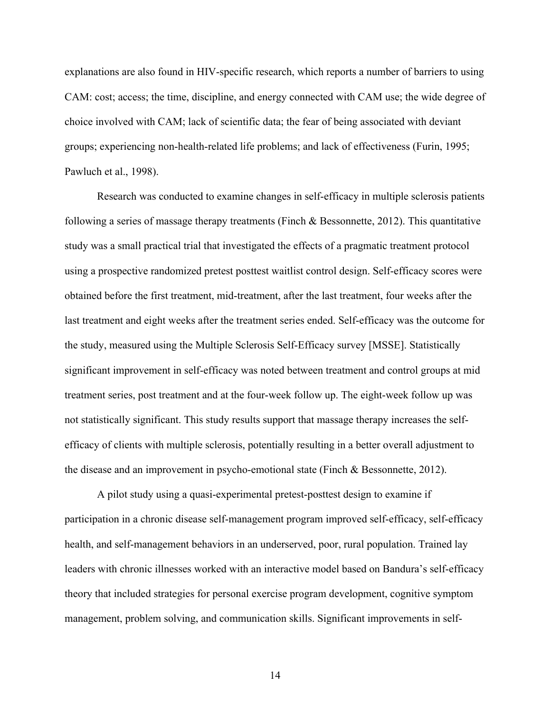explanations are also found in HIV-specific research, which reports a number of barriers to using CAM: cost; access; the time, discipline, and energy connected with CAM use; the wide degree of choice involved with CAM; lack of scientific data; the fear of being associated with deviant groups; experiencing non-health-related life problems; and lack of effectiveness (Furin, 1995; Pawluch et al., 1998).

Research was conducted to examine changes in self-efficacy in multiple sclerosis patients following a series of massage therapy treatments (Finch  $\&$  Bessonnette, 2012). This quantitative study was a small practical trial that investigated the effects of a pragmatic treatment protocol using a prospective randomized pretest posttest waitlist control design. Self-efficacy scores were obtained before the first treatment, mid-treatment, after the last treatment, four weeks after the last treatment and eight weeks after the treatment series ended. Self-efficacy was the outcome for the study, measured using the Multiple Sclerosis Self-Efficacy survey [MSSE]. Statistically significant improvement in self-efficacy was noted between treatment and control groups at mid treatment series, post treatment and at the four-week follow up. The eight-week follow up was not statistically significant. This study results support that massage therapy increases the selfefficacy of clients with multiple sclerosis, potentially resulting in a better overall adjustment to the disease and an improvement in psycho-emotional state (Finch & Bessonnette, 2012).

A pilot study using a quasi-experimental pretest-posttest design to examine if participation in a chronic disease self-management program improved self-efficacy, self-efficacy health, and self-management behaviors in an underserved, poor, rural population. Trained lay leaders with chronic illnesses worked with an interactive model based on Bandura's self-efficacy theory that included strategies for personal exercise program development, cognitive symptom management, problem solving, and communication skills. Significant improvements in self-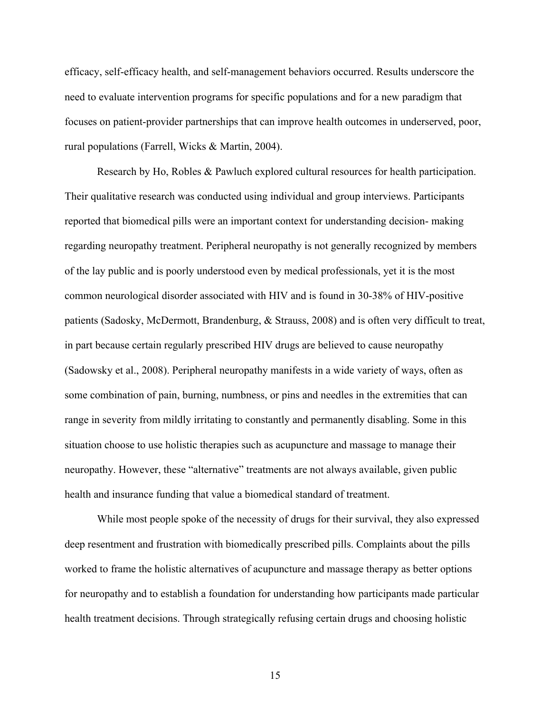efficacy, self-efficacy health, and self-management behaviors occurred. Results underscore the need to evaluate intervention programs for specific populations and for a new paradigm that focuses on patient-provider partnerships that can improve health outcomes in underserved, poor, rural populations (Farrell, Wicks & Martin, 2004).

Research by Ho, Robles & Pawluch explored cultural resources for health participation. Their qualitative research was conducted using individual and group interviews. Participants reported that biomedical pills were an important context for understanding decision- making regarding neuropathy treatment. Peripheral neuropathy is not generally recognized by members of the lay public and is poorly understood even by medical professionals, yet it is the most common neurological disorder associated with HIV and is found in 30-38% of HIV-positive patients (Sadosky, McDermott, Brandenburg, & Strauss, 2008) and is often very difficult to treat, in part because certain regularly prescribed HIV drugs are believed to cause neuropathy (Sadowsky et al., 2008). Peripheral neuropathy manifests in a wide variety of ways, often as some combination of pain, burning, numbness, or pins and needles in the extremities that can range in severity from mildly irritating to constantly and permanently disabling. Some in this situation choose to use holistic therapies such as acupuncture and massage to manage their neuropathy. However, these "alternative" treatments are not always available, given public health and insurance funding that value a biomedical standard of treatment.

While most people spoke of the necessity of drugs for their survival, they also expressed deep resentment and frustration with biomedically prescribed pills. Complaints about the pills worked to frame the holistic alternatives of acupuncture and massage therapy as better options for neuropathy and to establish a foundation for understanding how participants made particular health treatment decisions. Through strategically refusing certain drugs and choosing holistic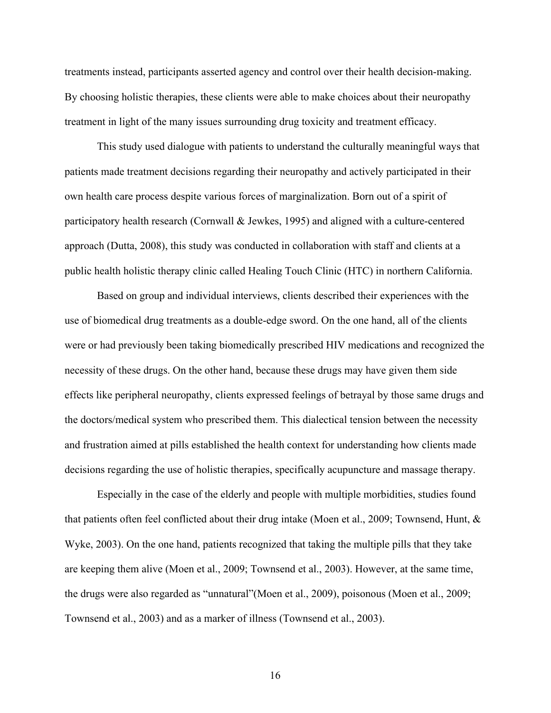treatments instead, participants asserted agency and control over their health decision-making. By choosing holistic therapies, these clients were able to make choices about their neuropathy treatment in light of the many issues surrounding drug toxicity and treatment efficacy.

This study used dialogue with patients to understand the culturally meaningful ways that patients made treatment decisions regarding their neuropathy and actively participated in their own health care process despite various forces of marginalization. Born out of a spirit of participatory health research (Cornwall & Jewkes, 1995) and aligned with a culture-centered approach (Dutta, 2008), this study was conducted in collaboration with staff and clients at a public health holistic therapy clinic called Healing Touch Clinic (HTC) in northern California.

Based on group and individual interviews, clients described their experiences with the use of biomedical drug treatments as a double-edge sword. On the one hand, all of the clients were or had previously been taking biomedically prescribed HIV medications and recognized the necessity of these drugs. On the other hand, because these drugs may have given them side effects like peripheral neuropathy, clients expressed feelings of betrayal by those same drugs and the doctors/medical system who prescribed them. This dialectical tension between the necessity and frustration aimed at pills established the health context for understanding how clients made decisions regarding the use of holistic therapies, specifically acupuncture and massage therapy.

Especially in the case of the elderly and people with multiple morbidities, studies found that patients often feel conflicted about their drug intake (Moen et al., 2009; Townsend, Hunt, & Wyke, 2003). On the one hand, patients recognized that taking the multiple pills that they take are keeping them alive (Moen et al., 2009; Townsend et al., 2003). However, at the same time, the drugs were also regarded as "unnatural"(Moen et al., 2009), poisonous (Moen et al., 2009; Townsend et al., 2003) and as a marker of illness (Townsend et al., 2003).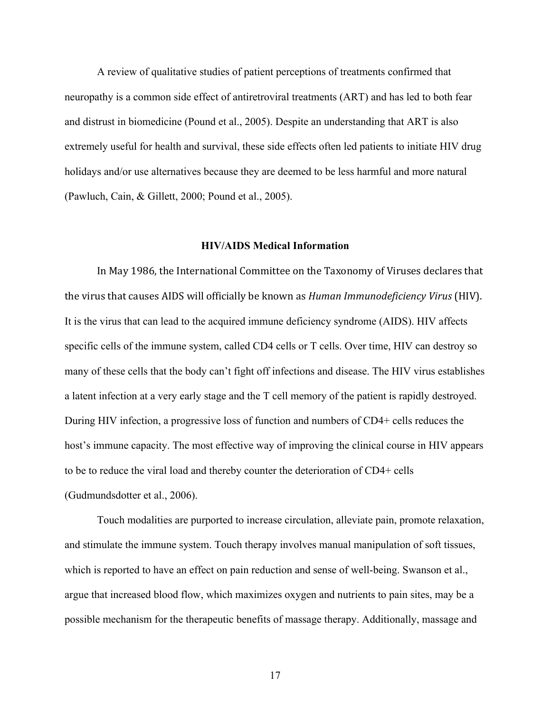A review of qualitative studies of patient perceptions of treatments confirmed that neuropathy is a common side effect of antiretroviral treatments (ART) and has led to both fear and distrust in biomedicine (Pound et al., 2005). Despite an understanding that ART is also extremely useful for health and survival, these side effects often led patients to initiate HIV drug holidays and/or use alternatives because they are deemed to be less harmful and more natural (Pawluch, Cain, & Gillett, 2000; Pound et al., 2005).

#### **HIV/AIDS Medical Information**

In May 1986, the International Committee on the Taxonomy of Viruses declares that the virus that causes AIDS will officially be known as *Human Immunodeficiency Virus* (HIV). It is the virus that can lead to the acquired immune deficiency syndrome (AIDS). HIV affects specific cells of the immune system, called CD4 cells or T cells. Over time, HIV can destroy so many of these cells that the body can't fight off infections and disease. The HIV virus establishes a latent infection at a very early stage and the T cell memory of the patient is rapidly destroyed. During HIV infection, a progressive loss of function and numbers of CD4+ cells reduces the host's immune capacity. The most effective way of improving the clinical course in HIV appears to be to reduce the viral load and thereby counter the deterioration of CD4+ cells (Gudmundsdotter et al., 2006).

Touch modalities are purported to increase circulation, alleviate pain, promote relaxation, and stimulate the immune system. Touch therapy involves manual manipulation of soft tissues, which is reported to have an effect on pain reduction and sense of well-being. Swanson et al., argue that increased blood flow, which maximizes oxygen and nutrients to pain sites, may be a possible mechanism for the therapeutic benefits of massage therapy. Additionally, massage and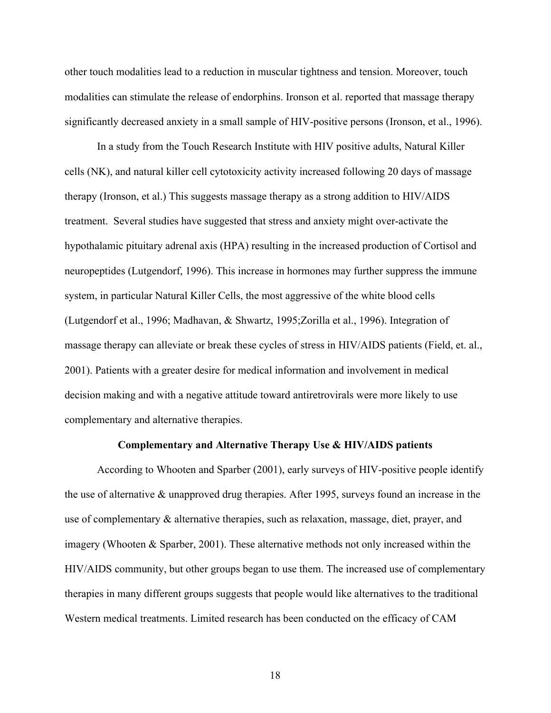other touch modalities lead to a reduction in muscular tightness and tension. Moreover, touch modalities can stimulate the release of endorphins. Ironson et al. reported that massage therapy significantly decreased anxiety in a small sample of HIV-positive persons (Ironson, et al., 1996).

In a study from the Touch Research Institute with HIV positive adults, Natural Killer cells (NK), and natural killer cell cytotoxicity activity increased following 20 days of massage therapy (Ironson, et al.) This suggests massage therapy as a strong addition to HIV/AIDS treatment. Several studies have suggested that stress and anxiety might over-activate the hypothalamic pituitary adrenal axis (HPA) resulting in the increased production of Cortisol and neuropeptides (Lutgendorf, 1996). This increase in hormones may further suppress the immune system, in particular Natural Killer Cells, the most aggressive of the white blood cells (Lutgendorf et al., 1996; Madhavan, & Shwartz, 1995;Zorilla et al., 1996). Integration of massage therapy can alleviate or break these cycles of stress in HIV/AIDS patients (Field, et. al., 2001). Patients with a greater desire for medical information and involvement in medical decision making and with a negative attitude toward antiretrovirals were more likely to use complementary and alternative therapies.

#### **Complementary and Alternative Therapy Use & HIV/AIDS patients**

According to Whooten and Sparber (2001), early surveys of HIV-positive people identify the use of alternative & unapproved drug therapies. After 1995, surveys found an increase in the use of complementary & alternative therapies, such as relaxation, massage, diet, prayer, and imagery (Whooten & Sparber, 2001). These alternative methods not only increased within the HIV/AIDS community, but other groups began to use them. The increased use of complementary therapies in many different groups suggests that people would like alternatives to the traditional Western medical treatments. Limited research has been conducted on the efficacy of CAM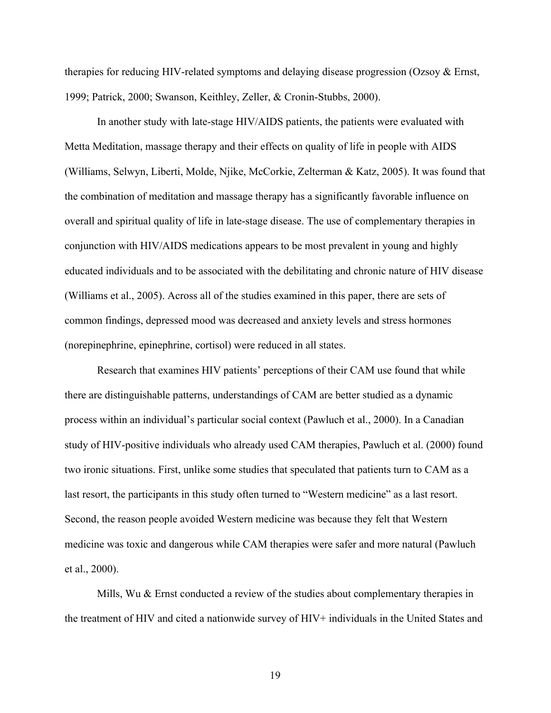therapies for reducing HIV-related symptoms and delaying disease progression (Ozsoy & Ernst, 1999; Patrick, 2000; Swanson, Keithley, Zeller, & Cronin-Stubbs, 2000).

In another study with late-stage HIV/AIDS patients, the patients were evaluated with Metta Meditation, massage therapy and their effects on quality of life in people with AIDS (Williams, Selwyn, Liberti, Molde, Njike, McCorkie, Zelterman & Katz, 2005). It was found that the combination of meditation and massage therapy has a significantly favorable influence on overall and spiritual quality of life in late-stage disease. The use of complementary therapies in conjunction with HIV/AIDS medications appears to be most prevalent in young and highly educated individuals and to be associated with the debilitating and chronic nature of HIV disease (Williams et al., 2005). Across all of the studies examined in this paper, there are sets of common findings, depressed mood was decreased and anxiety levels and stress hormones (norepinephrine, epinephrine, cortisol) were reduced in all states.

Research that examines HIV patients' perceptions of their CAM use found that while there are distinguishable patterns, understandings of CAM are better studied as a dynamic process within an individual's particular social context (Pawluch et al., 2000). In a Canadian study of HIV-positive individuals who already used CAM therapies, Pawluch et al. (2000) found two ironic situations. First, unlike some studies that speculated that patients turn to CAM as a last resort, the participants in this study often turned to "Western medicine" as a last resort. Second, the reason people avoided Western medicine was because they felt that Western medicine was toxic and dangerous while CAM therapies were safer and more natural (Pawluch et al., 2000).

Mills, Wu & Ernst conducted a review of the studies about complementary therapies in the treatment of HIV and cited a nationwide survey of HIV+ individuals in the United States and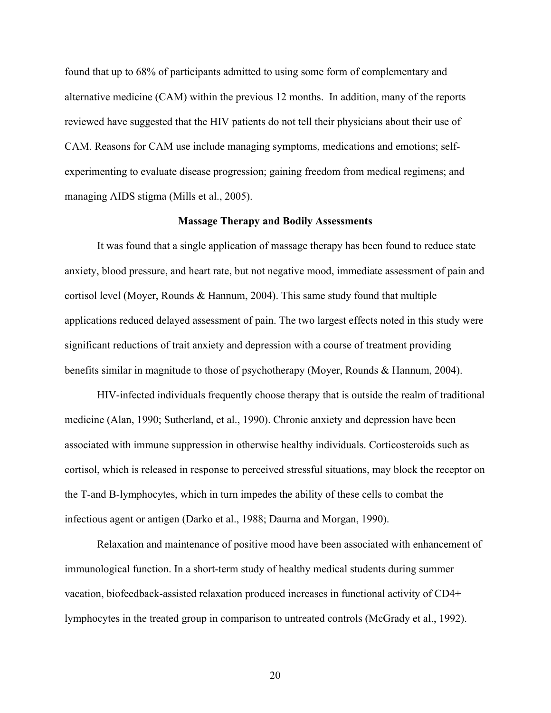found that up to 68% of participants admitted to using some form of complementary and alternative medicine (CAM) within the previous 12 months. In addition, many of the reports reviewed have suggested that the HIV patients do not tell their physicians about their use of CAM. Reasons for CAM use include managing symptoms, medications and emotions; selfexperimenting to evaluate disease progression; gaining freedom from medical regimens; and managing AIDS stigma (Mills et al., 2005).

#### **Massage Therapy and Bodily Assessments**

It was found that a single application of massage therapy has been found to reduce state anxiety, blood pressure, and heart rate, but not negative mood, immediate assessment of pain and cortisol level (Moyer, Rounds & Hannum, 2004). This same study found that multiple applications reduced delayed assessment of pain. The two largest effects noted in this study were significant reductions of trait anxiety and depression with a course of treatment providing benefits similar in magnitude to those of psychotherapy (Moyer, Rounds & Hannum, 2004).

HIV-infected individuals frequently choose therapy that is outside the realm of traditional medicine (Alan, 1990; Sutherland, et al., 1990). Chronic anxiety and depression have been associated with immune suppression in otherwise healthy individuals. Corticosteroids such as cortisol, which is released in response to perceived stressful situations, may block the receptor on the T-and B-lymphocytes, which in turn impedes the ability of these cells to combat the infectious agent or antigen (Darko et al., 1988; Daurna and Morgan, 1990).

Relaxation and maintenance of positive mood have been associated with enhancement of immunological function. In a short-term study of healthy medical students during summer vacation, biofeedback-assisted relaxation produced increases in functional activity of CD4+ lymphocytes in the treated group in comparison to untreated controls (McGrady et al., 1992).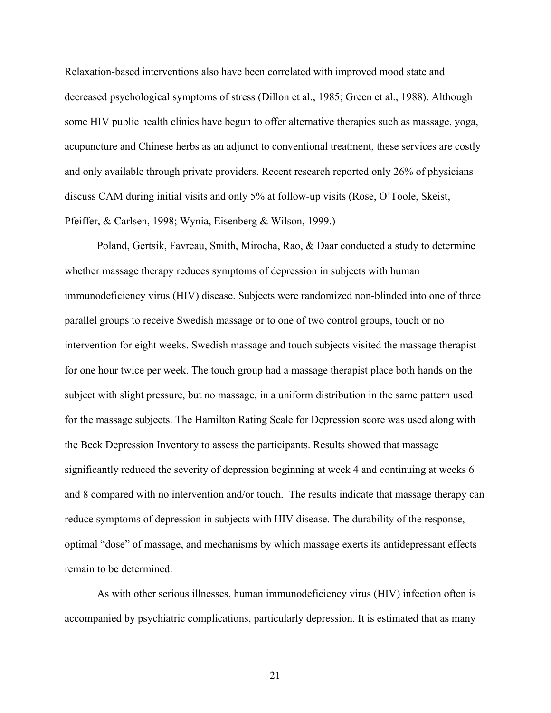Relaxation-based interventions also have been correlated with improved mood state and decreased psychological symptoms of stress (Dillon et al., 1985; Green et al., 1988). Although some HIV public health clinics have begun to offer alternative therapies such as massage, yoga, acupuncture and Chinese herbs as an adjunct to conventional treatment, these services are costly and only available through private providers. Recent research reported only 26% of physicians discuss CAM during initial visits and only 5% at follow-up visits (Rose, O'Toole, Skeist, Pfeiffer, & Carlsen, 1998; Wynia, Eisenberg & Wilson, 1999.)

Poland, Gertsik, Favreau, Smith, Mirocha, Rao, & Daar conducted a study to determine whether massage therapy reduces symptoms of depression in subjects with human immunodeficiency virus (HIV) disease. Subjects were randomized non-blinded into one of three parallel groups to receive Swedish massage or to one of two control groups, touch or no intervention for eight weeks. Swedish massage and touch subjects visited the massage therapist for one hour twice per week. The touch group had a massage therapist place both hands on the subject with slight pressure, but no massage, in a uniform distribution in the same pattern used for the massage subjects. The Hamilton Rating Scale for Depression score was used along with the Beck Depression Inventory to assess the participants. Results showed that massage significantly reduced the severity of depression beginning at week 4 and continuing at weeks 6 and 8 compared with no intervention and/or touch. The results indicate that massage therapy can reduce symptoms of depression in subjects with HIV disease. The durability of the response, optimal "dose" of massage, and mechanisms by which massage exerts its antidepressant effects remain to be determined.

As with other serious illnesses, human immunodeficiency virus (HIV) infection often is accompanied by psychiatric complications, particularly depression. It is estimated that as many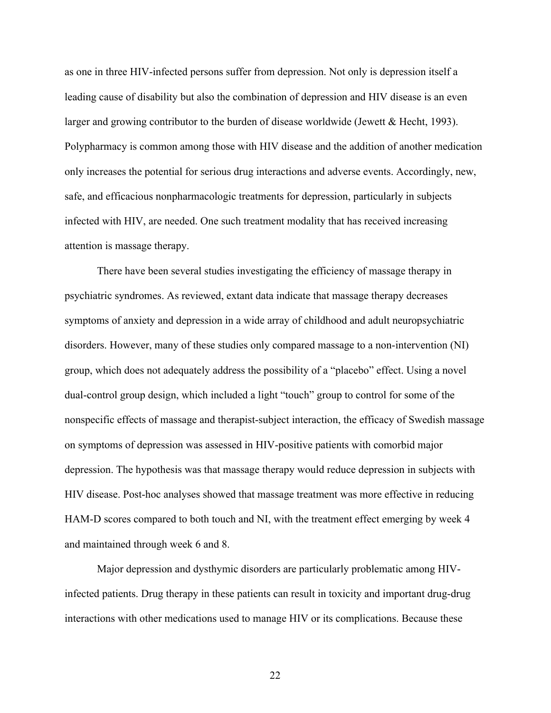as one in three HIV-infected persons suffer from depression. Not only is depression itself a leading cause of disability but also the combination of depression and HIV disease is an even larger and growing contributor to the burden of disease worldwide (Jewett & Hecht, 1993). Polypharmacy is common among those with HIV disease and the addition of another medication only increases the potential for serious drug interactions and adverse events. Accordingly, new, safe, and efficacious nonpharmacologic treatments for depression, particularly in subjects infected with HIV, are needed. One such treatment modality that has received increasing attention is massage therapy.

There have been several studies investigating the efficiency of massage therapy in psychiatric syndromes. As reviewed, extant data indicate that massage therapy decreases symptoms of anxiety and depression in a wide array of childhood and adult neuropsychiatric disorders. However, many of these studies only compared massage to a non-intervention (NI) group, which does not adequately address the possibility of a "placebo" effect. Using a novel dual-control group design, which included a light "touch" group to control for some of the nonspecific effects of massage and therapist-subject interaction, the efficacy of Swedish massage on symptoms of depression was assessed in HIV-positive patients with comorbid major depression. The hypothesis was that massage therapy would reduce depression in subjects with HIV disease. Post-hoc analyses showed that massage treatment was more effective in reducing HAM-D scores compared to both touch and NI, with the treatment effect emerging by week 4 and maintained through week 6 and 8.

Major depression and dysthymic disorders are particularly problematic among HIVinfected patients. Drug therapy in these patients can result in toxicity and important drug-drug interactions with other medications used to manage HIV or its complications. Because these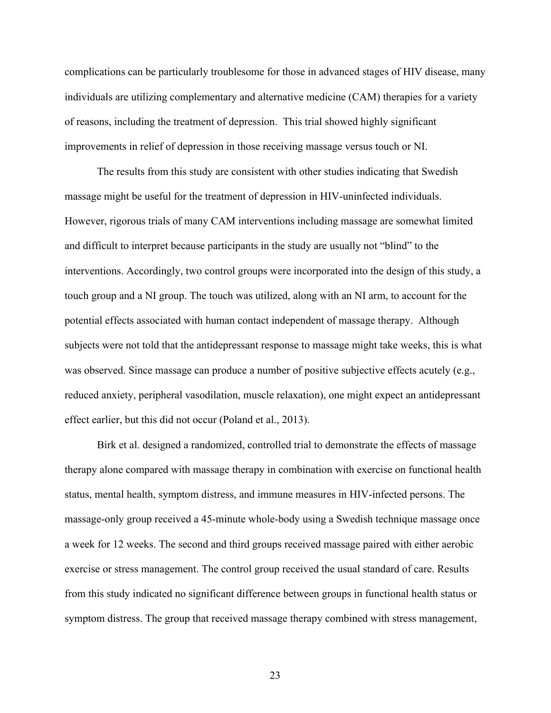complications can be particularly troublesome for those in advanced stages of HIV disease, many individuals are utilizing complementary and alternative medicine (CAM) therapies for a variety of reasons, including the treatment of depression. This trial showed highly significant improvements in relief of depression in those receiving massage versus touch or NI.

The results from this study are consistent with other studies indicating that Swedish massage might be useful for the treatment of depression in HIV-uninfected individuals. However, rigorous trials of many CAM interventions including massage are somewhat limited and difficult to interpret because participants in the study are usually not "blind" to the interventions. Accordingly, two control groups were incorporated into the design of this study, a touch group and a NI group. The touch was utilized, along with an NI arm, to account for the potential effects associated with human contact independent of massage therapy. Although subjects were not told that the antidepressant response to massage might take weeks, this is what was observed. Since massage can produce a number of positive subjective effects acutely (e.g., reduced anxiety, peripheral vasodilation, muscle relaxation), one might expect an antidepressant effect earlier, but this did not occur (Poland et al., 2013).

Birk et al. designed a randomized, controlled trial to demonstrate the effects of massage therapy alone compared with massage therapy in combination with exercise on functional health status, mental health, symptom distress, and immune measures in HIV-infected persons. The massage-only group received a 45-minute whole-body using a Swedish technique massage once a week for 12 weeks. The second and third groups received massage paired with either aerobic exercise or stress management. The control group received the usual standard of care. Results from this study indicated no significant difference between groups in functional health status or symptom distress. The group that received massage therapy combined with stress management,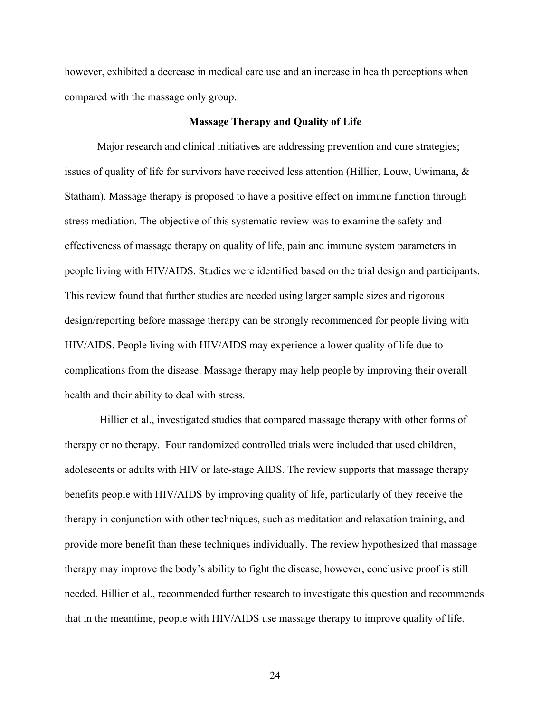however, exhibited a decrease in medical care use and an increase in health perceptions when compared with the massage only group.

#### **Massage Therapy and Quality of Life**

Major research and clinical initiatives are addressing prevention and cure strategies; issues of quality of life for survivors have received less attention (Hillier, Louw, Uwimana, & Statham). Massage therapy is proposed to have a positive effect on immune function through stress mediation. The objective of this systematic review was to examine the safety and effectiveness of massage therapy on quality of life, pain and immune system parameters in people living with HIV/AIDS. Studies were identified based on the trial design and participants. This review found that further studies are needed using larger sample sizes and rigorous design/reporting before massage therapy can be strongly recommended for people living with HIV/AIDS. People living with HIV/AIDS may experience a lower quality of life due to complications from the disease. Massage therapy may help people by improving their overall health and their ability to deal with stress.

Hillier et al., investigated studies that compared massage therapy with other forms of therapy or no therapy. Four randomized controlled trials were included that used children, adolescents or adults with HIV or late-stage AIDS. The review supports that massage therapy benefits people with HIV/AIDS by improving quality of life, particularly of they receive the therapy in conjunction with other techniques, such as meditation and relaxation training, and provide more benefit than these techniques individually. The review hypothesized that massage therapy may improve the body's ability to fight the disease, however, conclusive proof is still needed. Hillier et al., recommended further research to investigate this question and recommends that in the meantime, people with HIV/AIDS use massage therapy to improve quality of life.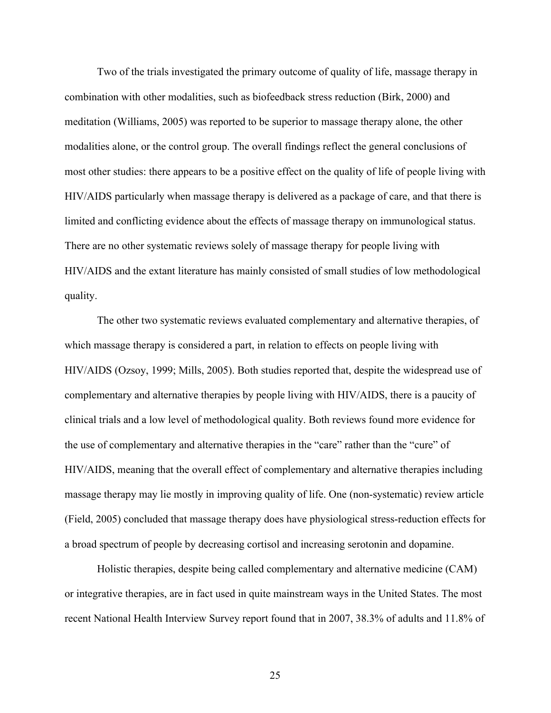Two of the trials investigated the primary outcome of quality of life, massage therapy in combination with other modalities, such as biofeedback stress reduction (Birk, 2000) and meditation (Williams, 2005) was reported to be superior to massage therapy alone, the other modalities alone, or the control group. The overall findings reflect the general conclusions of most other studies: there appears to be a positive effect on the quality of life of people living with HIV/AIDS particularly when massage therapy is delivered as a package of care, and that there is limited and conflicting evidence about the effects of massage therapy on immunological status. There are no other systematic reviews solely of massage therapy for people living with HIV/AIDS and the extant literature has mainly consisted of small studies of low methodological quality.

The other two systematic reviews evaluated complementary and alternative therapies, of which massage therapy is considered a part, in relation to effects on people living with HIV/AIDS (Ozsoy, 1999; Mills, 2005). Both studies reported that, despite the widespread use of complementary and alternative therapies by people living with HIV/AIDS, there is a paucity of clinical trials and a low level of methodological quality. Both reviews found more evidence for the use of complementary and alternative therapies in the "care" rather than the "cure" of HIV/AIDS, meaning that the overall effect of complementary and alternative therapies including massage therapy may lie mostly in improving quality of life. One (non-systematic) review article (Field, 2005) concluded that massage therapy does have physiological stress-reduction effects for a broad spectrum of people by decreasing cortisol and increasing serotonin and dopamine.

Holistic therapies, despite being called complementary and alternative medicine (CAM) or integrative therapies, are in fact used in quite mainstream ways in the United States. The most recent National Health Interview Survey report found that in 2007, 38.3% of adults and 11.8% of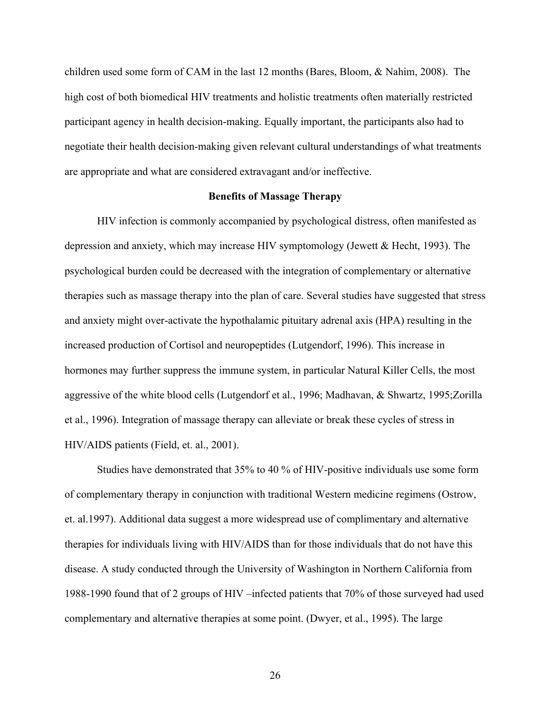children used some form of CAM in the last 12 months (Bares, Bloom, & Nahim, 2008). The high cost of both biomedical HIV treatments and holistic treatments often materially restricted participant agency in health decision-making. Equally important, the participants also had to negotiate their health decision-making given relevant cultural understandings of what treatments are appropriate and what are considered extravagant and/or ineffective.

#### **Benefits of Massage Therapy**

HIV infection is commonly accompanied by psychological distress, often manifested as depression and anxiety, which may increase HIV symptomology (Jewett & Hecht, 1993). The psychological burden could be decreased with the integration of complementary or alternative therapies such as massage therapy into the plan of care. Several studies have suggested that stress and anxiety might over-activate the hypothalamic pituitary adrenal axis (HPA) resulting in the increased production of Cortisol and neuropeptides (Lutgendorf, 1996). This increase in hormones may further suppress the immune system, in particular Natural Killer Cells, the most aggressive of the white blood cells (Lutgendorf et al., 1996; Madhavan, & Shwartz, 1995;Zorilla et al., 1996). Integration of massage therapy can alleviate or break these cycles of stress in HIV/AIDS patients (Field, et. al., 2001).

Studies have demonstrated that 35% to 40 % of HIV-positive individuals use some form of complementary therapy in conjunction with traditional Western medicine regimens (Ostrow, et. al.1997). Additional data suggest a more widespread use of complimentary and alternative therapies for individuals living with HIV/AIDS than for those individuals that do not have this disease. A study conducted through the University of Washington in Northern California from 1988-1990 found that of 2 groups of HIV –infected patients that 70% of those surveyed had used complementary and alternative therapies at some point. (Dwyer, et al., 1995). The large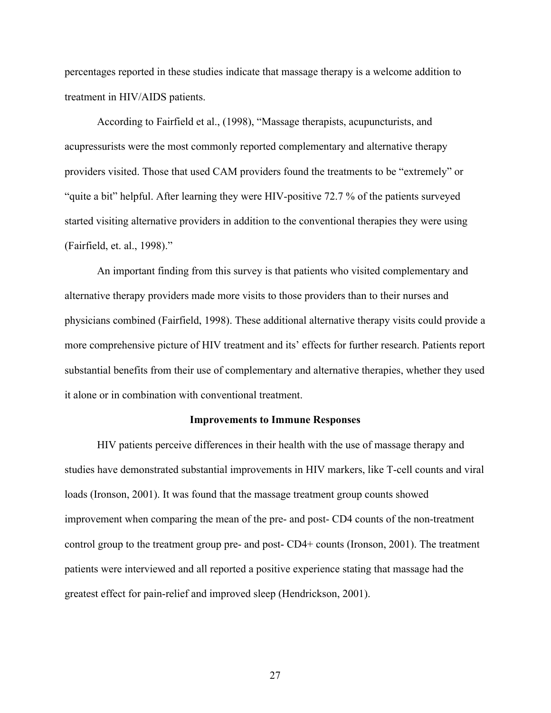percentages reported in these studies indicate that massage therapy is a welcome addition to treatment in HIV/AIDS patients.

According to Fairfield et al., (1998), "Massage therapists, acupuncturists, and acupressurists were the most commonly reported complementary and alternative therapy providers visited. Those that used CAM providers found the treatments to be "extremely" or "quite a bit" helpful. After learning they were HIV-positive 72.7 % of the patients surveyed started visiting alternative providers in addition to the conventional therapies they were using (Fairfield, et. al., 1998)."

An important finding from this survey is that patients who visited complementary and alternative therapy providers made more visits to those providers than to their nurses and physicians combined (Fairfield, 1998). These additional alternative therapy visits could provide a more comprehensive picture of HIV treatment and its' effects for further research. Patients report substantial benefits from their use of complementary and alternative therapies, whether they used it alone or in combination with conventional treatment.

#### **Improvements to Immune Responses**

HIV patients perceive differences in their health with the use of massage therapy and studies have demonstrated substantial improvements in HIV markers, like T-cell counts and viral loads (Ironson, 2001). It was found that the massage treatment group counts showed improvement when comparing the mean of the pre- and post- CD4 counts of the non-treatment control group to the treatment group pre- and post- CD4+ counts (Ironson, 2001). The treatment patients were interviewed and all reported a positive experience stating that massage had the greatest effect for pain-relief and improved sleep (Hendrickson, 2001).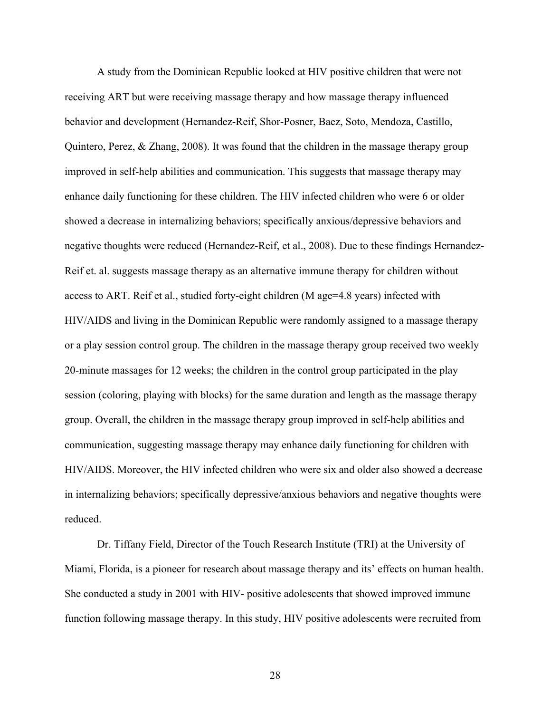A study from the Dominican Republic looked at HIV positive children that were not receiving ART but were receiving massage therapy and how massage therapy influenced behavior and development (Hernandez-Reif, Shor-Posner, Baez, Soto, Mendoza, Castillo, Quintero, Perez, & Zhang, 2008). It was found that the children in the massage therapy group improved in self-help abilities and communication. This suggests that massage therapy may enhance daily functioning for these children. The HIV infected children who were 6 or older showed a decrease in internalizing behaviors; specifically anxious/depressive behaviors and negative thoughts were reduced (Hernandez-Reif, et al., 2008). Due to these findings Hernandez-Reif et. al. suggests massage therapy as an alternative immune therapy for children without access to ART. Reif et al., studied forty-eight children (M age=4.8 years) infected with HIV/AIDS and living in the Dominican Republic were randomly assigned to a massage therapy or a play session control group. The children in the massage therapy group received two weekly 20-minute massages for 12 weeks; the children in the control group participated in the play session (coloring, playing with blocks) for the same duration and length as the massage therapy group. Overall, the children in the massage therapy group improved in self-help abilities and communication, suggesting massage therapy may enhance daily functioning for children with HIV/AIDS. Moreover, the HIV infected children who were six and older also showed a decrease in internalizing behaviors; specifically depressive/anxious behaviors and negative thoughts were reduced.

Dr. Tiffany Field, Director of the Touch Research Institute (TRI) at the University of Miami, Florida, is a pioneer for research about massage therapy and its' effects on human health. She conducted a study in 2001 with HIV- positive adolescents that showed improved immune function following massage therapy. In this study, HIV positive adolescents were recruited from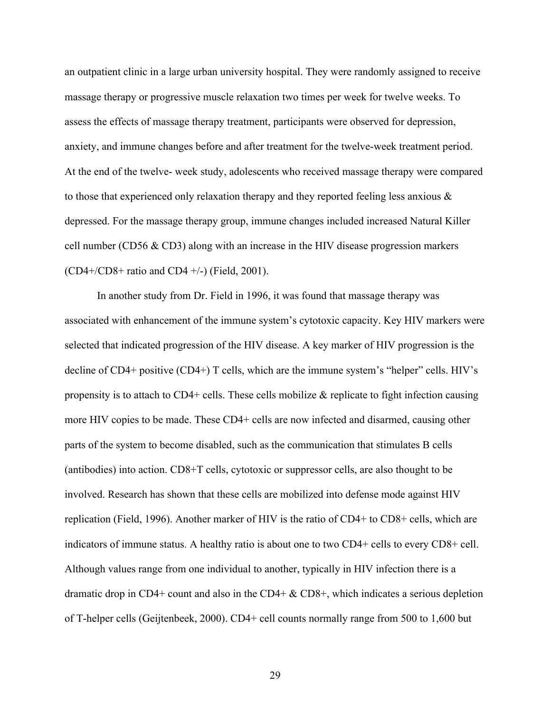an outpatient clinic in a large urban university hospital. They were randomly assigned to receive massage therapy or progressive muscle relaxation two times per week for twelve weeks. To assess the effects of massage therapy treatment, participants were observed for depression, anxiety, and immune changes before and after treatment for the twelve-week treatment period. At the end of the twelve- week study, adolescents who received massage therapy were compared to those that experienced only relaxation therapy and they reported feeling less anxious & depressed. For the massage therapy group, immune changes included increased Natural Killer cell number (CD56 & CD3) along with an increase in the HIV disease progression markers  $(CD4 + /CD8 + \text{ratio}$  and  $CD4 + /-$ ) (Field, 2001).

In another study from Dr. Field in 1996, it was found that massage therapy was associated with enhancement of the immune system's cytotoxic capacity. Key HIV markers were selected that indicated progression of the HIV disease. A key marker of HIV progression is the decline of CD4+ positive (CD4+) T cells, which are the immune system's "helper" cells. HIV's propensity is to attach to  $CD4+$  cells. These cells mobilize  $\&$  replicate to fight infection causing more HIV copies to be made. These CD4+ cells are now infected and disarmed, causing other parts of the system to become disabled, such as the communication that stimulates B cells (antibodies) into action. CD8+T cells, cytotoxic or suppressor cells, are also thought to be involved. Research has shown that these cells are mobilized into defense mode against HIV replication (Field, 1996). Another marker of HIV is the ratio of CD4+ to CD8+ cells, which are indicators of immune status. A healthy ratio is about one to two CD4+ cells to every CD8+ cell. Although values range from one individual to another, typically in HIV infection there is a dramatic drop in CD4+ count and also in the CD4+  $\&$  CD8+, which indicates a serious depletion of T-helper cells (Geijtenbeek, 2000). CD4+ cell counts normally range from 500 to 1,600 but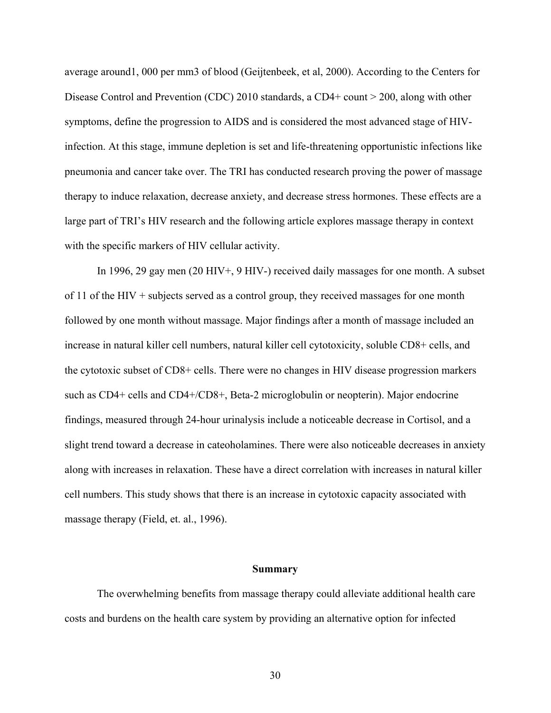average around1, 000 per mm3 of blood (Geijtenbeek, et al, 2000). According to the Centers for Disease Control and Prevention (CDC) 2010 standards, a CD4+ count > 200, along with other symptoms, define the progression to AIDS and is considered the most advanced stage of HIVinfection. At this stage, immune depletion is set and life-threatening opportunistic infections like pneumonia and cancer take over. The TRI has conducted research proving the power of massage therapy to induce relaxation, decrease anxiety, and decrease stress hormones. These effects are a large part of TRI's HIV research and the following article explores massage therapy in context with the specific markers of HIV cellular activity.

In 1996, 29 gay men (20 HIV+, 9 HIV-) received daily massages for one month. A subset of 11 of the HIV + subjects served as a control group, they received massages for one month followed by one month without massage. Major findings after a month of massage included an increase in natural killer cell numbers, natural killer cell cytotoxicity, soluble CD8+ cells, and the cytotoxic subset of CD8+ cells. There were no changes in HIV disease progression markers such as CD4+ cells and CD4+/CD8+, Beta-2 microglobulin or neopterin). Major endocrine findings, measured through 24-hour urinalysis include a noticeable decrease in Cortisol, and a slight trend toward a decrease in cateoholamines. There were also noticeable decreases in anxiety along with increases in relaxation. These have a direct correlation with increases in natural killer cell numbers. This study shows that there is an increase in cytotoxic capacity associated with massage therapy (Field, et. al., 1996).

#### **Summary**

The overwhelming benefits from massage therapy could alleviate additional health care costs and burdens on the health care system by providing an alternative option for infected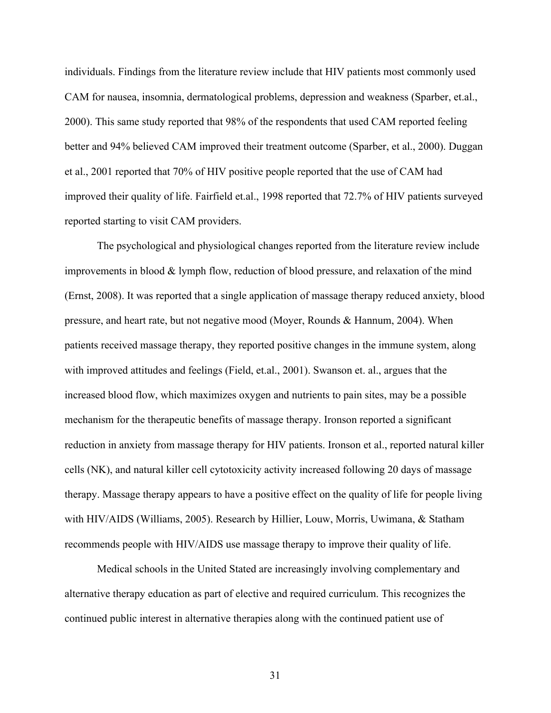individuals. Findings from the literature review include that HIV patients most commonly used CAM for nausea, insomnia, dermatological problems, depression and weakness (Sparber, et.al., 2000). This same study reported that 98% of the respondents that used CAM reported feeling better and 94% believed CAM improved their treatment outcome (Sparber, et al., 2000). Duggan et al., 2001 reported that 70% of HIV positive people reported that the use of CAM had improved their quality of life. Fairfield et.al., 1998 reported that 72.7% of HIV patients surveyed reported starting to visit CAM providers.

The psychological and physiological changes reported from the literature review include improvements in blood & lymph flow, reduction of blood pressure, and relaxation of the mind (Ernst, 2008). It was reported that a single application of massage therapy reduced anxiety, blood pressure, and heart rate, but not negative mood (Moyer, Rounds & Hannum, 2004). When patients received massage therapy, they reported positive changes in the immune system, along with improved attitudes and feelings (Field, et.al., 2001). Swanson et. al., argues that the increased blood flow, which maximizes oxygen and nutrients to pain sites, may be a possible mechanism for the therapeutic benefits of massage therapy. Ironson reported a significant reduction in anxiety from massage therapy for HIV patients. Ironson et al., reported natural killer cells (NK), and natural killer cell cytotoxicity activity increased following 20 days of massage therapy. Massage therapy appears to have a positive effect on the quality of life for people living with HIV/AIDS (Williams, 2005). Research by Hillier, Louw, Morris, Uwimana, & Statham recommends people with HIV/AIDS use massage therapy to improve their quality of life.

Medical schools in the United Stated are increasingly involving complementary and alternative therapy education as part of elective and required curriculum. This recognizes the continued public interest in alternative therapies along with the continued patient use of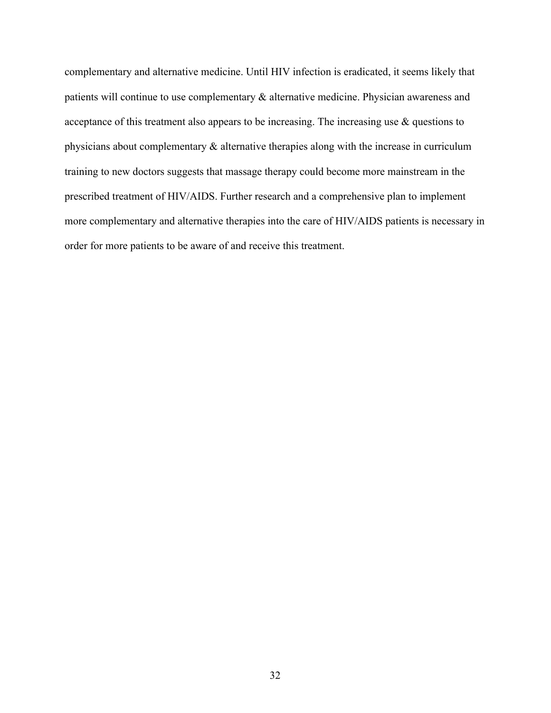complementary and alternative medicine. Until HIV infection is eradicated, it seems likely that patients will continue to use complementary & alternative medicine. Physician awareness and acceptance of this treatment also appears to be increasing. The increasing use & questions to physicians about complementary & alternative therapies along with the increase in curriculum training to new doctors suggests that massage therapy could become more mainstream in the prescribed treatment of HIV/AIDS. Further research and a comprehensive plan to implement more complementary and alternative therapies into the care of HIV/AIDS patients is necessary in order for more patients to be aware of and receive this treatment.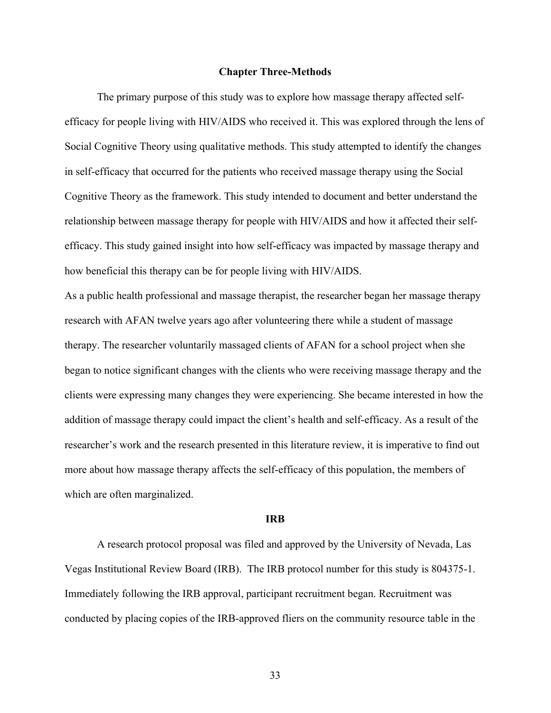#### **Chapter Three-Methods**

The primary purpose of this study was to explore how massage therapy affected selfefficacy for people living with HIV/AIDS who received it. This was explored through the lens of Social Cognitive Theory using qualitative methods. This study attempted to identify the changes in self-efficacy that occurred for the patients who received massage therapy using the Social Cognitive Theory as the framework. This study intended to document and better understand the relationship between massage therapy for people with HIV/AIDS and how it affected their selfefficacy. This study gained insight into how self-efficacy was impacted by massage therapy and how beneficial this therapy can be for people living with HIV/AIDS.

As a public health professional and massage therapist, the researcher began her massage therapy research with AFAN twelve years ago after volunteering there while a student of massage therapy. The researcher voluntarily massaged clients of AFAN for a school project when she began to notice significant changes with the clients who were receiving massage therapy and the clients were expressing many changes they were experiencing. She became interested in how the addition of massage therapy could impact the client's health and self-efficacy. As a result of the researcher's work and the research presented in this literature review, it is imperative to find out more about how massage therapy affects the self-efficacy of this population, the members of which are often marginalized.

#### **IRB**

A research protocol proposal was filed and approved by the University of Nevada, Las Vegas Institutional Review Board (IRB). The IRB protocol number for this study is 804375-1. Immediately following the IRB approval, participant recruitment began. Recruitment was conducted by placing copies of the IRB-approved fliers on the community resource table in the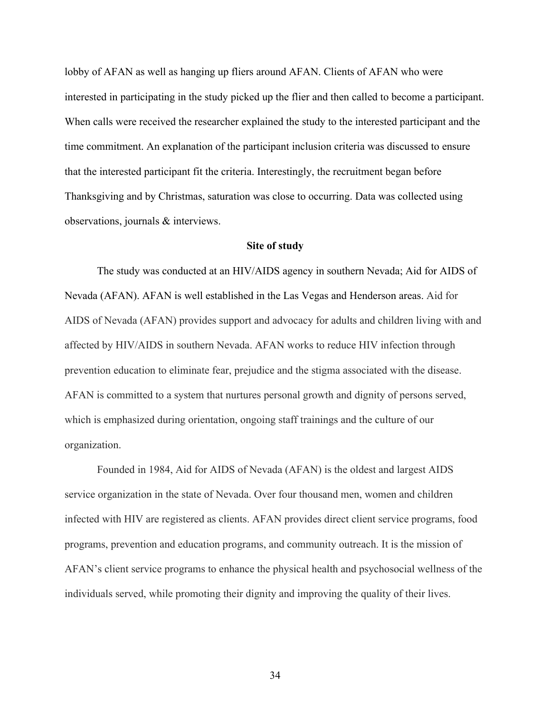lobby of AFAN as well as hanging up fliers around AFAN. Clients of AFAN who were interested in participating in the study picked up the flier and then called to become a participant. When calls were received the researcher explained the study to the interested participant and the time commitment. An explanation of the participant inclusion criteria was discussed to ensure that the interested participant fit the criteria. Interestingly, the recruitment began before Thanksgiving and by Christmas, saturation was close to occurring. Data was collected using observations, journals & interviews.

### **Site of study**

The study was conducted at an HIV/AIDS agency in southern Nevada; Aid for AIDS of Nevada (AFAN). AFAN is well established in the Las Vegas and Henderson areas. Aid for AIDS of Nevada (AFAN) provides support and advocacy for adults and children living with and affected by HIV/AIDS in southern Nevada. AFAN works to reduce HIV infection through prevention education to eliminate fear, prejudice and the stigma associated with the disease. AFAN is committed to a system that nurtures personal growth and dignity of persons served, which is emphasized during orientation, ongoing staff trainings and the culture of our organization.

Founded in 1984, Aid for AIDS of Nevada (AFAN) is the oldest and largest AIDS service organization in the state of Nevada. Over four thousand men, women and children infected with HIV are registered as clients. AFAN provides direct client service programs, food programs, prevention and education programs, and community outreach. It is the mission of AFAN's client service programs to enhance the physical health and psychosocial wellness of the individuals served, while promoting their dignity and improving the quality of their lives.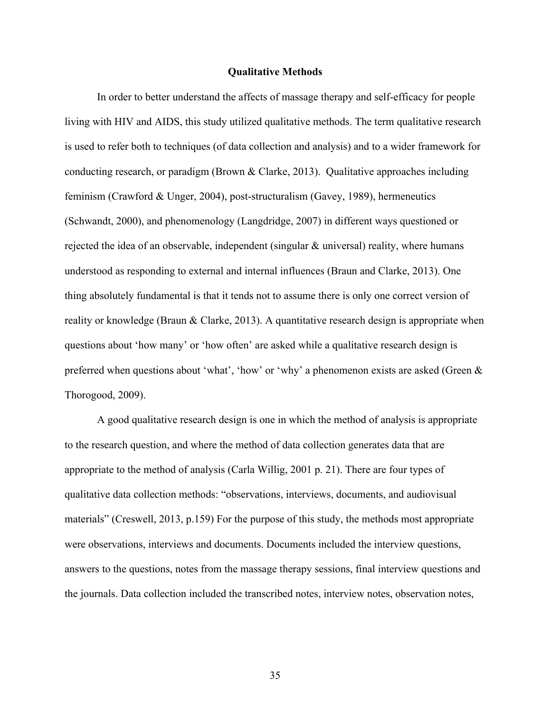#### **Qualitative Methods**

In order to better understand the affects of massage therapy and self-efficacy for people living with HIV and AIDS, this study utilized qualitative methods. The term qualitative research is used to refer both to techniques (of data collection and analysis) and to a wider framework for conducting research, or paradigm (Brown & Clarke, 2013). Qualitative approaches including feminism (Crawford & Unger, 2004), post-structuralism (Gavey, 1989), hermeneutics (Schwandt, 2000), and phenomenology (Langdridge, 2007) in different ways questioned or rejected the idea of an observable, independent (singular & universal) reality, where humans understood as responding to external and internal influences (Braun and Clarke, 2013). One thing absolutely fundamental is that it tends not to assume there is only one correct version of reality or knowledge (Braun & Clarke, 2013). A quantitative research design is appropriate when questions about 'how many' or 'how often' are asked while a qualitative research design is preferred when questions about 'what', 'how' or 'why' a phenomenon exists are asked (Green & Thorogood, 2009).

A good qualitative research design is one in which the method of analysis is appropriate to the research question, and where the method of data collection generates data that are appropriate to the method of analysis (Carla Willig, 2001 p. 21). There are four types of qualitative data collection methods: "observations, interviews, documents, and audiovisual materials" (Creswell, 2013, p.159) For the purpose of this study, the methods most appropriate were observations, interviews and documents. Documents included the interview questions, answers to the questions, notes from the massage therapy sessions, final interview questions and the journals. Data collection included the transcribed notes, interview notes, observation notes,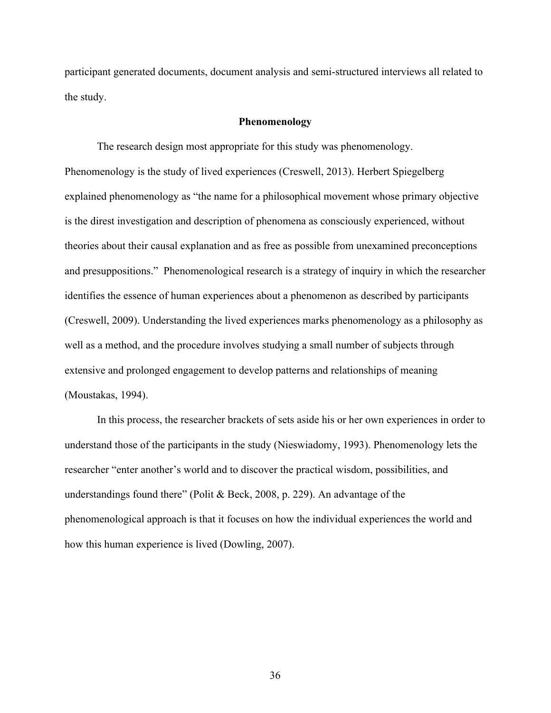participant generated documents, document analysis and semi-structured interviews all related to the study.

## **Phenomenology**

The research design most appropriate for this study was phenomenology. Phenomenology is the study of lived experiences (Creswell, 2013). Herbert Spiegelberg explained phenomenology as "the name for a philosophical movement whose primary objective is the direst investigation and description of phenomena as consciously experienced, without theories about their causal explanation and as free as possible from unexamined preconceptions and presuppositions." Phenomenological research is a strategy of inquiry in which the researcher identifies the essence of human experiences about a phenomenon as described by participants (Creswell, 2009). Understanding the lived experiences marks phenomenology as a philosophy as well as a method, and the procedure involves studying a small number of subjects through extensive and prolonged engagement to develop patterns and relationships of meaning (Moustakas, 1994).

In this process, the researcher brackets of sets aside his or her own experiences in order to understand those of the participants in the study (Nieswiadomy, 1993). Phenomenology lets the researcher "enter another's world and to discover the practical wisdom, possibilities, and understandings found there" (Polit & Beck, 2008, p. 229). An advantage of the phenomenological approach is that it focuses on how the individual experiences the world and how this human experience is lived (Dowling, 2007).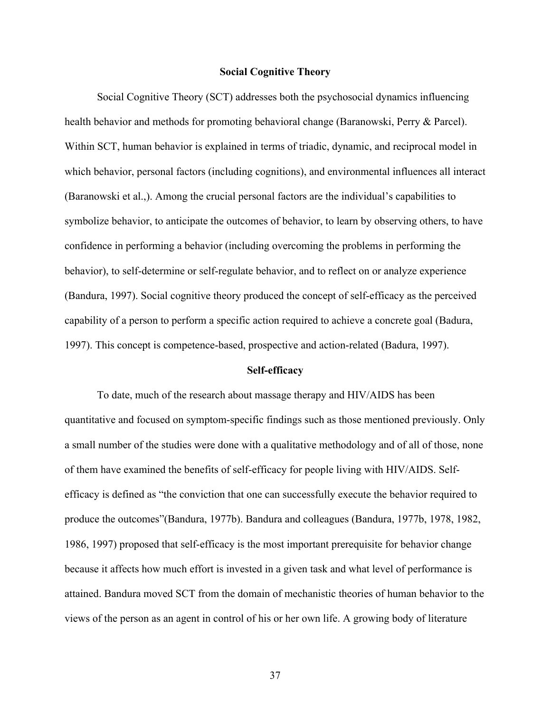## **Social Cognitive Theory**

Social Cognitive Theory (SCT) addresses both the psychosocial dynamics influencing health behavior and methods for promoting behavioral change (Baranowski, Perry & Parcel). Within SCT, human behavior is explained in terms of triadic, dynamic, and reciprocal model in which behavior, personal factors (including cognitions), and environmental influences all interact (Baranowski et al.,). Among the crucial personal factors are the individual's capabilities to symbolize behavior, to anticipate the outcomes of behavior, to learn by observing others, to have confidence in performing a behavior (including overcoming the problems in performing the behavior), to self-determine or self-regulate behavior, and to reflect on or analyze experience (Bandura, 1997). Social cognitive theory produced the concept of self-efficacy as the perceived capability of a person to perform a specific action required to achieve a concrete goal (Badura, 1997). This concept is competence-based, prospective and action-related (Badura, 1997).

#### **Self-efficacy**

To date, much of the research about massage therapy and HIV/AIDS has been quantitative and focused on symptom-specific findings such as those mentioned previously. Only a small number of the studies were done with a qualitative methodology and of all of those, none of them have examined the benefits of self-efficacy for people living with HIV/AIDS. Selfefficacy is defined as "the conviction that one can successfully execute the behavior required to produce the outcomes"(Bandura, 1977b). Bandura and colleagues (Bandura, 1977b, 1978, 1982, 1986, 1997) proposed that self-efficacy is the most important prerequisite for behavior change because it affects how much effort is invested in a given task and what level of performance is attained. Bandura moved SCT from the domain of mechanistic theories of human behavior to the views of the person as an agent in control of his or her own life. A growing body of literature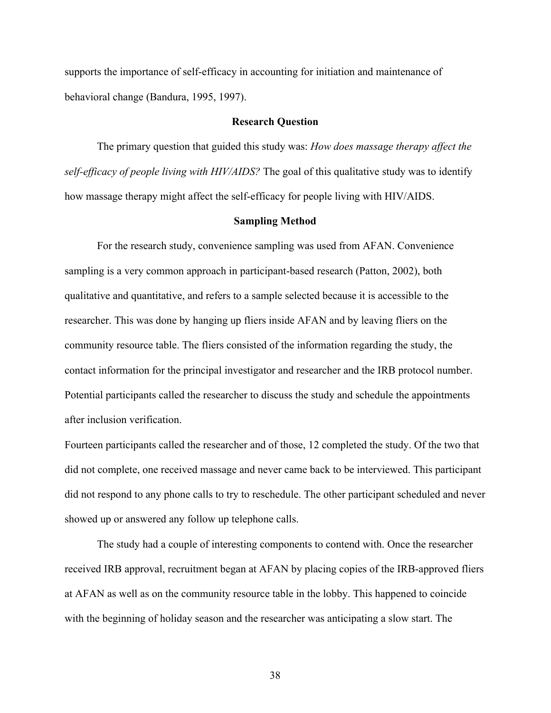supports the importance of self-efficacy in accounting for initiation and maintenance of behavioral change (Bandura, 1995, 1997).

#### **Research Question**

The primary question that guided this study was: *How does massage therapy affect the self-efficacy of people living with HIV/AIDS?* The goal of this qualitative study was to identify how massage therapy might affect the self-efficacy for people living with HIV/AIDS.

#### **Sampling Method**

For the research study, convenience sampling was used from AFAN. Convenience sampling is a very common approach in participant-based research (Patton, 2002), both qualitative and quantitative, and refers to a sample selected because it is accessible to the researcher. This was done by hanging up fliers inside AFAN and by leaving fliers on the community resource table. The fliers consisted of the information regarding the study, the contact information for the principal investigator and researcher and the IRB protocol number. Potential participants called the researcher to discuss the study and schedule the appointments after inclusion verification.

Fourteen participants called the researcher and of those, 12 completed the study. Of the two that did not complete, one received massage and never came back to be interviewed. This participant did not respond to any phone calls to try to reschedule. The other participant scheduled and never showed up or answered any follow up telephone calls.

The study had a couple of interesting components to contend with. Once the researcher received IRB approval, recruitment began at AFAN by placing copies of the IRB-approved fliers at AFAN as well as on the community resource table in the lobby. This happened to coincide with the beginning of holiday season and the researcher was anticipating a slow start. The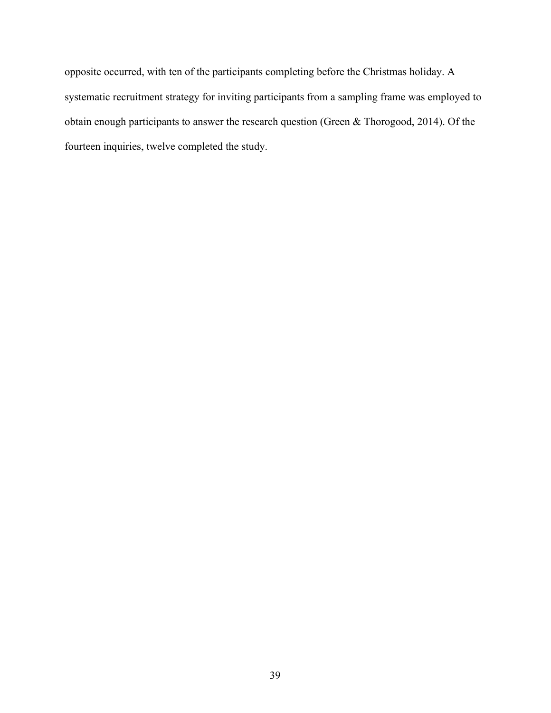opposite occurred, with ten of the participants completing before the Christmas holiday. A systematic recruitment strategy for inviting participants from a sampling frame was employed to obtain enough participants to answer the research question (Green & Thorogood, 2014). Of the fourteen inquiries, twelve completed the study.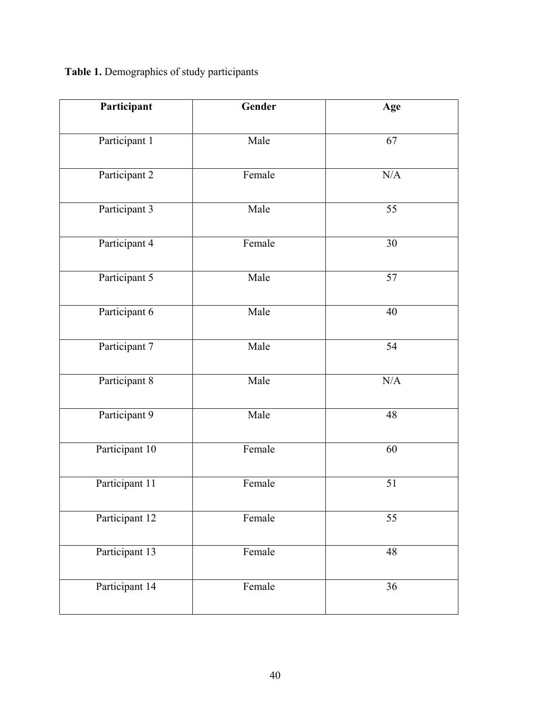**Table 1.** Demographics of study participants

| Participant    | Gender | Age             |
|----------------|--------|-----------------|
| Participant 1  | Male   | 67              |
| Participant 2  | Female | N/A             |
| Participant 3  | Male   | 55              |
| Participant 4  | Female | 30              |
| Participant 5  | Male   | 57              |
| Participant 6  | Male   | 40              |
| Participant 7  | Male   | 54              |
| Participant 8  | Male   | $\rm N/A$       |
| Participant 9  | Male   | 48              |
| Participant 10 | Female | 60              |
| Participant 11 | Female | 51              |
| Participant 12 | Female | $\overline{55}$ |
| Participant 13 | Female | 48              |
| Participant 14 | Female | 36              |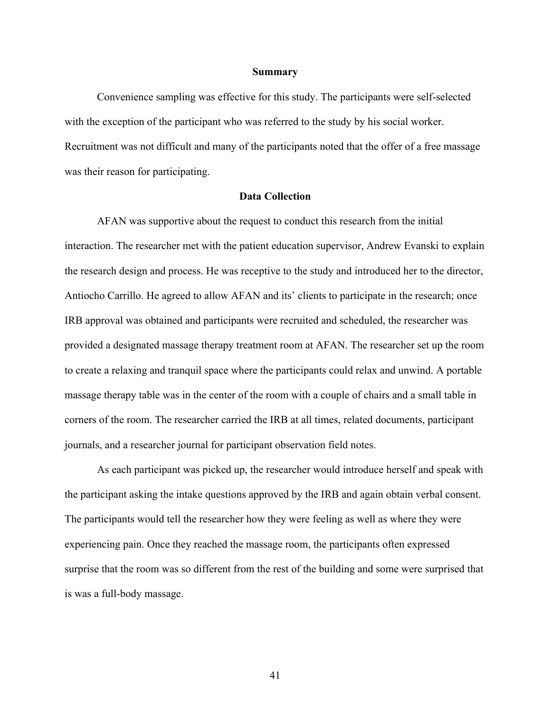#### **Summary**

Convenience sampling was effective for this study. The participants were self-selected with the exception of the participant who was referred to the study by his social worker. Recruitment was not difficult and many of the participants noted that the offer of a free massage was their reason for participating.

### **Data Collection**

AFAN was supportive about the request to conduct this research from the initial interaction. The researcher met with the patient education supervisor, Andrew Evanski to explain the research design and process. He was receptive to the study and introduced her to the director, Antiocho Carrillo. He agreed to allow AFAN and its' clients to participate in the research; once IRB approval was obtained and participants were recruited and scheduled, the researcher was provided a designated massage therapy treatment room at AFAN. The researcher set up the room to create a relaxing and tranquil space where the participants could relax and unwind. A portable massage therapy table was in the center of the room with a couple of chairs and a small table in corners of the room. The researcher carried the IRB at all times, related documents, participant journals, and a researcher journal for participant observation field notes.

As each participant was picked up, the researcher would introduce herself and speak with the participant asking the intake questions approved by the IRB and again obtain verbal consent. The participants would tell the researcher how they were feeling as well as where they were experiencing pain. Once they reached the massage room, the participants often expressed surprise that the room was so different from the rest of the building and some were surprised that is was a full-body massage.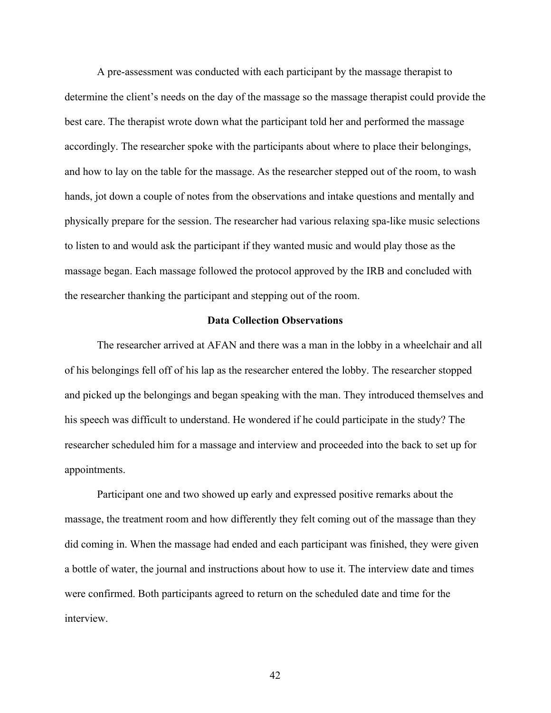A pre-assessment was conducted with each participant by the massage therapist to determine the client's needs on the day of the massage so the massage therapist could provide the best care. The therapist wrote down what the participant told her and performed the massage accordingly. The researcher spoke with the participants about where to place their belongings, and how to lay on the table for the massage. As the researcher stepped out of the room, to wash hands, jot down a couple of notes from the observations and intake questions and mentally and physically prepare for the session. The researcher had various relaxing spa-like music selections to listen to and would ask the participant if they wanted music and would play those as the massage began. Each massage followed the protocol approved by the IRB and concluded with the researcher thanking the participant and stepping out of the room.

## **Data Collection Observations**

The researcher arrived at AFAN and there was a man in the lobby in a wheelchair and all of his belongings fell off of his lap as the researcher entered the lobby. The researcher stopped and picked up the belongings and began speaking with the man. They introduced themselves and his speech was difficult to understand. He wondered if he could participate in the study? The researcher scheduled him for a massage and interview and proceeded into the back to set up for appointments.

Participant one and two showed up early and expressed positive remarks about the massage, the treatment room and how differently they felt coming out of the massage than they did coming in. When the massage had ended and each participant was finished, they were given a bottle of water, the journal and instructions about how to use it. The interview date and times were confirmed. Both participants agreed to return on the scheduled date and time for the interview.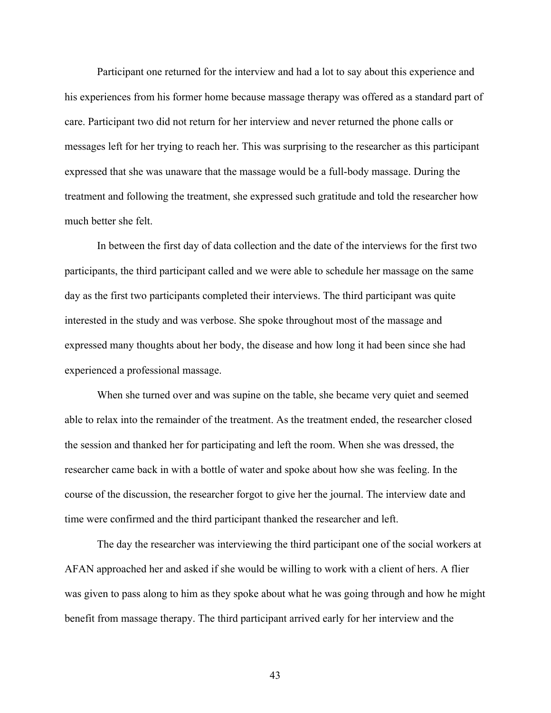Participant one returned for the interview and had a lot to say about this experience and his experiences from his former home because massage therapy was offered as a standard part of care. Participant two did not return for her interview and never returned the phone calls or messages left for her trying to reach her. This was surprising to the researcher as this participant expressed that she was unaware that the massage would be a full-body massage. During the treatment and following the treatment, she expressed such gratitude and told the researcher how much better she felt.

In between the first day of data collection and the date of the interviews for the first two participants, the third participant called and we were able to schedule her massage on the same day as the first two participants completed their interviews. The third participant was quite interested in the study and was verbose. She spoke throughout most of the massage and expressed many thoughts about her body, the disease and how long it had been since she had experienced a professional massage.

When she turned over and was supine on the table, she became very quiet and seemed able to relax into the remainder of the treatment. As the treatment ended, the researcher closed the session and thanked her for participating and left the room. When she was dressed, the researcher came back in with a bottle of water and spoke about how she was feeling. In the course of the discussion, the researcher forgot to give her the journal. The interview date and time were confirmed and the third participant thanked the researcher and left.

The day the researcher was interviewing the third participant one of the social workers at AFAN approached her and asked if she would be willing to work with a client of hers. A flier was given to pass along to him as they spoke about what he was going through and how he might benefit from massage therapy. The third participant arrived early for her interview and the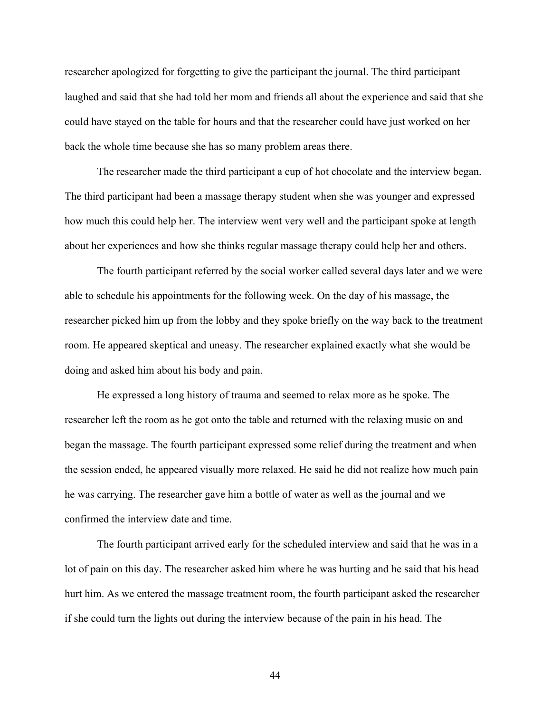researcher apologized for forgetting to give the participant the journal. The third participant laughed and said that she had told her mom and friends all about the experience and said that she could have stayed on the table for hours and that the researcher could have just worked on her back the whole time because she has so many problem areas there.

The researcher made the third participant a cup of hot chocolate and the interview began. The third participant had been a massage therapy student when she was younger and expressed how much this could help her. The interview went very well and the participant spoke at length about her experiences and how she thinks regular massage therapy could help her and others.

The fourth participant referred by the social worker called several days later and we were able to schedule his appointments for the following week. On the day of his massage, the researcher picked him up from the lobby and they spoke briefly on the way back to the treatment room. He appeared skeptical and uneasy. The researcher explained exactly what she would be doing and asked him about his body and pain.

He expressed a long history of trauma and seemed to relax more as he spoke. The researcher left the room as he got onto the table and returned with the relaxing music on and began the massage. The fourth participant expressed some relief during the treatment and when the session ended, he appeared visually more relaxed. He said he did not realize how much pain he was carrying. The researcher gave him a bottle of water as well as the journal and we confirmed the interview date and time.

The fourth participant arrived early for the scheduled interview and said that he was in a lot of pain on this day. The researcher asked him where he was hurting and he said that his head hurt him. As we entered the massage treatment room, the fourth participant asked the researcher if she could turn the lights out during the interview because of the pain in his head. The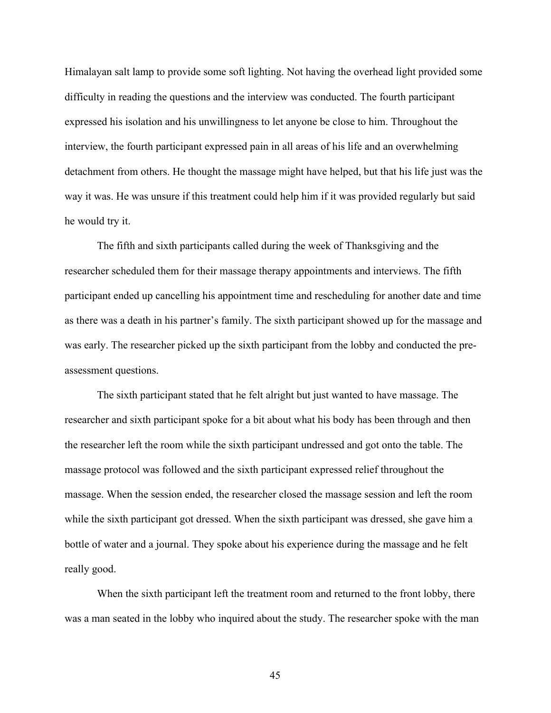Himalayan salt lamp to provide some soft lighting. Not having the overhead light provided some difficulty in reading the questions and the interview was conducted. The fourth participant expressed his isolation and his unwillingness to let anyone be close to him. Throughout the interview, the fourth participant expressed pain in all areas of his life and an overwhelming detachment from others. He thought the massage might have helped, but that his life just was the way it was. He was unsure if this treatment could help him if it was provided regularly but said he would try it.

The fifth and sixth participants called during the week of Thanksgiving and the researcher scheduled them for their massage therapy appointments and interviews. The fifth participant ended up cancelling his appointment time and rescheduling for another date and time as there was a death in his partner's family. The sixth participant showed up for the massage and was early. The researcher picked up the sixth participant from the lobby and conducted the preassessment questions.

The sixth participant stated that he felt alright but just wanted to have massage. The researcher and sixth participant spoke for a bit about what his body has been through and then the researcher left the room while the sixth participant undressed and got onto the table. The massage protocol was followed and the sixth participant expressed relief throughout the massage. When the session ended, the researcher closed the massage session and left the room while the sixth participant got dressed. When the sixth participant was dressed, she gave him a bottle of water and a journal. They spoke about his experience during the massage and he felt really good.

When the sixth participant left the treatment room and returned to the front lobby, there was a man seated in the lobby who inquired about the study. The researcher spoke with the man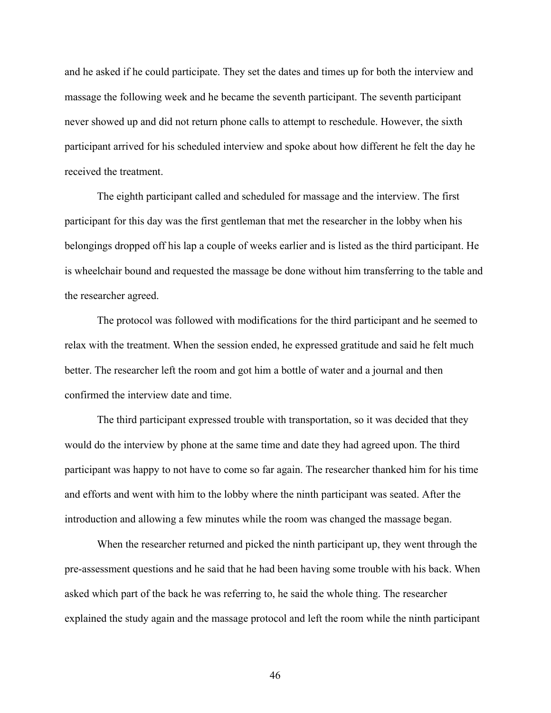and he asked if he could participate. They set the dates and times up for both the interview and massage the following week and he became the seventh participant. The seventh participant never showed up and did not return phone calls to attempt to reschedule. However, the sixth participant arrived for his scheduled interview and spoke about how different he felt the day he received the treatment.

The eighth participant called and scheduled for massage and the interview. The first participant for this day was the first gentleman that met the researcher in the lobby when his belongings dropped off his lap a couple of weeks earlier and is listed as the third participant. He is wheelchair bound and requested the massage be done without him transferring to the table and the researcher agreed.

The protocol was followed with modifications for the third participant and he seemed to relax with the treatment. When the session ended, he expressed gratitude and said he felt much better. The researcher left the room and got him a bottle of water and a journal and then confirmed the interview date and time.

The third participant expressed trouble with transportation, so it was decided that they would do the interview by phone at the same time and date they had agreed upon. The third participant was happy to not have to come so far again. The researcher thanked him for his time and efforts and went with him to the lobby where the ninth participant was seated. After the introduction and allowing a few minutes while the room was changed the massage began.

When the researcher returned and picked the ninth participant up, they went through the pre-assessment questions and he said that he had been having some trouble with his back. When asked which part of the back he was referring to, he said the whole thing. The researcher explained the study again and the massage protocol and left the room while the ninth participant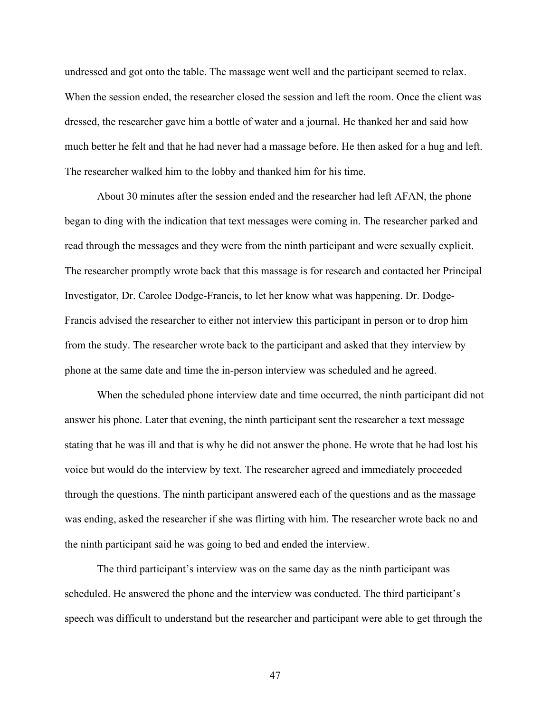undressed and got onto the table. The massage went well and the participant seemed to relax. When the session ended, the researcher closed the session and left the room. Once the client was dressed, the researcher gave him a bottle of water and a journal. He thanked her and said how much better he felt and that he had never had a massage before. He then asked for a hug and left. The researcher walked him to the lobby and thanked him for his time.

About 30 minutes after the session ended and the researcher had left AFAN, the phone began to ding with the indication that text messages were coming in. The researcher parked and read through the messages and they were from the ninth participant and were sexually explicit. The researcher promptly wrote back that this massage is for research and contacted her Principal Investigator, Dr. Carolee Dodge-Francis, to let her know what was happening. Dr. Dodge-Francis advised the researcher to either not interview this participant in person or to drop him from the study. The researcher wrote back to the participant and asked that they interview by phone at the same date and time the in-person interview was scheduled and he agreed.

When the scheduled phone interview date and time occurred, the ninth participant did not answer his phone. Later that evening, the ninth participant sent the researcher a text message stating that he was ill and that is why he did not answer the phone. He wrote that he had lost his voice but would do the interview by text. The researcher agreed and immediately proceeded through the questions. The ninth participant answered each of the questions and as the massage was ending, asked the researcher if she was flirting with him. The researcher wrote back no and the ninth participant said he was going to bed and ended the interview.

The third participant's interview was on the same day as the ninth participant was scheduled. He answered the phone and the interview was conducted. The third participant's speech was difficult to understand but the researcher and participant were able to get through the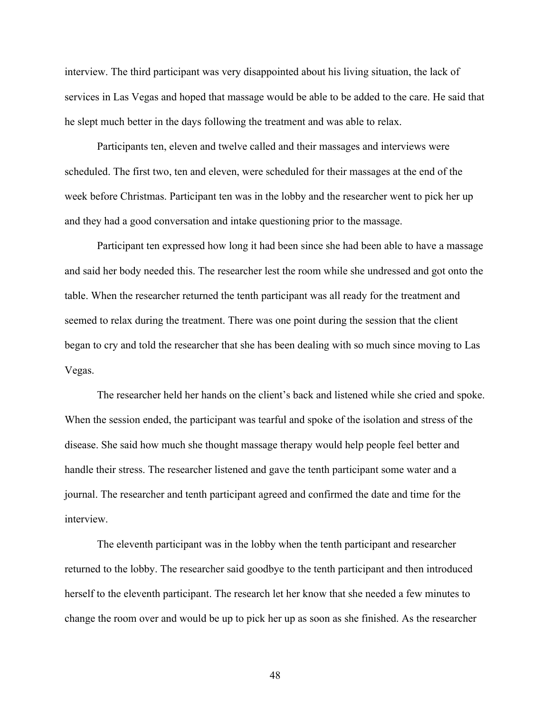interview. The third participant was very disappointed about his living situation, the lack of services in Las Vegas and hoped that massage would be able to be added to the care. He said that he slept much better in the days following the treatment and was able to relax.

Participants ten, eleven and twelve called and their massages and interviews were scheduled. The first two, ten and eleven, were scheduled for their massages at the end of the week before Christmas. Participant ten was in the lobby and the researcher went to pick her up and they had a good conversation and intake questioning prior to the massage.

Participant ten expressed how long it had been since she had been able to have a massage and said her body needed this. The researcher lest the room while she undressed and got onto the table. When the researcher returned the tenth participant was all ready for the treatment and seemed to relax during the treatment. There was one point during the session that the client began to cry and told the researcher that she has been dealing with so much since moving to Las Vegas.

The researcher held her hands on the client's back and listened while she cried and spoke. When the session ended, the participant was tearful and spoke of the isolation and stress of the disease. She said how much she thought massage therapy would help people feel better and handle their stress. The researcher listened and gave the tenth participant some water and a journal. The researcher and tenth participant agreed and confirmed the date and time for the interview.

The eleventh participant was in the lobby when the tenth participant and researcher returned to the lobby. The researcher said goodbye to the tenth participant and then introduced herself to the eleventh participant. The research let her know that she needed a few minutes to change the room over and would be up to pick her up as soon as she finished. As the researcher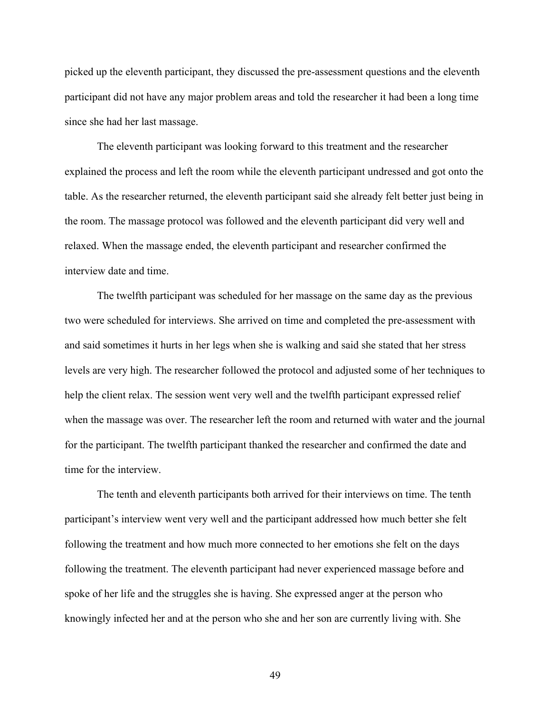picked up the eleventh participant, they discussed the pre-assessment questions and the eleventh participant did not have any major problem areas and told the researcher it had been a long time since she had her last massage.

The eleventh participant was looking forward to this treatment and the researcher explained the process and left the room while the eleventh participant undressed and got onto the table. As the researcher returned, the eleventh participant said she already felt better just being in the room. The massage protocol was followed and the eleventh participant did very well and relaxed. When the massage ended, the eleventh participant and researcher confirmed the interview date and time.

The twelfth participant was scheduled for her massage on the same day as the previous two were scheduled for interviews. She arrived on time and completed the pre-assessment with and said sometimes it hurts in her legs when she is walking and said she stated that her stress levels are very high. The researcher followed the protocol and adjusted some of her techniques to help the client relax. The session went very well and the twelfth participant expressed relief when the massage was over. The researcher left the room and returned with water and the journal for the participant. The twelfth participant thanked the researcher and confirmed the date and time for the interview.

The tenth and eleventh participants both arrived for their interviews on time. The tenth participant's interview went very well and the participant addressed how much better she felt following the treatment and how much more connected to her emotions she felt on the days following the treatment. The eleventh participant had never experienced massage before and spoke of her life and the struggles she is having. She expressed anger at the person who knowingly infected her and at the person who she and her son are currently living with. She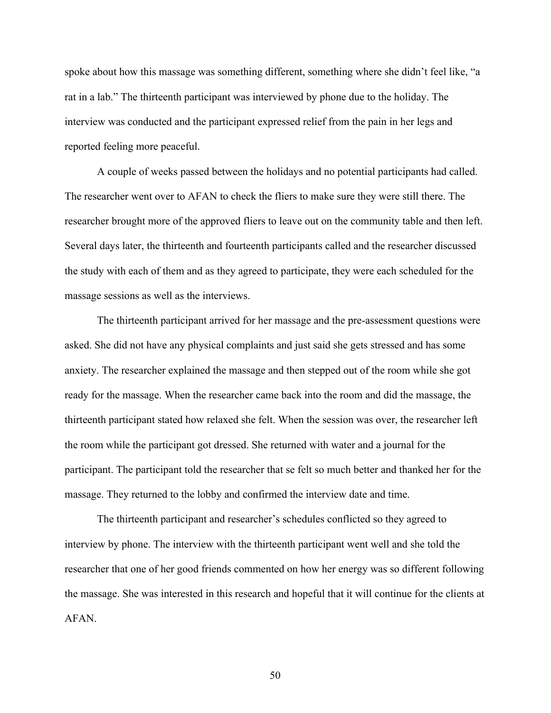spoke about how this massage was something different, something where she didn't feel like, "a rat in a lab." The thirteenth participant was interviewed by phone due to the holiday. The interview was conducted and the participant expressed relief from the pain in her legs and reported feeling more peaceful.

A couple of weeks passed between the holidays and no potential participants had called. The researcher went over to AFAN to check the fliers to make sure they were still there. The researcher brought more of the approved fliers to leave out on the community table and then left. Several days later, the thirteenth and fourteenth participants called and the researcher discussed the study with each of them and as they agreed to participate, they were each scheduled for the massage sessions as well as the interviews.

The thirteenth participant arrived for her massage and the pre-assessment questions were asked. She did not have any physical complaints and just said she gets stressed and has some anxiety. The researcher explained the massage and then stepped out of the room while she got ready for the massage. When the researcher came back into the room and did the massage, the thirteenth participant stated how relaxed she felt. When the session was over, the researcher left the room while the participant got dressed. She returned with water and a journal for the participant. The participant told the researcher that se felt so much better and thanked her for the massage. They returned to the lobby and confirmed the interview date and time.

The thirteenth participant and researcher's schedules conflicted so they agreed to interview by phone. The interview with the thirteenth participant went well and she told the researcher that one of her good friends commented on how her energy was so different following the massage. She was interested in this research and hopeful that it will continue for the clients at AFAN.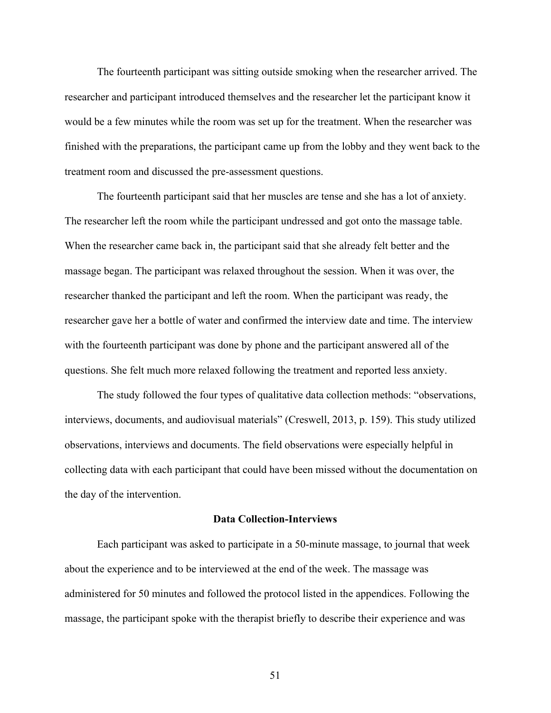The fourteenth participant was sitting outside smoking when the researcher arrived. The researcher and participant introduced themselves and the researcher let the participant know it would be a few minutes while the room was set up for the treatment. When the researcher was finished with the preparations, the participant came up from the lobby and they went back to the treatment room and discussed the pre-assessment questions.

The fourteenth participant said that her muscles are tense and she has a lot of anxiety. The researcher left the room while the participant undressed and got onto the massage table. When the researcher came back in, the participant said that she already felt better and the massage began. The participant was relaxed throughout the session. When it was over, the researcher thanked the participant and left the room. When the participant was ready, the researcher gave her a bottle of water and confirmed the interview date and time. The interview with the fourteenth participant was done by phone and the participant answered all of the questions. She felt much more relaxed following the treatment and reported less anxiety.

The study followed the four types of qualitative data collection methods: "observations, interviews, documents, and audiovisual materials" (Creswell, 2013, p. 159). This study utilized observations, interviews and documents. The field observations were especially helpful in collecting data with each participant that could have been missed without the documentation on the day of the intervention.

### **Data Collection-Interviews**

Each participant was asked to participate in a 50-minute massage, to journal that week about the experience and to be interviewed at the end of the week. The massage was administered for 50 minutes and followed the protocol listed in the appendices. Following the massage, the participant spoke with the therapist briefly to describe their experience and was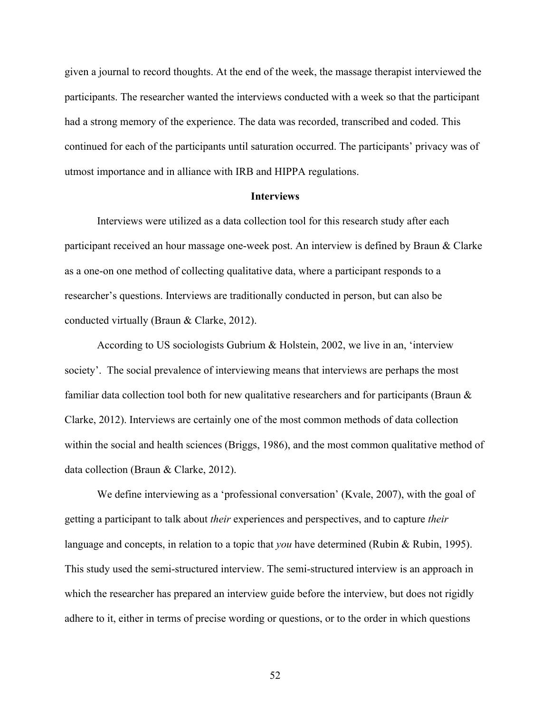given a journal to record thoughts. At the end of the week, the massage therapist interviewed the participants. The researcher wanted the interviews conducted with a week so that the participant had a strong memory of the experience. The data was recorded, transcribed and coded. This continued for each of the participants until saturation occurred. The participants' privacy was of utmost importance and in alliance with IRB and HIPPA regulations.

#### **Interviews**

Interviews were utilized as a data collection tool for this research study after each participant received an hour massage one-week post. An interview is defined by Braun & Clarke as a one-on one method of collecting qualitative data, where a participant responds to a researcher's questions. Interviews are traditionally conducted in person, but can also be conducted virtually (Braun & Clarke, 2012).

According to US sociologists Gubrium & Holstein, 2002, we live in an, 'interview society'. The social prevalence of interviewing means that interviews are perhaps the most familiar data collection tool both for new qualitative researchers and for participants (Braun  $\&$ Clarke, 2012). Interviews are certainly one of the most common methods of data collection within the social and health sciences (Briggs, 1986), and the most common qualitative method of data collection (Braun & Clarke, 2012).

We define interviewing as a 'professional conversation' (Kvale, 2007), with the goal of getting a participant to talk about *their* experiences and perspectives, and to capture *their*  language and concepts, in relation to a topic that *you* have determined (Rubin & Rubin, 1995). This study used the semi-structured interview. The semi-structured interview is an approach in which the researcher has prepared an interview guide before the interview, but does not rigidly adhere to it, either in terms of precise wording or questions, or to the order in which questions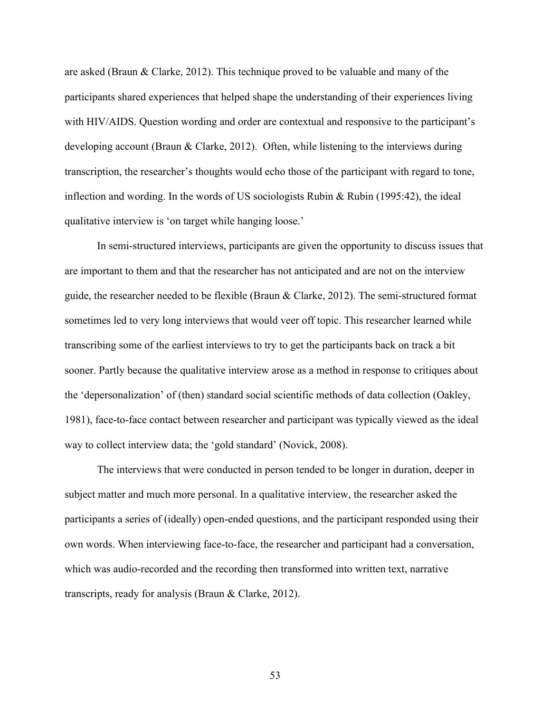are asked (Braun & Clarke, 2012). This technique proved to be valuable and many of the participants shared experiences that helped shape the understanding of their experiences living with HIV/AIDS. Question wording and order are contextual and responsive to the participant's developing account (Braun & Clarke, 2012). Often, while listening to the interviews during transcription, the researcher's thoughts would echo those of the participant with regard to tone, inflection and wording. In the words of US sociologists Rubin  $\&$  Rubin (1995:42), the ideal qualitative interview is 'on target while hanging loose.'

In semi-structured interviews, participants are given the opportunity to discuss issues that are important to them and that the researcher has not anticipated and are not on the interview guide, the researcher needed to be flexible (Braun & Clarke, 2012). The semi-structured format sometimes led to very long interviews that would veer off topic. This researcher learned while transcribing some of the earliest interviews to try to get the participants back on track a bit sooner. Partly because the qualitative interview arose as a method in response to critiques about the 'depersonalization' of (then) standard social scientific methods of data collection (Oakley, 1981), face-to-face contact between researcher and participant was typically viewed as the ideal way to collect interview data; the 'gold standard' (Novick, 2008).

The interviews that were conducted in person tended to be longer in duration, deeper in subject matter and much more personal. In a qualitative interview, the researcher asked the participants a series of (ideally) open-ended questions, and the participant responded using their own words. When interviewing face-to-face, the researcher and participant had a conversation, which was audio-recorded and the recording then transformed into written text, narrative transcripts, ready for analysis (Braun & Clarke, 2012).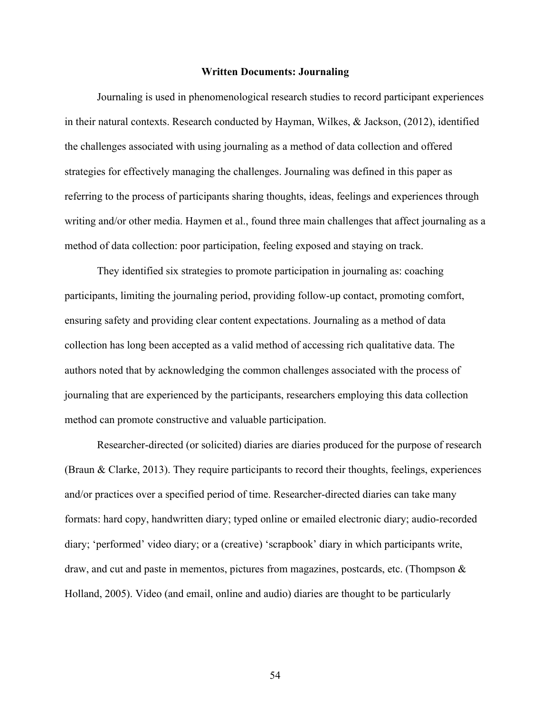#### **Written Documents: Journaling**

Journaling is used in phenomenological research studies to record participant experiences in their natural contexts. Research conducted by Hayman, Wilkes, & Jackson, (2012), identified the challenges associated with using journaling as a method of data collection and offered strategies for effectively managing the challenges. Journaling was defined in this paper as referring to the process of participants sharing thoughts, ideas, feelings and experiences through writing and/or other media. Haymen et al., found three main challenges that affect journaling as a method of data collection: poor participation, feeling exposed and staying on track.

They identified six strategies to promote participation in journaling as: coaching participants, limiting the journaling period, providing follow-up contact, promoting comfort, ensuring safety and providing clear content expectations. Journaling as a method of data collection has long been accepted as a valid method of accessing rich qualitative data. The authors noted that by acknowledging the common challenges associated with the process of journaling that are experienced by the participants, researchers employing this data collection method can promote constructive and valuable participation.

Researcher-directed (or solicited) diaries are diaries produced for the purpose of research (Braun & Clarke, 2013). They require participants to record their thoughts, feelings, experiences and/or practices over a specified period of time. Researcher-directed diaries can take many formats: hard copy, handwritten diary; typed online or emailed electronic diary; audio-recorded diary; 'performed' video diary; or a (creative) 'scrapbook' diary in which participants write, draw, and cut and paste in mementos, pictures from magazines, postcards, etc. (Thompson & Holland, 2005). Video (and email, online and audio) diaries are thought to be particularly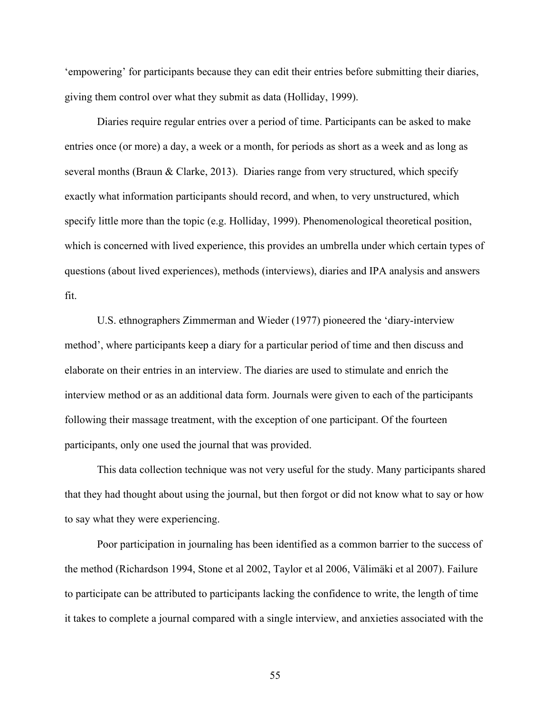'empowering' for participants because they can edit their entries before submitting their diaries, giving them control over what they submit as data (Holliday, 1999).

Diaries require regular entries over a period of time. Participants can be asked to make entries once (or more) a day, a week or a month, for periods as short as a week and as long as several months (Braun & Clarke, 2013). Diaries range from very structured, which specify exactly what information participants should record, and when, to very unstructured, which specify little more than the topic (e.g. Holliday, 1999). Phenomenological theoretical position, which is concerned with lived experience, this provides an umbrella under which certain types of questions (about lived experiences), methods (interviews), diaries and IPA analysis and answers fit.

U.S. ethnographers Zimmerman and Wieder (1977) pioneered the 'diary-interview method', where participants keep a diary for a particular period of time and then discuss and elaborate on their entries in an interview. The diaries are used to stimulate and enrich the interview method or as an additional data form. Journals were given to each of the participants following their massage treatment, with the exception of one participant. Of the fourteen participants, only one used the journal that was provided.

This data collection technique was not very useful for the study. Many participants shared that they had thought about using the journal, but then forgot or did not know what to say or how to say what they were experiencing.

Poor participation in journaling has been identified as a common barrier to the success of the method (Richardson 1994, Stone et al 2002, Taylor et al 2006, Välimäki et al 2007). Failure to participate can be attributed to participants lacking the confidence to write, the length of time it takes to complete a journal compared with a single interview, and anxieties associated with the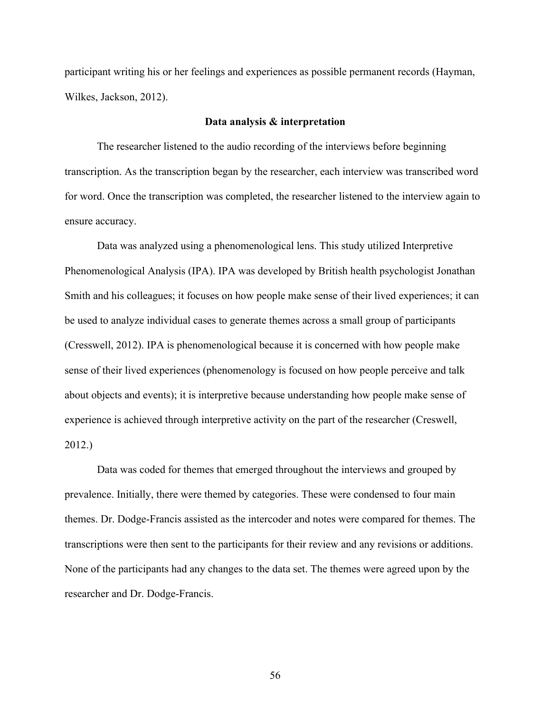participant writing his or her feelings and experiences as possible permanent records (Hayman, Wilkes, Jackson, 2012).

## **Data analysis & interpretation**

The researcher listened to the audio recording of the interviews before beginning transcription. As the transcription began by the researcher, each interview was transcribed word for word. Once the transcription was completed, the researcher listened to the interview again to ensure accuracy.

Data was analyzed using a phenomenological lens. This study utilized Interpretive Phenomenological Analysis (IPA). IPA was developed by British health psychologist Jonathan Smith and his colleagues; it focuses on how people make sense of their lived experiences; it can be used to analyze individual cases to generate themes across a small group of participants (Cresswell, 2012). IPA is phenomenological because it is concerned with how people make sense of their lived experiences (phenomenology is focused on how people perceive and talk about objects and events); it is interpretive because understanding how people make sense of experience is achieved through interpretive activity on the part of the researcher (Creswell, 2012.)

Data was coded for themes that emerged throughout the interviews and grouped by prevalence. Initially, there were themed by categories. These were condensed to four main themes. Dr. Dodge-Francis assisted as the intercoder and notes were compared for themes. The transcriptions were then sent to the participants for their review and any revisions or additions. None of the participants had any changes to the data set. The themes were agreed upon by the researcher and Dr. Dodge-Francis.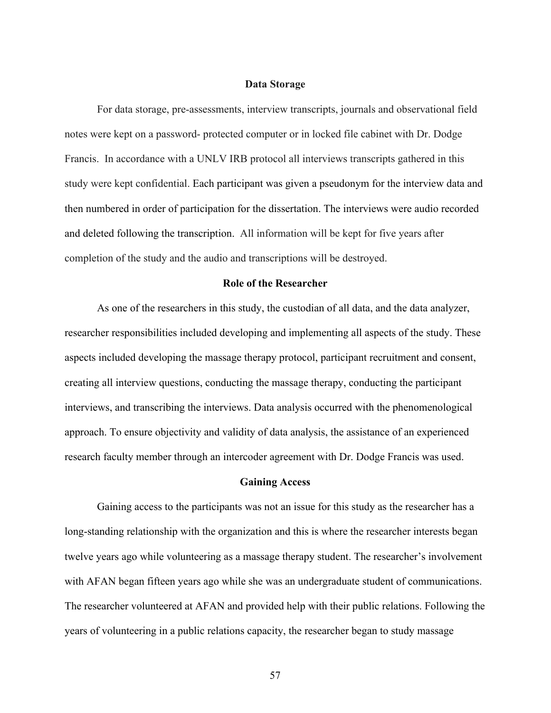## **Data Storage**

For data storage, pre-assessments, interview transcripts, journals and observational field notes were kept on a password- protected computer or in locked file cabinet with Dr. Dodge Francis. In accordance with a UNLV IRB protocol all interviews transcripts gathered in this study were kept confidential. Each participant was given a pseudonym for the interview data and then numbered in order of participation for the dissertation. The interviews were audio recorded and deleted following the transcription. All information will be kept for five years after completion of the study and the audio and transcriptions will be destroyed.

# **Role of the Researcher**

As one of the researchers in this study, the custodian of all data, and the data analyzer, researcher responsibilities included developing and implementing all aspects of the study. These aspects included developing the massage therapy protocol, participant recruitment and consent, creating all interview questions, conducting the massage therapy, conducting the participant interviews, and transcribing the interviews. Data analysis occurred with the phenomenological approach. To ensure objectivity and validity of data analysis, the assistance of an experienced research faculty member through an intercoder agreement with Dr. Dodge Francis was used.

#### **Gaining Access**

Gaining access to the participants was not an issue for this study as the researcher has a long-standing relationship with the organization and this is where the researcher interests began twelve years ago while volunteering as a massage therapy student. The researcher's involvement with AFAN began fifteen years ago while she was an undergraduate student of communications. The researcher volunteered at AFAN and provided help with their public relations. Following the years of volunteering in a public relations capacity, the researcher began to study massage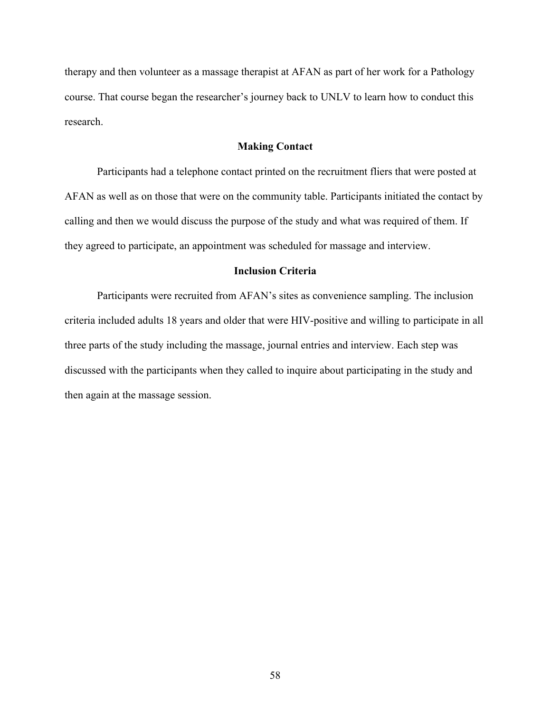therapy and then volunteer as a massage therapist at AFAN as part of her work for a Pathology course. That course began the researcher's journey back to UNLV to learn how to conduct this research.

## **Making Contact**

Participants had a telephone contact printed on the recruitment fliers that were posted at AFAN as well as on those that were on the community table. Participants initiated the contact by calling and then we would discuss the purpose of the study and what was required of them. If they agreed to participate, an appointment was scheduled for massage and interview.

#### **Inclusion Criteria**

Participants were recruited from AFAN's sites as convenience sampling. The inclusion criteria included adults 18 years and older that were HIV-positive and willing to participate in all three parts of the study including the massage, journal entries and interview. Each step was discussed with the participants when they called to inquire about participating in the study and then again at the massage session.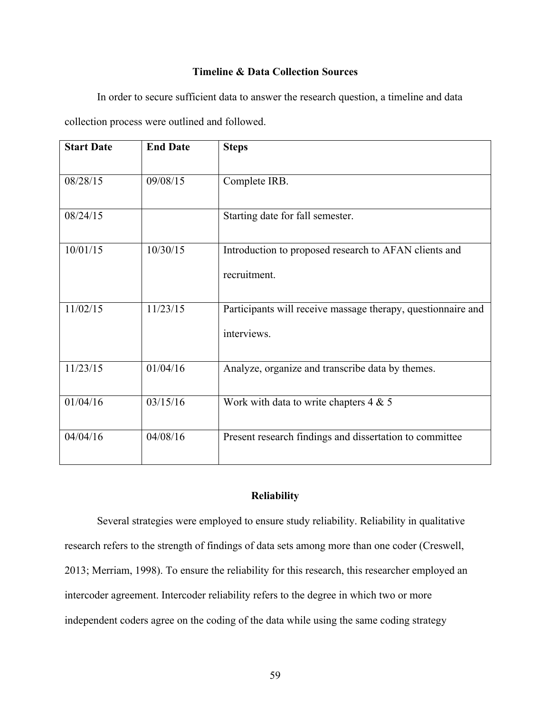# **Timeline & Data Collection Sources**

In order to secure sufficient data to answer the research question, a timeline and data collection process were outlined and followed.

| <b>Start Date</b> | <b>End Date</b> | <b>Steps</b>                                                                |
|-------------------|-----------------|-----------------------------------------------------------------------------|
|                   |                 |                                                                             |
| 08/28/15          | 09/08/15        | Complete IRB.                                                               |
| 08/24/15          |                 | Starting date for fall semester.                                            |
| 10/01/15          | 10/30/15        | Introduction to proposed research to AFAN clients and                       |
|                   |                 | recruitment.                                                                |
| 11/02/15          | 11/23/15        | Participants will receive massage therapy, questionnaire and<br>interviews. |
|                   |                 |                                                                             |
| 11/23/15          | 01/04/16        | Analyze, organize and transcribe data by themes.                            |
| 01/04/16          | 03/15/16        | Work with data to write chapters $4 & 5$                                    |
| 04/04/16          | 04/08/16        | Present research findings and dissertation to committee                     |

# **Reliability**

Several strategies were employed to ensure study reliability. Reliability in qualitative research refers to the strength of findings of data sets among more than one coder (Creswell, 2013; Merriam, 1998). To ensure the reliability for this research, this researcher employed an intercoder agreement. Intercoder reliability refers to the degree in which two or more independent coders agree on the coding of the data while using the same coding strategy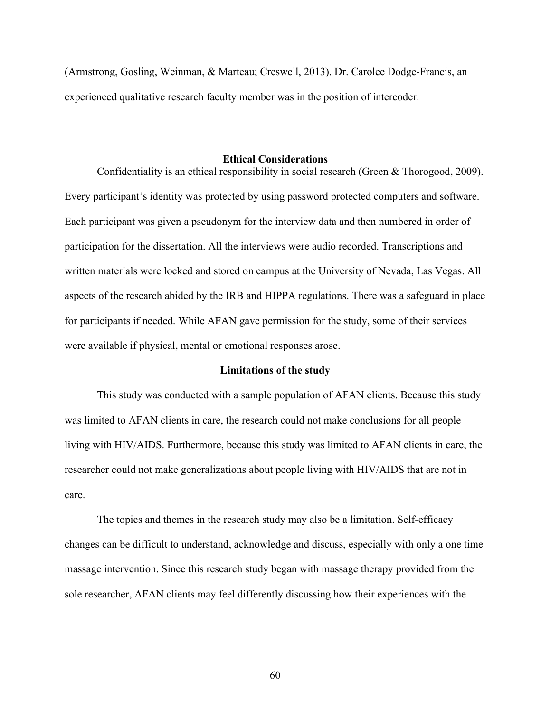(Armstrong, Gosling, Weinman, & Marteau; Creswell, 2013). Dr. Carolee Dodge-Francis, an experienced qualitative research faculty member was in the position of intercoder.

#### **Ethical Considerations**

Confidentiality is an ethical responsibility in social research (Green & Thorogood, 2009). Every participant's identity was protected by using password protected computers and software. Each participant was given a pseudonym for the interview data and then numbered in order of participation for the dissertation. All the interviews were audio recorded. Transcriptions and written materials were locked and stored on campus at the University of Nevada, Las Vegas. All aspects of the research abided by the IRB and HIPPA regulations. There was a safeguard in place for participants if needed. While AFAN gave permission for the study, some of their services were available if physical, mental or emotional responses arose.

#### **Limitations of the study**

This study was conducted with a sample population of AFAN clients. Because this study was limited to AFAN clients in care, the research could not make conclusions for all people living with HIV/AIDS. Furthermore, because this study was limited to AFAN clients in care, the researcher could not make generalizations about people living with HIV/AIDS that are not in care.

The topics and themes in the research study may also be a limitation. Self-efficacy changes can be difficult to understand, acknowledge and discuss, especially with only a one time massage intervention. Since this research study began with massage therapy provided from the sole researcher, AFAN clients may feel differently discussing how their experiences with the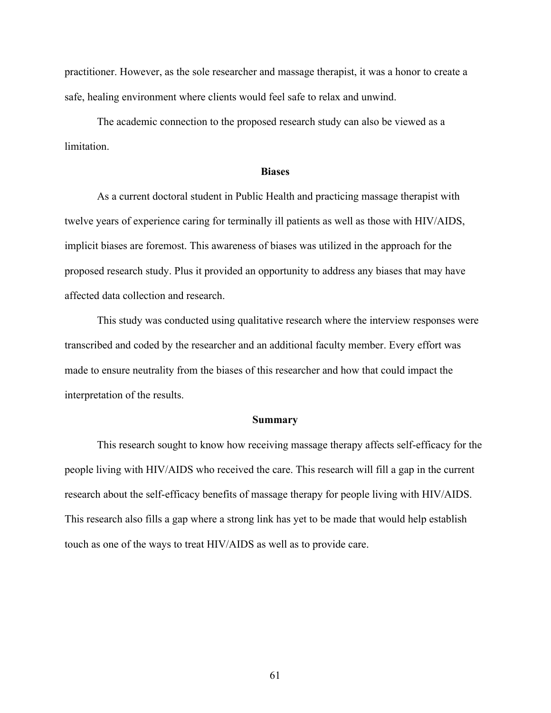practitioner. However, as the sole researcher and massage therapist, it was a honor to create a safe, healing environment where clients would feel safe to relax and unwind.

The academic connection to the proposed research study can also be viewed as a limitation.

## **Biases**

As a current doctoral student in Public Health and practicing massage therapist with twelve years of experience caring for terminally ill patients as well as those with HIV/AIDS, implicit biases are foremost. This awareness of biases was utilized in the approach for the proposed research study. Plus it provided an opportunity to address any biases that may have affected data collection and research.

This study was conducted using qualitative research where the interview responses were transcribed and coded by the researcher and an additional faculty member. Every effort was made to ensure neutrality from the biases of this researcher and how that could impact the interpretation of the results.

#### **Summary**

This research sought to know how receiving massage therapy affects self-efficacy for the people living with HIV/AIDS who received the care. This research will fill a gap in the current research about the self-efficacy benefits of massage therapy for people living with HIV/AIDS. This research also fills a gap where a strong link has yet to be made that would help establish touch as one of the ways to treat HIV/AIDS as well as to provide care.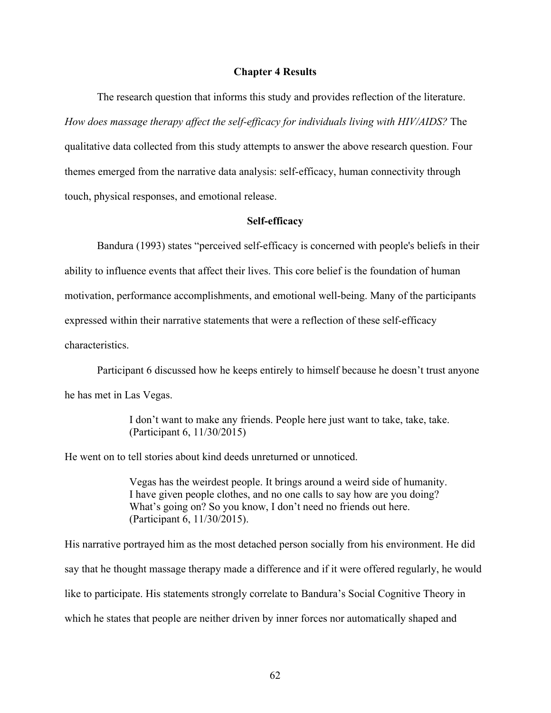## **Chapter 4 Results**

The research question that informs this study and provides reflection of the literature. *How does massage therapy affect the self-efficacy for individuals living with HIV/AIDS?* The qualitative data collected from this study attempts to answer the above research question. Four themes emerged from the narrative data analysis: self-efficacy, human connectivity through touch, physical responses, and emotional release.

## **Self-efficacy**

Bandura (1993) states "perceived self-efficacy is concerned with people's beliefs in their ability to influence events that affect their lives. This core belief is the foundation of human motivation, performance accomplishments, and emotional well-being. Many of the participants expressed within their narrative statements that were a reflection of these self-efficacy characteristics.

Participant 6 discussed how he keeps entirely to himself because he doesn't trust anyone he has met in Las Vegas.

> I don't want to make any friends. People here just want to take, take, take. (Participant 6, 11/30/2015)

He went on to tell stories about kind deeds unreturned or unnoticed.

Vegas has the weirdest people. It brings around a weird side of humanity. I have given people clothes, and no one calls to say how are you doing? What's going on? So you know, I don't need no friends out here. (Participant 6, 11/30/2015).

His narrative portrayed him as the most detached person socially from his environment. He did say that he thought massage therapy made a difference and if it were offered regularly, he would like to participate. His statements strongly correlate to Bandura's Social Cognitive Theory in which he states that people are neither driven by inner forces nor automatically shaped and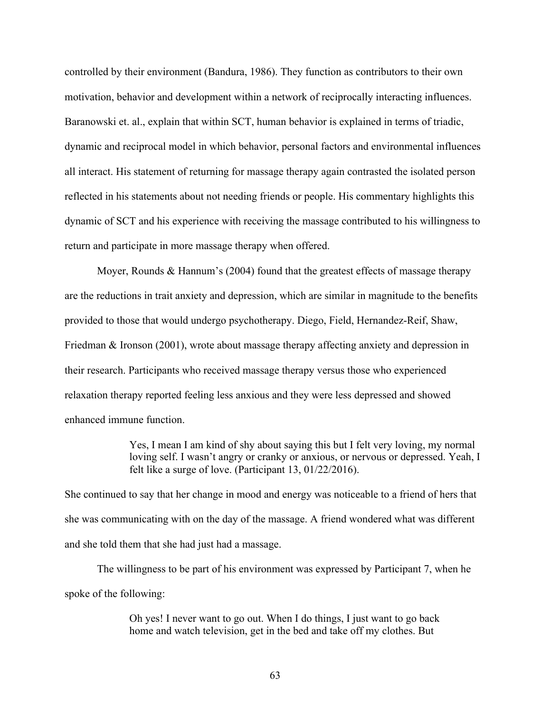controlled by their environment (Bandura, 1986). They function as contributors to their own motivation, behavior and development within a network of reciprocally interacting influences. Baranowski et. al., explain that within SCT, human behavior is explained in terms of triadic, dynamic and reciprocal model in which behavior, personal factors and environmental influences all interact. His statement of returning for massage therapy again contrasted the isolated person reflected in his statements about not needing friends or people. His commentary highlights this dynamic of SCT and his experience with receiving the massage contributed to his willingness to return and participate in more massage therapy when offered.

Moyer, Rounds & Hannum's (2004) found that the greatest effects of massage therapy are the reductions in trait anxiety and depression, which are similar in magnitude to the benefits provided to those that would undergo psychotherapy. Diego, Field, Hernandez-Reif, Shaw, Friedman & Ironson (2001), wrote about massage therapy affecting anxiety and depression in their research. Participants who received massage therapy versus those who experienced relaxation therapy reported feeling less anxious and they were less depressed and showed enhanced immune function.

> Yes, I mean I am kind of shy about saying this but I felt very loving, my normal loving self. I wasn't angry or cranky or anxious, or nervous or depressed. Yeah, I felt like a surge of love. (Participant 13, 01/22/2016).

She continued to say that her change in mood and energy was noticeable to a friend of hers that she was communicating with on the day of the massage. A friend wondered what was different and she told them that she had just had a massage.

The willingness to be part of his environment was expressed by Participant 7, when he spoke of the following:

> Oh yes! I never want to go out. When I do things, I just want to go back home and watch television, get in the bed and take off my clothes. But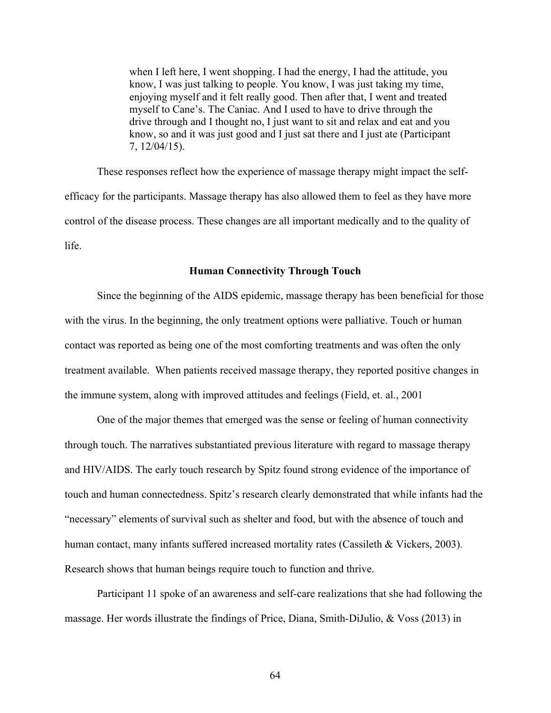when I left here, I went shopping. I had the energy, I had the attitude, you know, I was just talking to people. You know, I was just taking my time, enjoying myself and it felt really good. Then after that, I went and treated myself to Cane's. The Caniac. And I used to have to drive through the drive through and I thought no, I just want to sit and relax and eat and you know, so and it was just good and I just sat there and I just ate (Participant 7, 12/04/15).

These responses reflect how the experience of massage therapy might impact the selfefficacy for the participants. Massage therapy has also allowed them to feel as they have more control of the disease process. These changes are all important medically and to the quality of life.

#### **Human Connectivity Through Touch**

Since the beginning of the AIDS epidemic, massage therapy has been beneficial for those with the virus. In the beginning, the only treatment options were palliative. Touch or human contact was reported as being one of the most comforting treatments and was often the only treatment available. When patients received massage therapy, they reported positive changes in the immune system, along with improved attitudes and feelings (Field, et. al., 2001

One of the major themes that emerged was the sense or feeling of human connectivity through touch. The narratives substantiated previous literature with regard to massage therapy and HIV/AIDS. The early touch research by Spitz found strong evidence of the importance of touch and human connectedness. Spitz's research clearly demonstrated that while infants had the "necessary" elements of survival such as shelter and food, but with the absence of touch and human contact, many infants suffered increased mortality rates (Cassileth & Vickers, 2003). Research shows that human beings require touch to function and thrive.

Participant 11 spoke of an awareness and self-care realizations that she had following the massage. Her words illustrate the findings of Price, Diana, Smith-DiJulio, & Voss (2013) in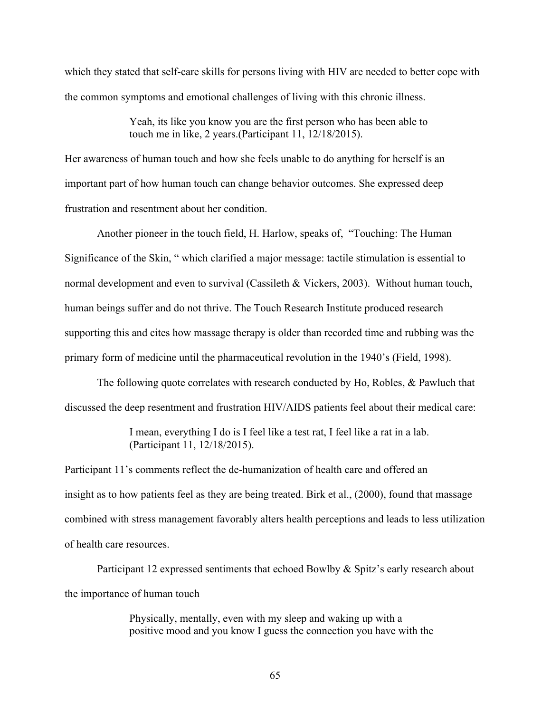which they stated that self-care skills for persons living with HIV are needed to better cope with the common symptoms and emotional challenges of living with this chronic illness.

> Yeah, its like you know you are the first person who has been able to touch me in like, 2 years.(Participant 11, 12/18/2015).

Her awareness of human touch and how she feels unable to do anything for herself is an important part of how human touch can change behavior outcomes. She expressed deep frustration and resentment about her condition.

Another pioneer in the touch field, H. Harlow, speaks of, "Touching: The Human Significance of the Skin, " which clarified a major message: tactile stimulation is essential to normal development and even to survival (Cassileth & Vickers, 2003). Without human touch, human beings suffer and do not thrive. The Touch Research Institute produced research supporting this and cites how massage therapy is older than recorded time and rubbing was the primary form of medicine until the pharmaceutical revolution in the 1940's (Field, 1998).

The following quote correlates with research conducted by Ho, Robles, & Pawluch that discussed the deep resentment and frustration HIV/AIDS patients feel about their medical care:

> I mean, everything I do is I feel like a test rat, I feel like a rat in a lab. (Participant 11, 12/18/2015).

Participant 11's comments reflect the de-humanization of health care and offered an insight as to how patients feel as they are being treated. Birk et al., (2000), found that massage combined with stress management favorably alters health perceptions and leads to less utilization of health care resources.

Participant 12 expressed sentiments that echoed Bowlby & Spitz's early research about the importance of human touch

> Physically, mentally, even with my sleep and waking up with a positive mood and you know I guess the connection you have with the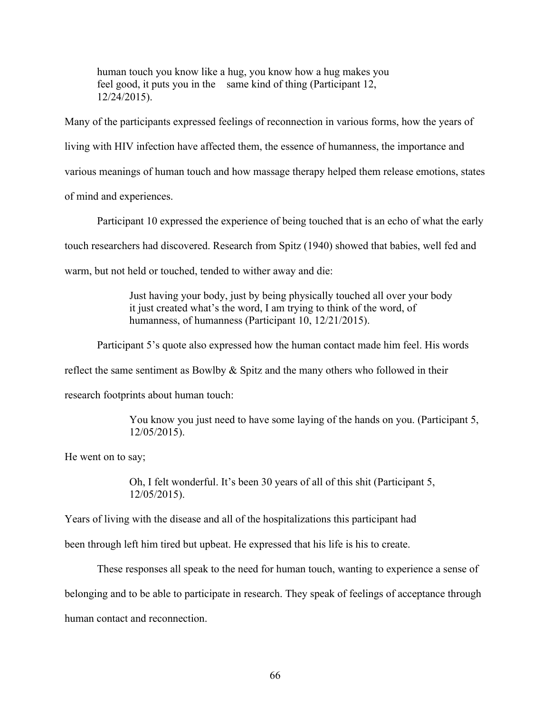human touch you know like a hug, you know how a hug makes you feel good, it puts you in the same kind of thing (Participant 12, 12/24/2015).

Many of the participants expressed feelings of reconnection in various forms, how the years of living with HIV infection have affected them, the essence of humanness, the importance and various meanings of human touch and how massage therapy helped them release emotions, states of mind and experiences.

Participant 10 expressed the experience of being touched that is an echo of what the early touch researchers had discovered. Research from Spitz (1940) showed that babies, well fed and warm, but not held or touched, tended to wither away and die:

> Just having your body, just by being physically touched all over your body it just created what's the word, I am trying to think of the word, of humanness, of humanness (Participant 10, 12/21/2015).

Participant 5's quote also expressed how the human contact made him feel. His words

reflect the same sentiment as Bowlby  $\&$  Spitz and the many others who followed in their

research footprints about human touch:

You know you just need to have some laying of the hands on you. (Participant 5, 12/05/2015).

He went on to say;

Oh, I felt wonderful. It's been 30 years of all of this shit (Participant 5, 12/05/2015).

Years of living with the disease and all of the hospitalizations this participant had

been through left him tired but upbeat. He expressed that his life is his to create.

These responses all speak to the need for human touch, wanting to experience a sense of belonging and to be able to participate in research. They speak of feelings of acceptance through human contact and reconnection.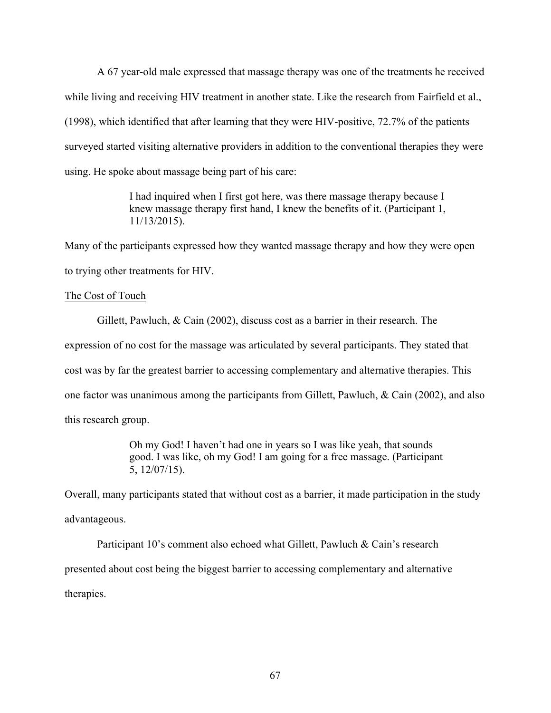A 67 year-old male expressed that massage therapy was one of the treatments he received while living and receiving HIV treatment in another state. Like the research from Fairfield et al., (1998), which identified that after learning that they were HIV-positive, 72.7% of the patients surveyed started visiting alternative providers in addition to the conventional therapies they were using. He spoke about massage being part of his care:

> I had inquired when I first got here, was there massage therapy because I knew massage therapy first hand, I knew the benefits of it. (Participant 1, 11/13/2015).

Many of the participants expressed how they wanted massage therapy and how they were open to trying other treatments for HIV.

#### The Cost of Touch

Gillett, Pawluch, & Cain (2002), discuss cost as a barrier in their research. The expression of no cost for the massage was articulated by several participants. They stated that cost was by far the greatest barrier to accessing complementary and alternative therapies. This one factor was unanimous among the participants from Gillett, Pawluch, & Cain (2002), and also this research group.

> Oh my God! I haven't had one in years so I was like yeah, that sounds good. I was like, oh my God! I am going for a free massage. (Participant 5, 12/07/15).

Overall, many participants stated that without cost as a barrier, it made participation in the study advantageous.

Participant 10's comment also echoed what Gillett, Pawluch & Cain's research presented about cost being the biggest barrier to accessing complementary and alternative therapies.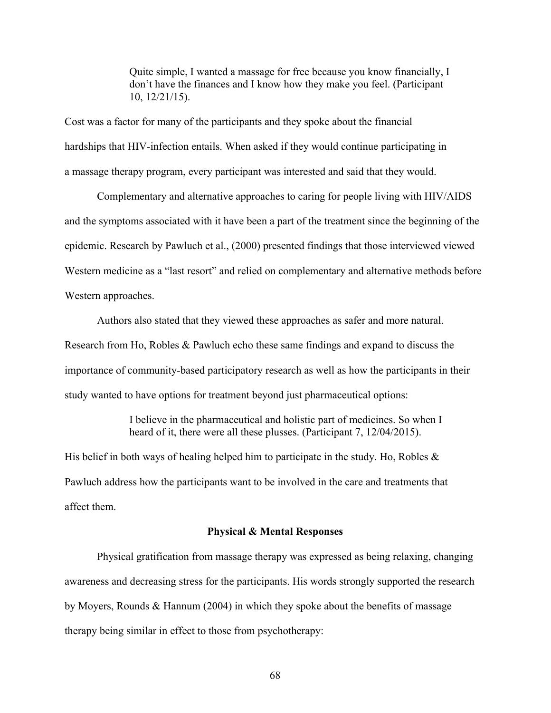Quite simple, I wanted a massage for free because you know financially, I don't have the finances and I know how they make you feel. (Participant 10, 12/21/15).

Cost was a factor for many of the participants and they spoke about the financial hardships that HIV-infection entails. When asked if they would continue participating in a massage therapy program, every participant was interested and said that they would.

Complementary and alternative approaches to caring for people living with HIV/AIDS and the symptoms associated with it have been a part of the treatment since the beginning of the epidemic. Research by Pawluch et al., (2000) presented findings that those interviewed viewed Western medicine as a "last resort" and relied on complementary and alternative methods before Western approaches.

Authors also stated that they viewed these approaches as safer and more natural. Research from Ho, Robles & Pawluch echo these same findings and expand to discuss the importance of community-based participatory research as well as how the participants in their study wanted to have options for treatment beyond just pharmaceutical options:

> I believe in the pharmaceutical and holistic part of medicines. So when I heard of it, there were all these plusses. (Participant 7, 12/04/2015).

His belief in both ways of healing helped him to participate in the study. Ho, Robles  $\&$ Pawluch address how the participants want to be involved in the care and treatments that affect them.

#### **Physical & Mental Responses**

Physical gratification from massage therapy was expressed as being relaxing, changing awareness and decreasing stress for the participants. His words strongly supported the research by Moyers, Rounds & Hannum (2004) in which they spoke about the benefits of massage therapy being similar in effect to those from psychotherapy: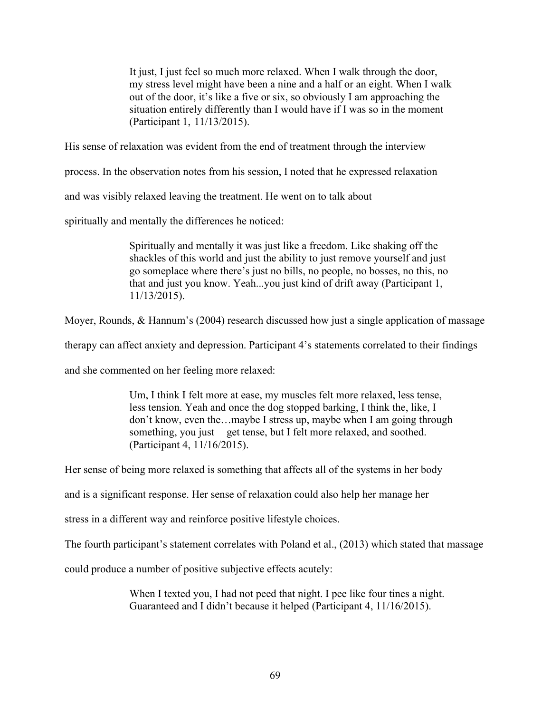It just, I just feel so much more relaxed. When I walk through the door, my stress level might have been a nine and a half or an eight. When I walk out of the door, it's like a five or six, so obviously I am approaching the situation entirely differently than I would have if I was so in the moment (Participant 1, 11/13/2015).

His sense of relaxation was evident from the end of treatment through the interview

process. In the observation notes from his session, I noted that he expressed relaxation

and was visibly relaxed leaving the treatment. He went on to talk about

spiritually and mentally the differences he noticed:

Spiritually and mentally it was just like a freedom. Like shaking off the shackles of this world and just the ability to just remove yourself and just go someplace where there's just no bills, no people, no bosses, no this, no that and just you know. Yeah...you just kind of drift away (Participant 1, 11/13/2015).

Moyer, Rounds, & Hannum's (2004) research discussed how just a single application of massage

therapy can affect anxiety and depression. Participant 4's statements correlated to their findings

and she commented on her feeling more relaxed:

Um, I think I felt more at ease, my muscles felt more relaxed, less tense, less tension. Yeah and once the dog stopped barking, I think the, like, I don't know, even the…maybe I stress up, maybe when I am going through something, you just get tense, but I felt more relaxed, and soothed. (Participant 4, 11/16/2015).

Her sense of being more relaxed is something that affects all of the systems in her body

and is a significant response. Her sense of relaxation could also help her manage her

stress in a different way and reinforce positive lifestyle choices.

The fourth participant's statement correlates with Poland et al., (2013) which stated that massage

could produce a number of positive subjective effects acutely:

When I texted you, I had not peed that night. I pee like four tines a night. Guaranteed and I didn't because it helped (Participant 4, 11/16/2015).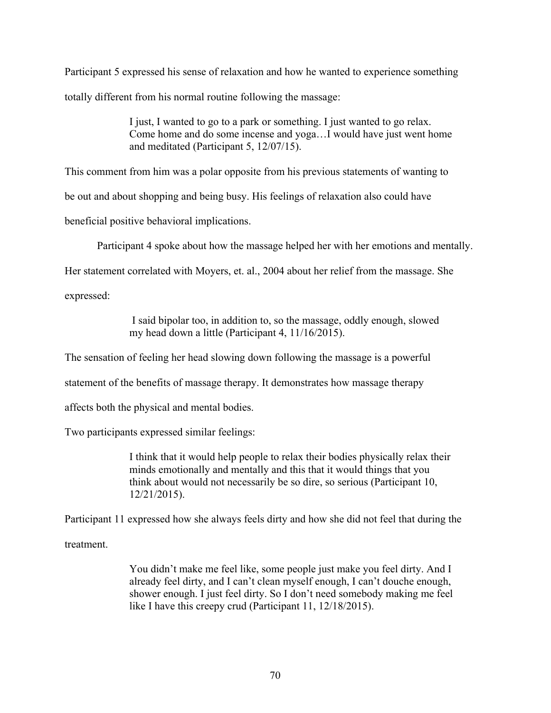Participant 5 expressed his sense of relaxation and how he wanted to experience something totally different from his normal routine following the massage:

> I just, I wanted to go to a park or something. I just wanted to go relax. Come home and do some incense and yoga…I would have just went home and meditated (Participant 5, 12/07/15).

This comment from him was a polar opposite from his previous statements of wanting to

be out and about shopping and being busy. His feelings of relaxation also could have

beneficial positive behavioral implications.

Participant 4 spoke about how the massage helped her with her emotions and mentally.

Her statement correlated with Moyers, et. al., 2004 about her relief from the massage. She

expressed:

I said bipolar too, in addition to, so the massage, oddly enough, slowed my head down a little (Participant 4, 11/16/2015).

The sensation of feeling her head slowing down following the massage is a powerful

statement of the benefits of massage therapy. It demonstrates how massage therapy

affects both the physical and mental bodies.

Two participants expressed similar feelings:

I think that it would help people to relax their bodies physically relax their minds emotionally and mentally and this that it would things that you think about would not necessarily be so dire, so serious (Participant 10, 12/21/2015).

Participant 11 expressed how she always feels dirty and how she did not feel that during the

treatment.

You didn't make me feel like, some people just make you feel dirty. And I already feel dirty, and I can't clean myself enough, I can't douche enough, shower enough. I just feel dirty. So I don't need somebody making me feel like I have this creepy crud (Participant 11, 12/18/2015).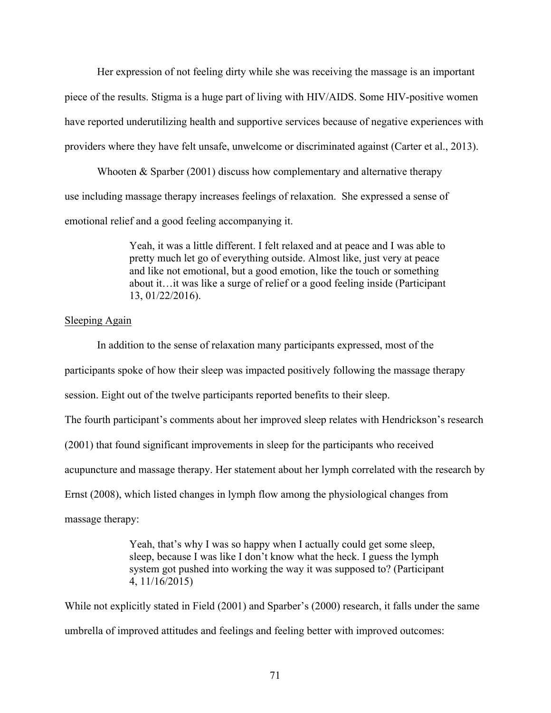Her expression of not feeling dirty while she was receiving the massage is an important piece of the results. Stigma is a huge part of living with HIV/AIDS. Some HIV-positive women have reported underutilizing health and supportive services because of negative experiences with providers where they have felt unsafe, unwelcome or discriminated against (Carter et al., 2013).

Whooten  $&$  Sparber (2001) discuss how complementary and alternative therapy use including massage therapy increases feelings of relaxation. She expressed a sense of emotional relief and a good feeling accompanying it.

> Yeah, it was a little different. I felt relaxed and at peace and I was able to pretty much let go of everything outside. Almost like, just very at peace and like not emotional, but a good emotion, like the touch or something about it…it was like a surge of relief or a good feeling inside (Participant 13, 01/22/2016).

#### Sleeping Again

In addition to the sense of relaxation many participants expressed, most of the participants spoke of how their sleep was impacted positively following the massage therapy session. Eight out of the twelve participants reported benefits to their sleep.

The fourth participant's comments about her improved sleep relates with Hendrickson's research

(2001) that found significant improvements in sleep for the participants who received

acupuncture and massage therapy. Her statement about her lymph correlated with the research by

Ernst (2008), which listed changes in lymph flow among the physiological changes from

massage therapy:

Yeah, that's why I was so happy when I actually could get some sleep, sleep, because I was like I don't know what the heck. I guess the lymph system got pushed into working the way it was supposed to? (Participant 4, 11/16/2015)

While not explicitly stated in Field (2001) and Sparber's (2000) research, it falls under the same umbrella of improved attitudes and feelings and feeling better with improved outcomes: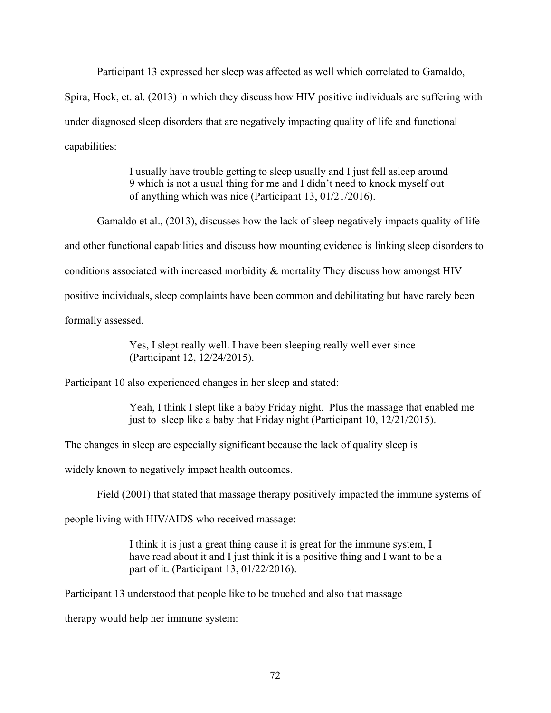Participant 13 expressed her sleep was affected as well which correlated to Gamaldo,

Spira, Hock, et. al. (2013) in which they discuss how HIV positive individuals are suffering with under diagnosed sleep disorders that are negatively impacting quality of life and functional capabilities:

> I usually have trouble getting to sleep usually and I just fell asleep around 9 which is not a usual thing for me and I didn't need to knock myself out of anything which was nice (Participant 13, 01/21/2016).

Gamaldo et al., (2013), discusses how the lack of sleep negatively impacts quality of life and other functional capabilities and discuss how mounting evidence is linking sleep disorders to conditions associated with increased morbidity & mortality They discuss how amongst HIV positive individuals, sleep complaints have been common and debilitating but have rarely been formally assessed.

> Yes, I slept really well. I have been sleeping really well ever since (Participant 12, 12/24/2015).

Participant 10 also experienced changes in her sleep and stated:

Yeah, I think I slept like a baby Friday night. Plus the massage that enabled me just to sleep like a baby that Friday night (Participant 10, 12/21/2015).

The changes in sleep are especially significant because the lack of quality sleep is

widely known to negatively impact health outcomes.

Field (2001) that stated that massage therapy positively impacted the immune systems of

people living with HIV/AIDS who received massage:

I think it is just a great thing cause it is great for the immune system, I have read about it and I just think it is a positive thing and I want to be a part of it. (Participant 13, 01/22/2016).

Participant 13 understood that people like to be touched and also that massage

therapy would help her immune system: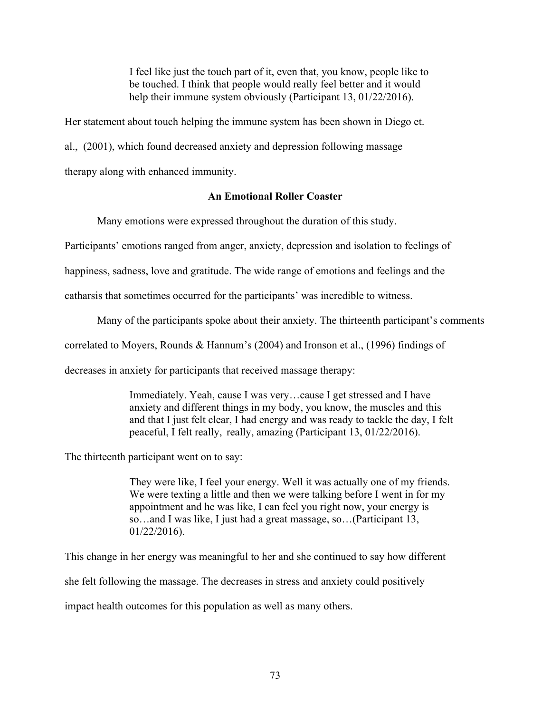I feel like just the touch part of it, even that, you know, people like to be touched. I think that people would really feel better and it would help their immune system obviously (Participant 13, 01/22/2016).

Her statement about touch helping the immune system has been shown in Diego et.

al., (2001), which found decreased anxiety and depression following massage

therapy along with enhanced immunity.

### **An Emotional Roller Coaster**

Many emotions were expressed throughout the duration of this study.

Participants' emotions ranged from anger, anxiety, depression and isolation to feelings of

happiness, sadness, love and gratitude. The wide range of emotions and feelings and the

catharsis that sometimes occurred for the participants' was incredible to witness.

Many of the participants spoke about their anxiety. The thirteenth participant's comments

correlated to Moyers, Rounds & Hannum's (2004) and Ironson et al., (1996) findings of

decreases in anxiety for participants that received massage therapy:

Immediately. Yeah, cause I was very…cause I get stressed and I have anxiety and different things in my body, you know, the muscles and this and that I just felt clear, I had energy and was ready to tackle the day, I felt peaceful, I felt really, really, amazing (Participant 13, 01/22/2016).

The thirteenth participant went on to say:

They were like, I feel your energy. Well it was actually one of my friends. We were texting a little and then we were talking before I went in for my appointment and he was like, I can feel you right now, your energy is so…and I was like, I just had a great massage, so…(Participant 13, 01/22/2016).

This change in her energy was meaningful to her and she continued to say how different she felt following the massage. The decreases in stress and anxiety could positively impact health outcomes for this population as well as many others.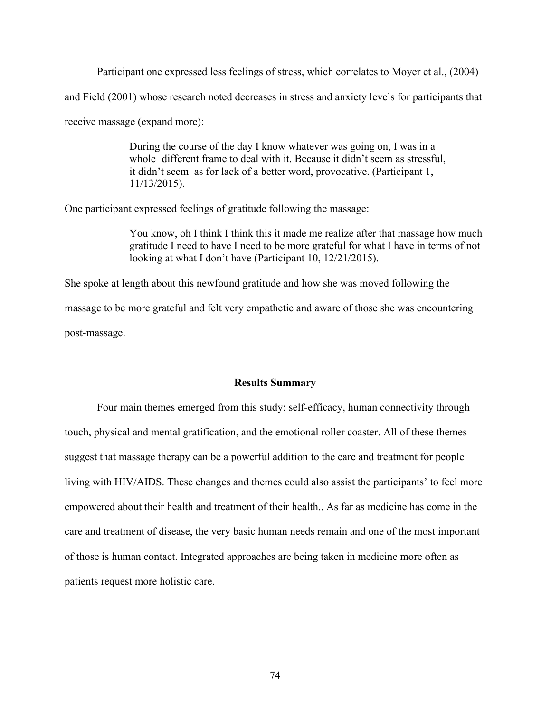Participant one expressed less feelings of stress, which correlates to Moyer et al., (2004) and Field (2001) whose research noted decreases in stress and anxiety levels for participants that receive massage (expand more):

> During the course of the day I know whatever was going on, I was in a whole different frame to deal with it. Because it didn't seem as stressful, it didn't seem as for lack of a better word, provocative. (Participant 1, 11/13/2015).

One participant expressed feelings of gratitude following the massage:

You know, oh I think I think this it made me realize after that massage how much gratitude I need to have I need to be more grateful for what I have in terms of not looking at what I don't have (Participant 10, 12/21/2015).

She spoke at length about this newfound gratitude and how she was moved following the massage to be more grateful and felt very empathetic and aware of those she was encountering post-massage.

#### **Results Summary**

Four main themes emerged from this study: self-efficacy, human connectivity through touch, physical and mental gratification, and the emotional roller coaster. All of these themes suggest that massage therapy can be a powerful addition to the care and treatment for people living with HIV/AIDS. These changes and themes could also assist the participants' to feel more empowered about their health and treatment of their health.. As far as medicine has come in the care and treatment of disease, the very basic human needs remain and one of the most important of those is human contact. Integrated approaches are being taken in medicine more often as patients request more holistic care.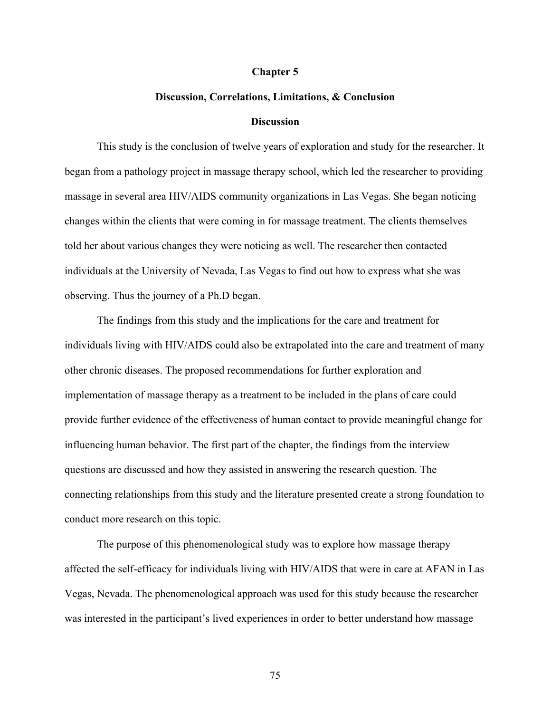#### **Chapter 5**

#### **Discussion, Correlations, Limitations, & Conclusion**

#### **Discussion**

This study is the conclusion of twelve years of exploration and study for the researcher. It began from a pathology project in massage therapy school, which led the researcher to providing massage in several area HIV/AIDS community organizations in Las Vegas. She began noticing changes within the clients that were coming in for massage treatment. The clients themselves told her about various changes they were noticing as well. The researcher then contacted individuals at the University of Nevada, Las Vegas to find out how to express what she was observing. Thus the journey of a Ph.D began.

The findings from this study and the implications for the care and treatment for individuals living with HIV/AIDS could also be extrapolated into the care and treatment of many other chronic diseases. The proposed recommendations for further exploration and implementation of massage therapy as a treatment to be included in the plans of care could provide further evidence of the effectiveness of human contact to provide meaningful change for influencing human behavior. The first part of the chapter, the findings from the interview questions are discussed and how they assisted in answering the research question. The connecting relationships from this study and the literature presented create a strong foundation to conduct more research on this topic.

The purpose of this phenomenological study was to explore how massage therapy affected the self-efficacy for individuals living with HIV/AIDS that were in care at AFAN in Las Vegas, Nevada. The phenomenological approach was used for this study because the researcher was interested in the participant's lived experiences in order to better understand how massage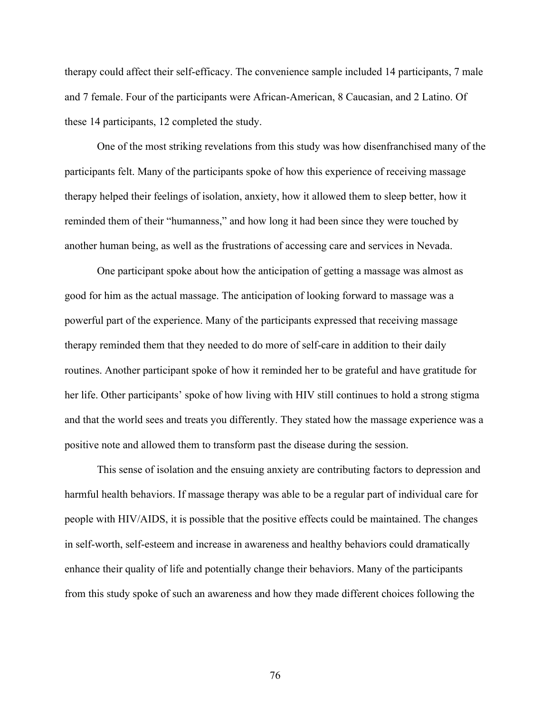therapy could affect their self-efficacy. The convenience sample included 14 participants, 7 male and 7 female. Four of the participants were African-American, 8 Caucasian, and 2 Latino. Of these 14 participants, 12 completed the study.

One of the most striking revelations from this study was how disenfranchised many of the participants felt. Many of the participants spoke of how this experience of receiving massage therapy helped their feelings of isolation, anxiety, how it allowed them to sleep better, how it reminded them of their "humanness," and how long it had been since they were touched by another human being, as well as the frustrations of accessing care and services in Nevada.

One participant spoke about how the anticipation of getting a massage was almost as good for him as the actual massage. The anticipation of looking forward to massage was a powerful part of the experience. Many of the participants expressed that receiving massage therapy reminded them that they needed to do more of self-care in addition to their daily routines. Another participant spoke of how it reminded her to be grateful and have gratitude for her life. Other participants' spoke of how living with HIV still continues to hold a strong stigma and that the world sees and treats you differently. They stated how the massage experience was a positive note and allowed them to transform past the disease during the session.

This sense of isolation and the ensuing anxiety are contributing factors to depression and harmful health behaviors. If massage therapy was able to be a regular part of individual care for people with HIV/AIDS, it is possible that the positive effects could be maintained. The changes in self-worth, self-esteem and increase in awareness and healthy behaviors could dramatically enhance their quality of life and potentially change their behaviors. Many of the participants from this study spoke of such an awareness and how they made different choices following the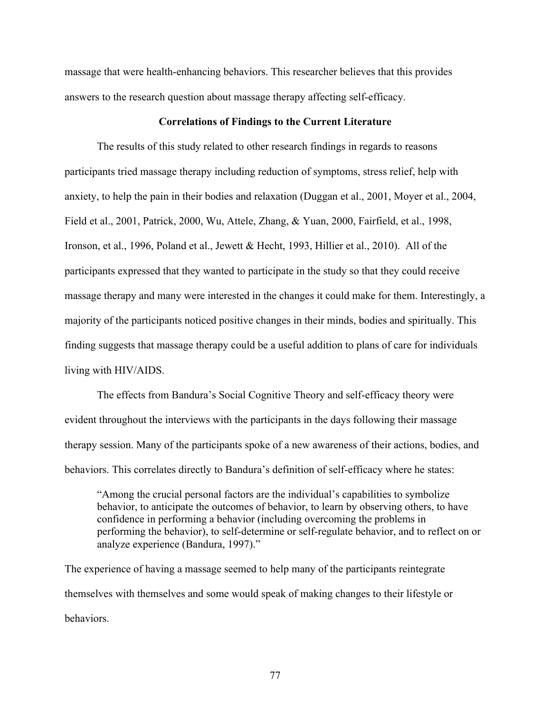massage that were health-enhancing behaviors. This researcher believes that this provides answers to the research question about massage therapy affecting self-efficacy.

#### **Correlations of Findings to the Current Literature**

The results of this study related to other research findings in regards to reasons participants tried massage therapy including reduction of symptoms, stress relief, help with anxiety, to help the pain in their bodies and relaxation (Duggan et al., 2001, Moyer et al., 2004, Field et al., 2001, Patrick, 2000, Wu, Attele, Zhang, & Yuan, 2000, Fairfield, et al., 1998, Ironson, et al., 1996, Poland et al., Jewett & Hecht, 1993, Hillier et al., 2010). All of the participants expressed that they wanted to participate in the study so that they could receive massage therapy and many were interested in the changes it could make for them. Interestingly, a majority of the participants noticed positive changes in their minds, bodies and spiritually. This finding suggests that massage therapy could be a useful addition to plans of care for individuals living with HIV/AIDS.

The effects from Bandura's Social Cognitive Theory and self-efficacy theory were evident throughout the interviews with the participants in the days following their massage therapy session. Many of the participants spoke of a new awareness of their actions, bodies, and behaviors. This correlates directly to Bandura's definition of self-efficacy where he states:

"Among the crucial personal factors are the individual's capabilities to symbolize behavior, to anticipate the outcomes of behavior, to learn by observing others, to have confidence in performing a behavior (including overcoming the problems in performing the behavior), to self-determine or self-regulate behavior, and to reflect on or analyze experience (Bandura, 1997)."

The experience of having a massage seemed to help many of the participants reintegrate themselves with themselves and some would speak of making changes to their lifestyle or behaviors.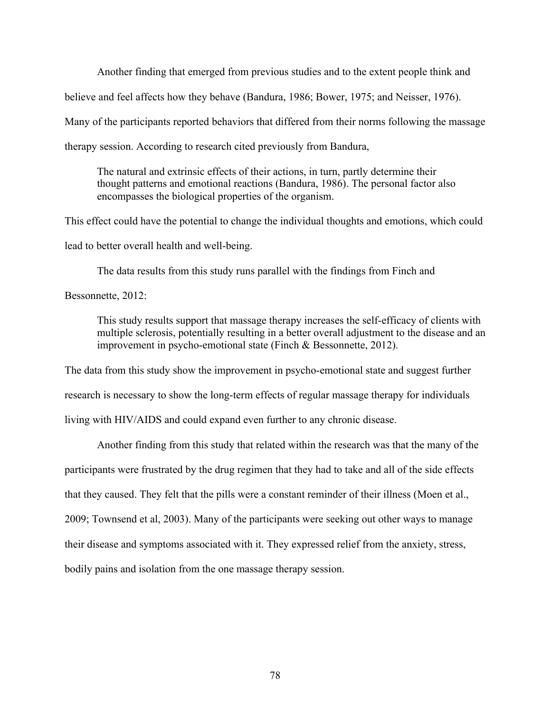Another finding that emerged from previous studies and to the extent people think and believe and feel affects how they behave (Bandura, 1986; Bower, 1975; and Neisser, 1976). Many of the participants reported behaviors that differed from their norms following the massage therapy session. According to research cited previously from Bandura,

The natural and extrinsic effects of their actions, in turn, partly determine their thought patterns and emotional reactions (Bandura, 1986). The personal factor also encompasses the biological properties of the organism.

This effect could have the potential to change the individual thoughts and emotions, which could lead to better overall health and well-being.

The data results from this study runs parallel with the findings from Finch and

Bessonnette, 2012:

This study results support that massage therapy increases the self-efficacy of clients with multiple sclerosis, potentially resulting in a better overall adjustment to the disease and an improvement in psycho-emotional state (Finch & Bessonnette, 2012).

The data from this study show the improvement in psycho-emotional state and suggest further research is necessary to show the long-term effects of regular massage therapy for individuals living with HIV/AIDS and could expand even further to any chronic disease.

Another finding from this study that related within the research was that the many of the participants were frustrated by the drug regimen that they had to take and all of the side effects that they caused. They felt that the pills were a constant reminder of their illness (Moen et al., 2009; Townsend et al, 2003). Many of the participants were seeking out other ways to manage their disease and symptoms associated with it. They expressed relief from the anxiety, stress, bodily pains and isolation from the one massage therapy session.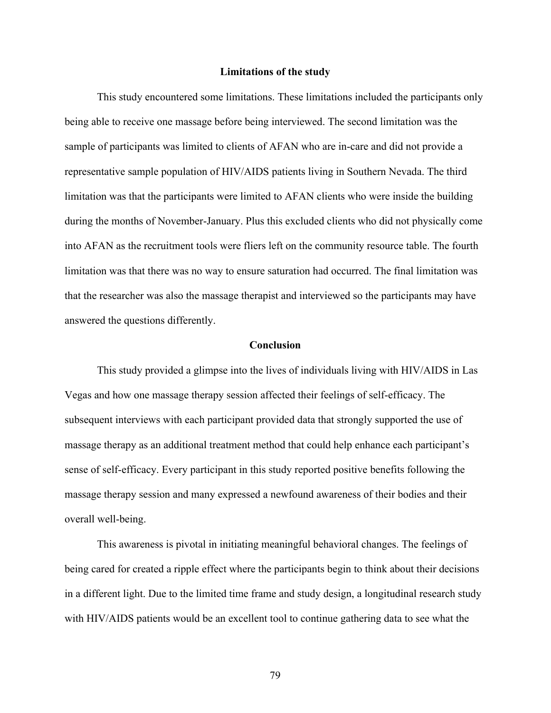#### **Limitations of the study**

This study encountered some limitations. These limitations included the participants only being able to receive one massage before being interviewed. The second limitation was the sample of participants was limited to clients of AFAN who are in-care and did not provide a representative sample population of HIV/AIDS patients living in Southern Nevada. The third limitation was that the participants were limited to AFAN clients who were inside the building during the months of November-January. Plus this excluded clients who did not physically come into AFAN as the recruitment tools were fliers left on the community resource table. The fourth limitation was that there was no way to ensure saturation had occurred. The final limitation was that the researcher was also the massage therapist and interviewed so the participants may have answered the questions differently.

#### **Conclusion**

This study provided a glimpse into the lives of individuals living with HIV/AIDS in Las Vegas and how one massage therapy session affected their feelings of self-efficacy. The subsequent interviews with each participant provided data that strongly supported the use of massage therapy as an additional treatment method that could help enhance each participant's sense of self-efficacy. Every participant in this study reported positive benefits following the massage therapy session and many expressed a newfound awareness of their bodies and their overall well-being.

This awareness is pivotal in initiating meaningful behavioral changes. The feelings of being cared for created a ripple effect where the participants begin to think about their decisions in a different light. Due to the limited time frame and study design, a longitudinal research study with HIV/AIDS patients would be an excellent tool to continue gathering data to see what the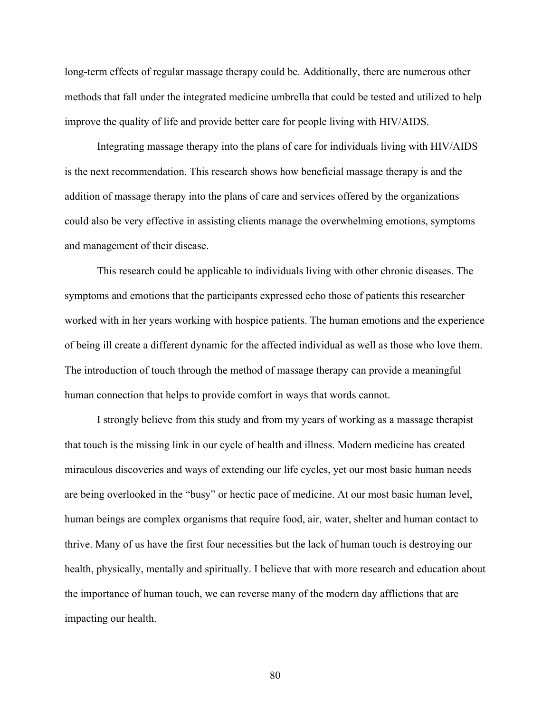long-term effects of regular massage therapy could be. Additionally, there are numerous other methods that fall under the integrated medicine umbrella that could be tested and utilized to help improve the quality of life and provide better care for people living with HIV/AIDS.

Integrating massage therapy into the plans of care for individuals living with HIV/AIDS is the next recommendation. This research shows how beneficial massage therapy is and the addition of massage therapy into the plans of care and services offered by the organizations could also be very effective in assisting clients manage the overwhelming emotions, symptoms and management of their disease.

This research could be applicable to individuals living with other chronic diseases. The symptoms and emotions that the participants expressed echo those of patients this researcher worked with in her years working with hospice patients. The human emotions and the experience of being ill create a different dynamic for the affected individual as well as those who love them. The introduction of touch through the method of massage therapy can provide a meaningful human connection that helps to provide comfort in ways that words cannot.

I strongly believe from this study and from my years of working as a massage therapist that touch is the missing link in our cycle of health and illness. Modern medicine has created miraculous discoveries and ways of extending our life cycles, yet our most basic human needs are being overlooked in the "busy" or hectic pace of medicine. At our most basic human level, human beings are complex organisms that require food, air, water, shelter and human contact to thrive. Many of us have the first four necessities but the lack of human touch is destroying our health, physically, mentally and spiritually. I believe that with more research and education about the importance of human touch, we can reverse many of the modern day afflictions that are impacting our health.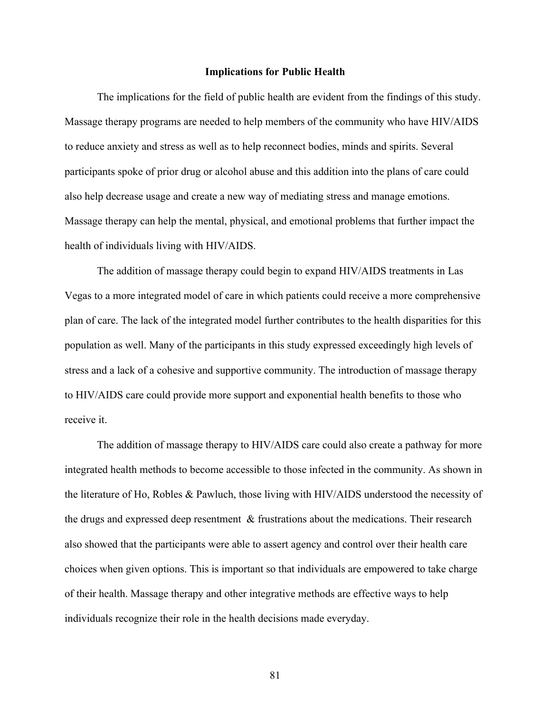#### **Implications for Public Health**

The implications for the field of public health are evident from the findings of this study. Massage therapy programs are needed to help members of the community who have HIV/AIDS to reduce anxiety and stress as well as to help reconnect bodies, minds and spirits. Several participants spoke of prior drug or alcohol abuse and this addition into the plans of care could also help decrease usage and create a new way of mediating stress and manage emotions. Massage therapy can help the mental, physical, and emotional problems that further impact the health of individuals living with HIV/AIDS.

The addition of massage therapy could begin to expand HIV/AIDS treatments in Las Vegas to a more integrated model of care in which patients could receive a more comprehensive plan of care. The lack of the integrated model further contributes to the health disparities for this population as well. Many of the participants in this study expressed exceedingly high levels of stress and a lack of a cohesive and supportive community. The introduction of massage therapy to HIV/AIDS care could provide more support and exponential health benefits to those who receive it.

The addition of massage therapy to HIV/AIDS care could also create a pathway for more integrated health methods to become accessible to those infected in the community. As shown in the literature of Ho, Robles & Pawluch, those living with HIV/AIDS understood the necessity of the drugs and expressed deep resentment & frustrations about the medications. Their research also showed that the participants were able to assert agency and control over their health care choices when given options. This is important so that individuals are empowered to take charge of their health. Massage therapy and other integrative methods are effective ways to help individuals recognize their role in the health decisions made everyday.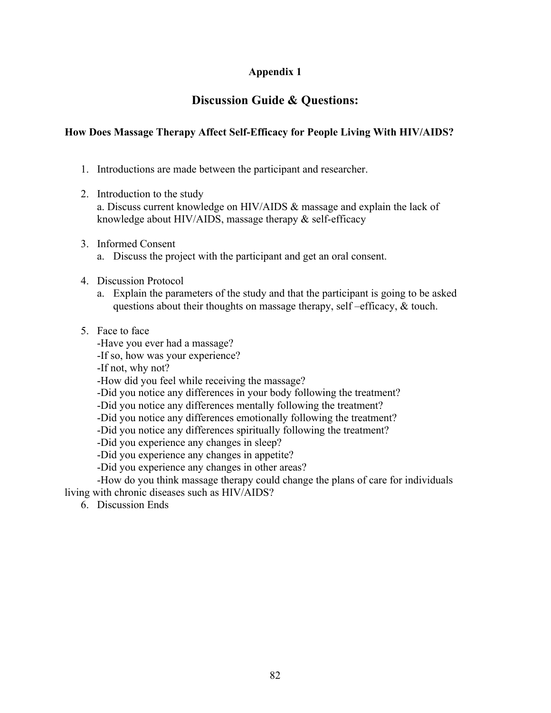## **Appendix 1**

## **Discussion Guide & Questions:**

### **How Does Massage Therapy Affect Self-Efficacy for People Living With HIV/AIDS?**

- 1. Introductions are made between the participant and researcher.
- 2. Introduction to the study
	- a. Discuss current knowledge on HIV/AIDS & massage and explain the lack of knowledge about HIV/AIDS, massage therapy & self-efficacy
- 3. Informed Consent
	- a. Discuss the project with the participant and get an oral consent.
- 4. Discussion Protocol
	- a. Explain the parameters of the study and that the participant is going to be asked questions about their thoughts on massage therapy, self –efficacy, & touch.
- 5. Face to face
	- -Have you ever had a massage?
	- -If so, how was your experience?

-If not, why not?

-How did you feel while receiving the massage?

-Did you notice any differences in your body following the treatment?

- -Did you notice any differences mentally following the treatment?
- -Did you notice any differences emotionally following the treatment?
- -Did you notice any differences spiritually following the treatment?
- -Did you experience any changes in sleep?
- -Did you experience any changes in appetite?
- -Did you experience any changes in other areas?

-How do you think massage therapy could change the plans of care for individuals living with chronic diseases such as HIV/AIDS?

6. Discussion Ends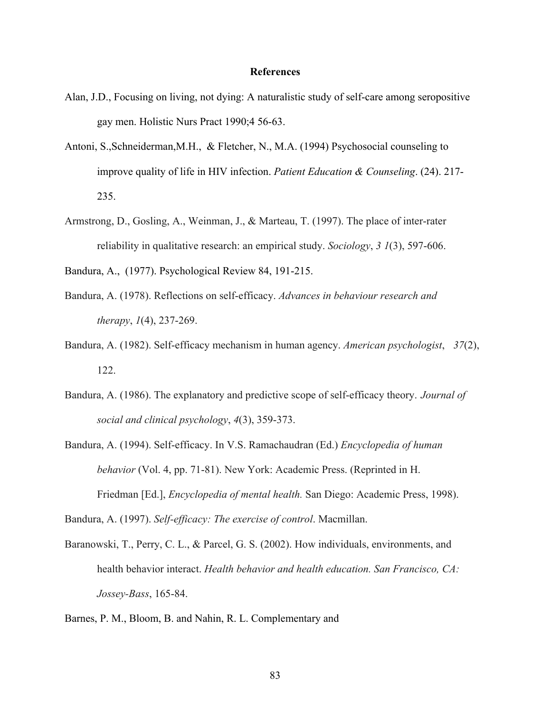#### **References**

- Alan, J.D., Focusing on living, not dying: A naturalistic study of self-care among seropositive gay men. Holistic Nurs Pract 1990;4 56-63.
- Antoni, S.,Schneiderman,M.H., & Fletcher, N., M.A. (1994) Psychosocial counseling to improve quality of life in HIV infection. *Patient Education & Counseling*. (24). 217- 235.
- Armstrong, D., Gosling, A., Weinman, J., & Marteau, T. (1997). The place of inter-rater reliability in qualitative research: an empirical study. *Sociology*, *3 1*(3), 597-606.
- Bandura, A., (1977). Psychological Review 84, 191-215.
- Bandura, A. (1978). Reflections on self-efficacy. *Advances in behaviour research and therapy*, *1*(4), 237-269.
- Bandura, A. (1982). Self-efficacy mechanism in human agency. *American psychologist*, *37*(2), 122.
- Bandura, A. (1986). The explanatory and predictive scope of self-efficacy theory. *Journal of social and clinical psychology*, *4*(3), 359-373.
- Bandura, A. (1994). Self-efficacy. In V.S. Ramachaudran (Ed.) *Encyclopedia of human behavior* (Vol. 4, pp. 71-81). New York: Academic Press. (Reprinted in H. Friedman [Ed.], *Encyclopedia of mental health.* San Diego: Academic Press, 1998).

Bandura, A. (1997). *Self-efficacy: The exercise of control*. Macmillan.

- Baranowski, T., Perry, C. L., & Parcel, G. S. (2002). How individuals, environments, and health behavior interact. *Health behavior and health education. San Francisco, CA: Jossey-Bass*, 165-84.
- Barnes, P. M., Bloom, B. and Nahin, R. L. Complementary and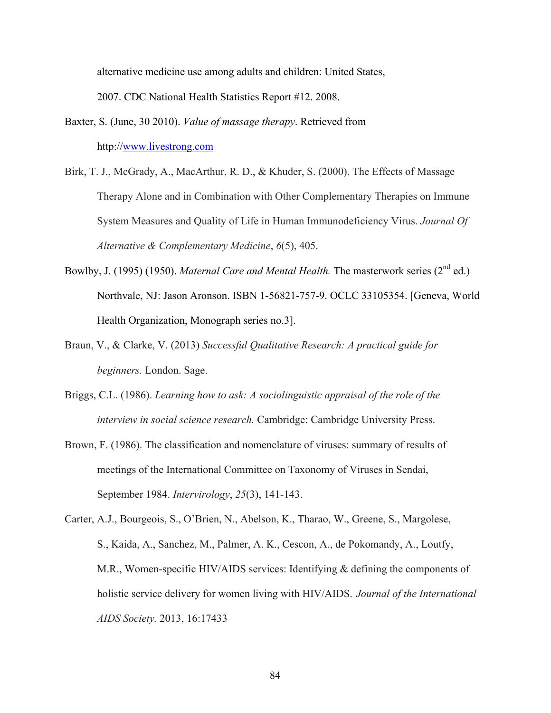alternative medicine use among adults and children: United States,

2007. CDC National Health Statistics Report #12. 2008.

- Baxter, S. (June, 30 2010). *Value of massage therapy*. Retrieved from http://www.livestrong.com
- Birk, T. J., McGrady, A., MacArthur, R. D., & Khuder, S. (2000). The Effects of Massage Therapy Alone and in Combination with Other Complementary Therapies on Immune System Measures and Quality of Life in Human Immunodeficiency Virus. *Journal Of Alternative & Complementary Medicine*, *6*(5), 405.
- Bowlby, J. (1995) (1950). *Maternal Care and Mental Health*. The masterwork series (2<sup>nd</sup> ed.) Northvale, NJ: Jason Aronson. ISBN 1-56821-757-9. OCLC 33105354. [Geneva, World Health Organization, Monograph series no.3].
- Braun, V., & Clarke, V. (2013) *Successful Qualitative Research: A practical guide for beginners.* London. Sage.
- Briggs, C.L. (1986). *Learning how to ask: A sociolinguistic appraisal of the role of the interview in social science research.* Cambridge: Cambridge University Press.
- Brown, F. (1986). The classification and nomenclature of viruses: summary of results of meetings of the International Committee on Taxonomy of Viruses in Sendai, September 1984. *Intervirology*, *25*(3), 141-143.
- Carter, A.J., Bourgeois, S., O'Brien, N., Abelson, K., Tharao, W., Greene, S., Margolese, S., Kaida, A., Sanchez, M., Palmer, A. K., Cescon, A., de Pokomandy, A., Loutfy, M.R., Women-specific HIV/AIDS services: Identifying & defining the components of holistic service delivery for women living with HIV/AIDS. *Journal of the International AIDS Society.* 2013, 16:17433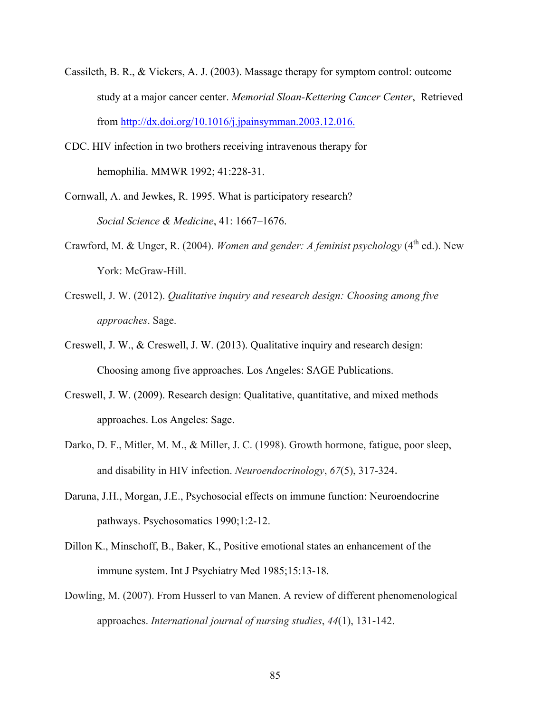- Cassileth, B. R., & Vickers, A. J. (2003). Massage therapy for symptom control: outcome study at a major cancer center. *Memorial Sloan-Kettering Cancer Center*, Retrieved from http://dx.doi.org/10.1016/j.jpainsymman.2003.12.016.
- CDC. HIV infection in two brothers receiving intravenous therapy for hemophilia. MMWR 1992; 41:228-31.
- Cornwall, A. and Jewkes, R. 1995. What is participatory research? *Social Science & Medicine*, 41: 1667–1676.
- Crawford, M. & Unger, R. (2004). *Women and gender: A feminist psychology* ( $4<sup>th</sup>$  ed.). New York: McGraw-Hill.
- Creswell, J. W. (2012). *Qualitative inquiry and research design: Choosing among five approaches*. Sage.
- Creswell, J. W., & Creswell, J. W. (2013). Qualitative inquiry and research design: Choosing among five approaches. Los Angeles: SAGE Publications.
- Creswell, J. W. (2009). Research design: Qualitative, quantitative, and mixed methods approaches. Los Angeles: Sage.
- Darko, D. F., Mitler, M. M., & Miller, J. C. (1998). Growth hormone, fatigue, poor sleep, and disability in HIV infection. *Neuroendocrinology*, *67*(5), 317-324.
- Daruna, J.H., Morgan, J.E., Psychosocial effects on immune function: Neuroendocrine pathways. Psychosomatics 1990;1:2-12.
- Dillon K., Minschoff, B., Baker, K., Positive emotional states an enhancement of the immune system. Int J Psychiatry Med 1985;15:13-18.
- Dowling, M. (2007). From Husserl to van Manen. A review of different phenomenological approaches. *International journal of nursing studies*, *44*(1), 131-142.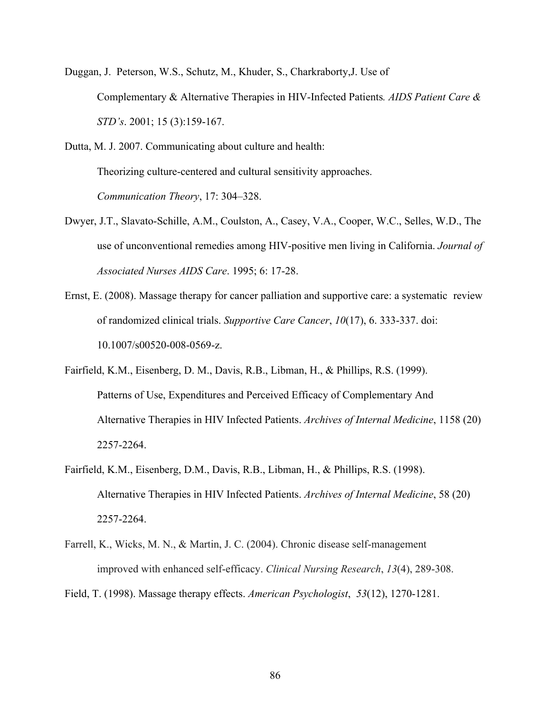Duggan, J. Peterson, W.S., Schutz, M., Khuder, S., Charkraborty,J. Use of Complementary & Alternative Therapies in HIV-Infected Patients*. AIDS Patient Care & STD's*. 2001; 15 (3):159-167.

Dutta, M. J. 2007. Communicating about culture and health: Theorizing culture-centered and cultural sensitivity approaches. *Communication Theory*, 17: 304–328.

- Dwyer, J.T., Slavato-Schille, A.M., Coulston, A., Casey, V.A., Cooper, W.C., Selles, W.D., The use of unconventional remedies among HIV-positive men living in California. *Journal of Associated Nurses AIDS Care*. 1995; 6: 17-28.
- Ernst, E. (2008). Massage therapy for cancer palliation and supportive care: a systematic review of randomized clinical trials. *Supportive Care Cancer*, *10*(17), 6. 333-337. doi: 10.1007/s00520-008-0569-z.
- Fairfield, K.M., Eisenberg, D. M., Davis, R.B., Libman, H., & Phillips, R.S. (1999). Patterns of Use, Expenditures and Perceived Efficacy of Complementary And Alternative Therapies in HIV Infected Patients. *Archives of Internal Medicine*, 1158 (20) 2257-2264.
- Fairfield, K.M., Eisenberg, D.M., Davis, R.B., Libman, H., & Phillips, R.S. (1998). Alternative Therapies in HIV Infected Patients. *Archives of Internal Medicine*, 58 (20) 2257-2264.
- Farrell, K., Wicks, M. N., & Martin, J. C. (2004). Chronic disease self-management improved with enhanced self-efficacy. *Clinical Nursing Research*, *13*(4), 289-308.

Field, T. (1998). Massage therapy effects. *American Psychologist*, *53*(12), 1270-1281.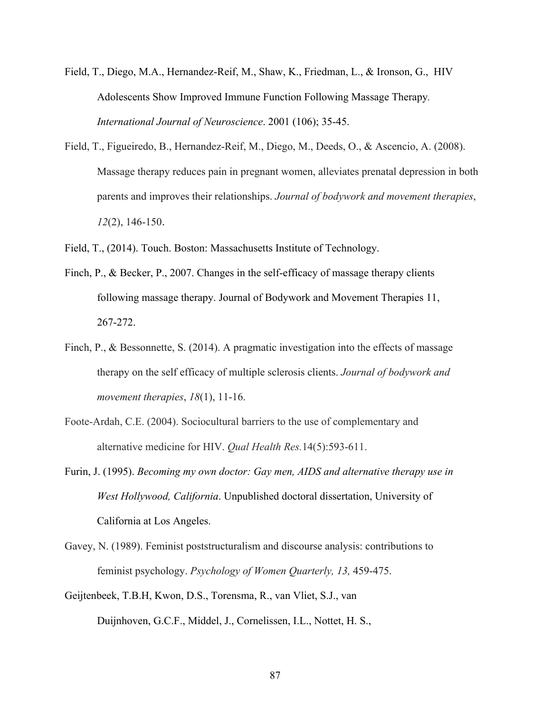- Field, T., Diego, M.A., Hernandez-Reif, M., Shaw, K., Friedman, L., & Ironson, G., HIV Adolescents Show Improved Immune Function Following Massage Therapy*. International Journal of Neuroscience*. 2001 (106); 35-45.
- Field, T., Figueiredo, B., Hernandez-Reif, M., Diego, M., Deeds, O., & Ascencio, A. (2008). Massage therapy reduces pain in pregnant women, alleviates prenatal depression in both parents and improves their relationships. *Journal of bodywork and movement therapies*, *12*(2), 146-150.
- Field, T., (2014). Touch. Boston: Massachusetts Institute of Technology.
- Finch, P., & Becker, P., 2007. Changes in the self-efficacy of massage therapy clients following massage therapy. Journal of Bodywork and Movement Therapies 11, 267-272.
- Finch, P., & Bessonnette, S. (2014). A pragmatic investigation into the effects of massage therapy on the self efficacy of multiple sclerosis clients. *Journal of bodywork and movement therapies*, *18*(1), 11-16.
- Foote-Ardah, C.E. (2004). Sociocultural barriers to the use of complementary and alternative medicine for HIV. *Qual Health Res.*14(5):593-611.
- Furin, J. (1995). *Becoming my own doctor: Gay men, AIDS and alternative therapy use in West Hollywood, California*. Unpublished doctoral dissertation, University of California at Los Angeles.
- Gavey, N. (1989). Feminist poststructuralism and discourse analysis: contributions to feminist psychology. *Psychology of Women Quarterly, 13,* 459-475.
- Geijtenbeek, T.B.H, Kwon, D.S., Torensma, R., van Vliet, S.J., van Duijnhoven, G.C.F., Middel, J., Cornelissen, I.L., Nottet, H. S.,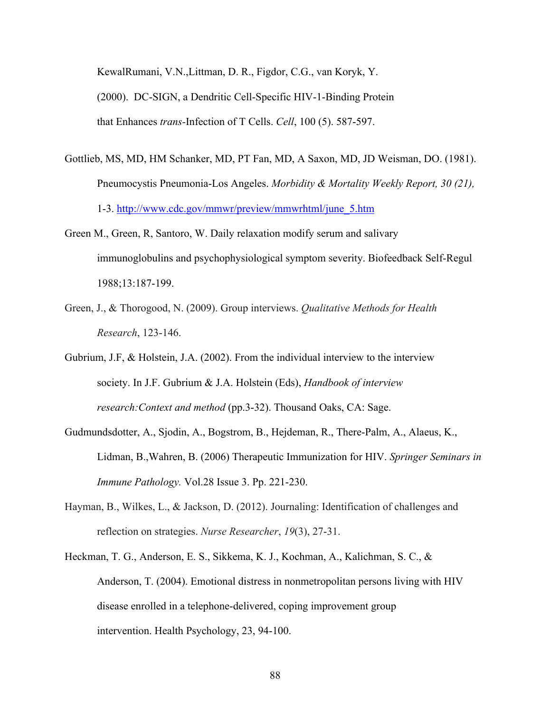KewalRumani, V.N.,Littman, D. R., Figdor, C.G., van Koryk, Y. (2000). DC-SIGN, a Dendritic Cell-Specific HIV-1-Binding Protein that Enhances *trans-*Infection of T Cells. *Cell*, 100 (5). 587-597.

- Gottlieb, MS, MD, HM Schanker, MD, PT Fan, MD, A Saxon, MD, JD Weisman, DO. (1981). Pneumocystis Pneumonia-Los Angeles. *Morbidity & Mortality Weekly Report, 30 (21),*  1-3. http://www.cdc.gov/mmwr/preview/mmwrhtml/june\_5.htm
- Green M., Green, R, Santoro, W. Daily relaxation modify serum and salivary immunoglobulins and psychophysiological symptom severity. Biofeedback Self-Regul 1988;13:187-199.
- Green, J., & Thorogood, N. (2009). Group interviews. *Qualitative Methods for Health Research*, 123-146.
- Gubrium, J.F, & Holstein, J.A. (2002). From the individual interview to the interview society. In J.F. Gubrium & J.A. Holstein (Eds), *Handbook of interview research:Context and method* (pp.3-32). Thousand Oaks, CA: Sage.
- Gudmundsdotter, A., Sjodin, A., Bogstrom, B., Hejdeman, R., There-Palm, A., Alaeus, K., Lidman, B.,Wahren, B. (2006) Therapeutic Immunization for HIV. *Springer Seminars in Immune Pathology.* Vol.28 Issue 3. Pp. 221-230.
- Hayman, B., Wilkes, L., & Jackson, D. (2012). Journaling: Identification of challenges and reflection on strategies. *Nurse Researcher*, *19*(3), 27-31.
- Heckman, T. G., Anderson, E. S., Sikkema, K. J., Kochman, A., Kalichman, S. C., & Anderson, T. (2004). Emotional distress in nonmetropolitan persons living with HIV disease enrolled in a telephone-delivered, coping improvement group intervention. Health Psychology, 23, 94-100.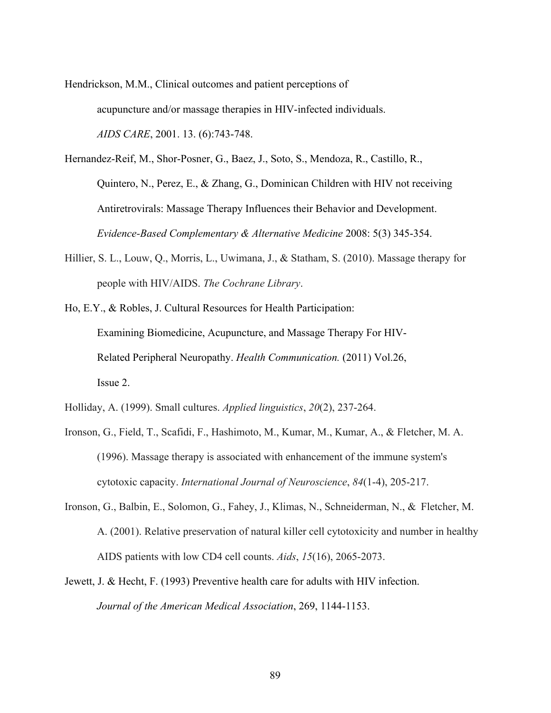Hendrickson, M.M., Clinical outcomes and patient perceptions of acupuncture and/or massage therapies in HIV-infected individuals. *AIDS CARE*, 2001. 13. (6):743-748.

Hernandez-Reif, M., Shor-Posner, G., Baez, J., Soto, S., Mendoza, R., Castillo, R., Quintero, N., Perez, E., & Zhang, G., Dominican Children with HIV not receiving Antiretrovirals: Massage Therapy Influences their Behavior and Development. *Evidence-Based Complementary & Alternative Medicine* 2008: 5(3) 345-354.

- Hillier, S. L., Louw, Q., Morris, L., Uwimana, J., & Statham, S. (2010). Massage therapy for people with HIV/AIDS. *The Cochrane Library*.
- Ho, E.Y., & Robles, J. Cultural Resources for Health Participation: Examining Biomedicine, Acupuncture, and Massage Therapy For HIV-Related Peripheral Neuropathy. *Health Communication.* (2011) Vol.26, Issue 2.
- Holliday, A. (1999). Small cultures. *Applied linguistics*, *20*(2), 237-264.
- Ironson, G., Field, T., Scafidi, F., Hashimoto, M., Kumar, M., Kumar, A., & Fletcher, M. A. (1996). Massage therapy is associated with enhancement of the immune system's cytotoxic capacity. *International Journal of Neuroscience*, *84*(1-4), 205-217.
- Ironson, G., Balbin, E., Solomon, G., Fahey, J., Klimas, N., Schneiderman, N., & Fletcher, M. A. (2001). Relative preservation of natural killer cell cytotoxicity and number in healthy AIDS patients with low CD4 cell counts. *Aids*, *15*(16), 2065-2073.
- Jewett, J. & Hecht, F. (1993) Preventive health care for adults with HIV infection. *Journal of the American Medical Association*, 269, 1144-1153.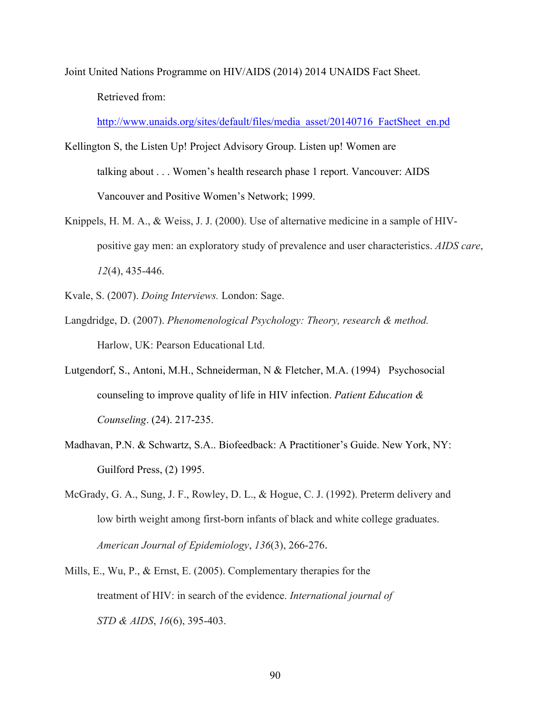Joint United Nations Programme on HIV/AIDS (2014) 2014 UNAIDS Fact Sheet. Retrieved from:

http://www.unaids.org/sites/default/files/media\_asset/20140716\_FactSheet\_en.pd

- Kellington S, the Listen Up! Project Advisory Group. Listen up! Women are talking about . . . Women's health research phase 1 report. Vancouver: AIDS Vancouver and Positive Women's Network; 1999.
- Knippels, H. M. A., & Weiss, J. J. (2000). Use of alternative medicine in a sample of HIVpositive gay men: an exploratory study of prevalence and user characteristics. *AIDS care*, *12*(4), 435-446.

Kvale, S. (2007). *Doing Interviews.* London: Sage.

- Langdridge, D. (2007). *Phenomenological Psychology: Theory, research & method.*  Harlow, UK: Pearson Educational Ltd.
- Lutgendorf, S., Antoni, M.H., Schneiderman, N & Fletcher, M.A. (1994) Psychosocial counseling to improve quality of life in HIV infection. *Patient Education & Counseling*. (24). 217-235.
- Madhavan, P.N. & Schwartz, S.A.. Biofeedback: A Practitioner's Guide. New York, NY: Guilford Press, (2) 1995.
- McGrady, G. A., Sung, J. F., Rowley, D. L., & Hogue, C. J. (1992). Preterm delivery and low birth weight among first-born infants of black and white college graduates. *American Journal of Epidemiology*, *136*(3), 266-276.
- Mills, E., Wu, P., & Ernst, E. (2005). Complementary therapies for the treatment of HIV: in search of the evidence. *International journal of STD & AIDS*, *16*(6), 395-403.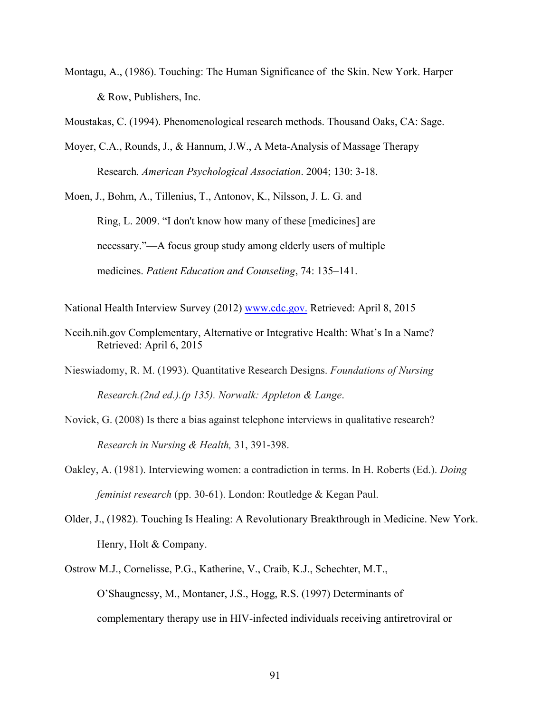Montagu, A., (1986). Touching: The Human Significance of the Skin. New York. Harper & Row, Publishers, Inc.

Moustakas, C. (1994). Phenomenological research methods. Thousand Oaks, CA: Sage.

Moyer, C.A., Rounds, J., & Hannum, J.W., A Meta-Analysis of Massage Therapy Research*. American Psychological Association*. 2004; 130: 3-18.

Moen, J., Bohm, A., Tillenius, T., Antonov, K., Nilsson, J. L. G. and

Ring, L. 2009. "I don't know how many of these [medicines] are necessary."—A focus group study among elderly users of multiple medicines. *Patient Education and Counseling*, 74: 135–141.

National Health Interview Survey (2012) www.cdc.gov. Retrieved: April 8, 2015

- Nccih.nih.gov Complementary, Alternative or Integrative Health: What's In a Name? Retrieved: April 6, 2015
- Nieswiadomy, R. M. (1993). Quantitative Research Designs. *Foundations of Nursing Research.(2nd ed.).(p 135). Norwalk: Appleton & Lange*.
- Novick, G. (2008) Is there a bias against telephone interviews in qualitative research? *Research in Nursing & Health,* 31, 391-398.
- Oakley, A. (1981). Interviewing women: a contradiction in terms. In H. Roberts (Ed.). *Doing feminist research* (pp. 30-61). London: Routledge & Kegan Paul.
- Older, J., (1982). Touching Is Healing: A Revolutionary Breakthrough in Medicine. New York. Henry, Holt & Company.
- Ostrow M.J., Cornelisse, P.G., Katherine, V., Craib, K.J., Schechter, M.T., O'Shaugnessy, M., Montaner, J.S., Hogg, R.S. (1997) Determinants of complementary therapy use in HIV-infected individuals receiving antiretroviral or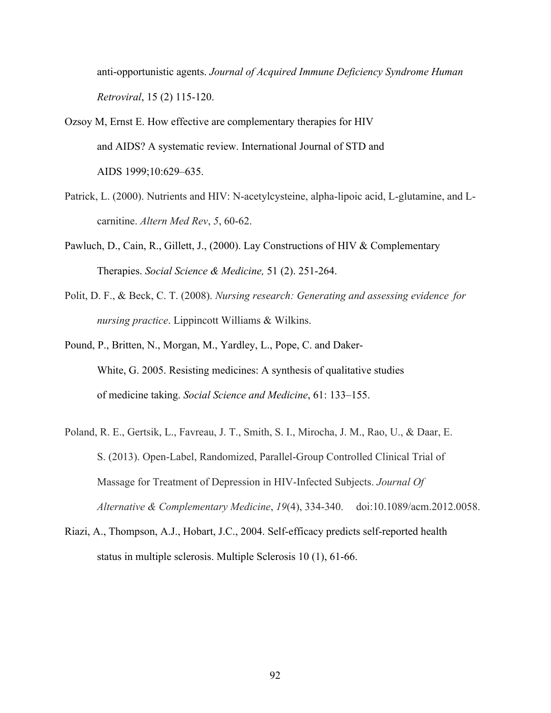anti-opportunistic agents. *Journal of Acquired Immune Deficiency Syndrome Human Retroviral*, 15 (2) 115-120.

- Ozsoy M, Ernst E. How effective are complementary therapies for HIV and AIDS? A systematic review. International Journal of STD and AIDS 1999;10:629–635.
- Patrick, L. (2000). Nutrients and HIV: N-acetylcysteine, alpha-lipoic acid, L-glutamine, and Lcarnitine. *Altern Med Rev*, *5*, 60-62.
- Pawluch, D., Cain, R., Gillett, J., (2000). Lay Constructions of HIV & Complementary Therapies. *Social Science & Medicine,* 51 (2). 251-264.
- Polit, D. F., & Beck, C. T. (2008). *Nursing research: Generating and assessing evidence for nursing practice*. Lippincott Williams & Wilkins.
- Pound, P., Britten, N., Morgan, M., Yardley, L., Pope, C. and Daker-White, G. 2005. Resisting medicines: A synthesis of qualitative studies of medicine taking. *Social Science and Medicine*, 61: 133–155.
- Poland, R. E., Gertsik, L., Favreau, J. T., Smith, S. I., Mirocha, J. M., Rao, U., & Daar, E. S. (2013). Open-Label, Randomized, Parallel-Group Controlled Clinical Trial of Massage for Treatment of Depression in HIV-Infected Subjects. *Journal Of Alternative & Complementary Medicine*, *19*(4), 334-340. doi:10.1089/acm.2012.0058.
- Riazi, A., Thompson, A.J., Hobart, J.C., 2004. Self-efficacy predicts self-reported health status in multiple sclerosis. Multiple Sclerosis 10 (1), 61-66.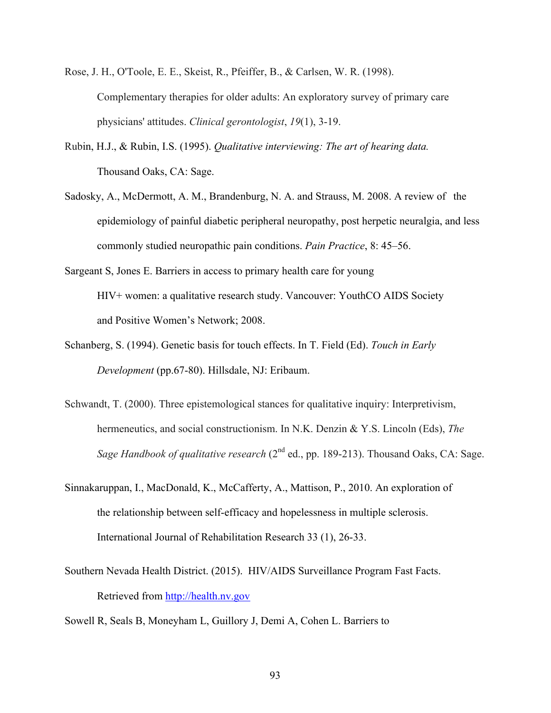- Rose, J. H., O'Toole, E. E., Skeist, R., Pfeiffer, B., & Carlsen, W. R. (1998). Complementary therapies for older adults: An exploratory survey of primary care physicians' attitudes. *Clinical gerontologist*, *19*(1), 3-19.
- Rubin, H.J., & Rubin, I.S. (1995). *Qualitative interviewing: The art of hearing data.*  Thousand Oaks, CA: Sage.
- Sadosky, A., McDermott, A. M., Brandenburg, N. A. and Strauss, M. 2008. A review of the epidemiology of painful diabetic peripheral neuropathy, post herpetic neuralgia, and less commonly studied neuropathic pain conditions. *Pain Practice*, 8: 45–56.
- Sargeant S, Jones E. Barriers in access to primary health care for young HIV+ women: a qualitative research study. Vancouver: YouthCO AIDS Society and Positive Women's Network; 2008.
- Schanberg, S. (1994). Genetic basis for touch effects. In T. Field (Ed). *Touch in Early Development* (pp.67-80). Hillsdale, NJ: Eribaum.
- Schwandt, T. (2000). Three epistemological stances for qualitative inquiry: Interpretivism, hermeneutics, and social constructionism. In N.K. Denzin & Y.S. Lincoln (Eds), *The Sage Handbook of qualitative research* (2<sup>nd</sup> ed., pp. 189-213). Thousand Oaks, CA: Sage.
- Sinnakaruppan, I., MacDonald, K., McCafferty, A., Mattison, P., 2010. An exploration of the relationship between self-efficacy and hopelessness in multiple sclerosis. International Journal of Rehabilitation Research 33 (1), 26-33.
- Southern Nevada Health District. (2015). HIV/AIDS Surveillance Program Fast Facts. Retrieved from http://health.nv.gov
- Sowell R, Seals B, Moneyham L, Guillory J, Demi A, Cohen L. Barriers to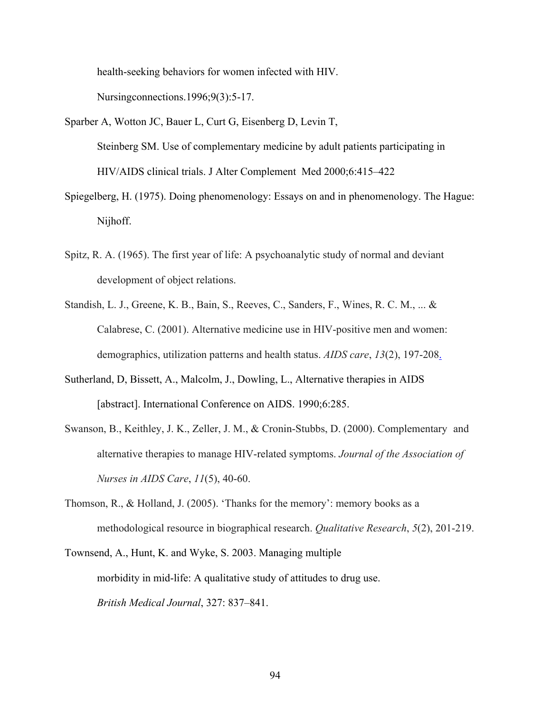health-seeking behaviors for women infected with HIV.

Nursingconnections.1996;9(3):5-17.

- Sparber A, Wotton JC, Bauer L, Curt G, Eisenberg D, Levin T, Steinberg SM. Use of complementary medicine by adult patients participating in HIV/AIDS clinical trials. J Alter Complement Med 2000;6:415–422
- Spiegelberg, H. (1975). Doing phenomenology: Essays on and in phenomenology. The Hague: Nijhoff.
- Spitz, R. A. (1965). The first year of life: A psychoanalytic study of normal and deviant development of object relations.
- Standish, L. J., Greene, K. B., Bain, S., Reeves, C., Sanders, F., Wines, R. C. M., ... & Calabrese, C. (2001). Alternative medicine use in HIV-positive men and women: demographics, utilization patterns and health status. *AIDS care*, *13*(2), 197-208.
- Sutherland, D, Bissett, A., Malcolm, J., Dowling, L., Alternative therapies in AIDS [abstract]. International Conference on AIDS. 1990;6:285.
- Swanson, B., Keithley, J. K., Zeller, J. M., & Cronin-Stubbs, D. (2000). Complementary and alternative therapies to manage HIV-related symptoms. *Journal of the Association of Nurses in AIDS Care*, *11*(5), 40-60.
- Thomson, R., & Holland, J. (2005). 'Thanks for the memory': memory books as a methodological resource in biographical research. *Qualitative Research*, *5*(2), 201-219.
- Townsend, A., Hunt, K. and Wyke, S. 2003. Managing multiple morbidity in mid-life: A qualitative study of attitudes to drug use. *British Medical Journal*, 327: 837–841.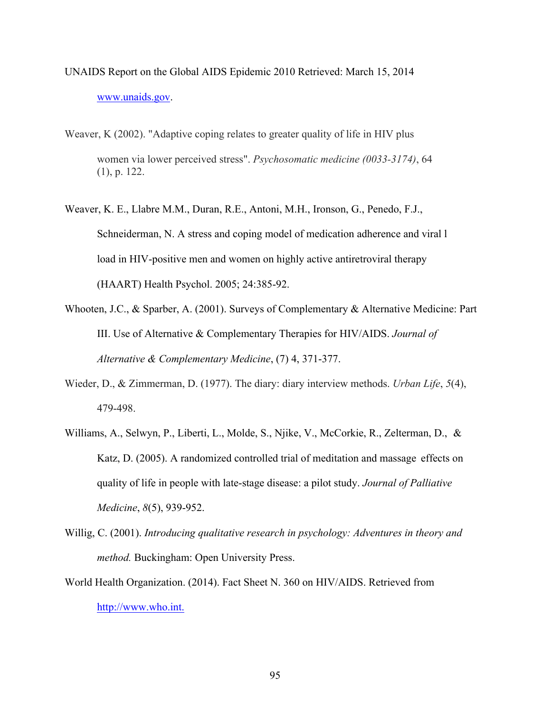- UNAIDS Report on the Global AIDS Epidemic 2010 Retrieved: March 15, 2014 www.unaids.gov.
- Weaver, K (2002). "Adaptive coping relates to greater quality of life in HIV plus women via lower perceived stress". *Psychosomatic medicine (0033-3174)*, 64 (1), p. 122.
- Weaver, K. E., Llabre M.M., Duran, R.E., Antoni, M.H., Ironson, G., Penedo, F.J., Schneiderman, N. A stress and coping model of medication adherence and viral l load in HIV-positive men and women on highly active antiretroviral therapy (HAART) Health Psychol. 2005; 24:385-92.
- Whooten, J.C., & Sparber, A. (2001). Surveys of Complementary & Alternative Medicine: Part III. Use of Alternative & Complementary Therapies for HIV/AIDS. *Journal of Alternative & Complementary Medicine*, (7) 4, 371-377.
- Wieder, D., & Zimmerman, D. (1977). The diary: diary interview methods. *Urban Life*, *5*(4), 479-498.
- Williams, A., Selwyn, P., Liberti, L., Molde, S., Njike, V., McCorkie, R., Zelterman, D., & Katz, D. (2005). A randomized controlled trial of meditation and massage effects on quality of life in people with late-stage disease: a pilot study. *Journal of Palliative Medicine*, *8*(5), 939-952.
- Willig, C. (2001). *Introducing qualitative research in psychology: Adventures in theory and method.* Buckingham: Open University Press.
- World Health Organization. (2014). Fact Sheet N. 360 on HIV/AIDS. Retrieved from http://www.who.int.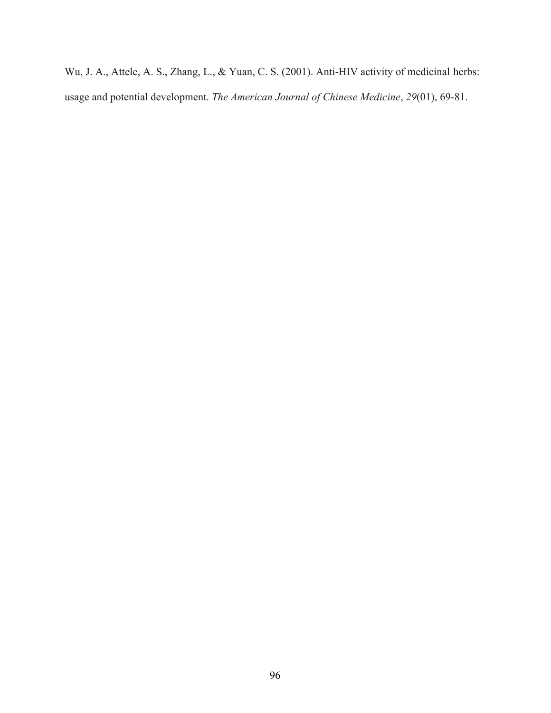Wu, J. A., Attele, A. S., Zhang, L., & Yuan, C. S. (2001). Anti-HIV activity of medicinal herbs: usage and potential development. *The American Journal of Chinese Medicine*, *29*(01), 69-81.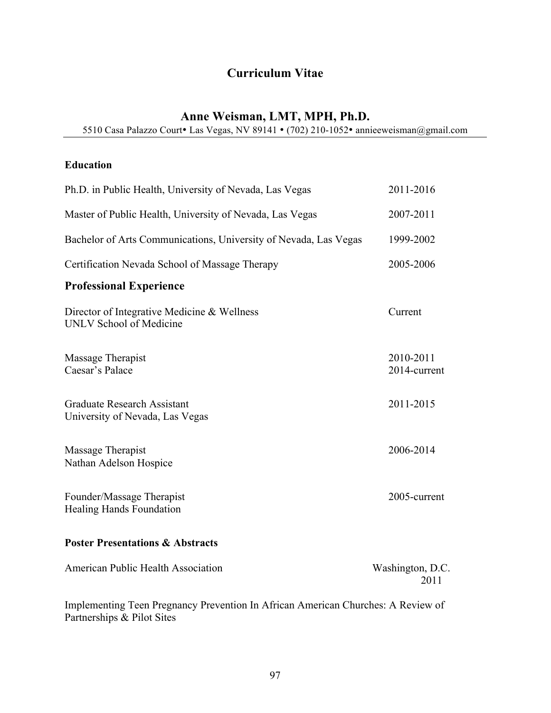# **Curriculum Vitae**

# **Anne Weisman, LMT, MPH, Ph.D.**

5510 Casa Palazzo Court• Las Vegas, NV 89141 • (702) 210-1052• annieeweisman@gmail.com

## **Education**

| Ph.D. in Public Health, University of Nevada, Las Vegas                | 2011-2016                 |
|------------------------------------------------------------------------|---------------------------|
| Master of Public Health, University of Nevada, Las Vegas               | 2007-2011                 |
| Bachelor of Arts Communications, University of Nevada, Las Vegas       | 1999-2002                 |
| Certification Nevada School of Massage Therapy                         | 2005-2006                 |
| <b>Professional Experience</b>                                         |                           |
| Director of Integrative Medicine & Wellness<br>UNLV School of Medicine | Current                   |
| Massage Therapist<br>Caesar's Palace                                   | 2010-2011<br>2014-current |
| <b>Graduate Research Assistant</b><br>University of Nevada, Las Vegas  | 2011-2015                 |
| Massage Therapist<br>Nathan Adelson Hospice                            | 2006-2014                 |
| Founder/Massage Therapist<br><b>Healing Hands Foundation</b>           | 2005-current              |
| <b>Poster Presentations &amp; Abstracts</b>                            |                           |
| American Public Health Association                                     | Washington, D.C.          |

|                                                                                  | 2011 |
|----------------------------------------------------------------------------------|------|
| Implementing Teen Pregnancy Prevention In African American Churches: A Review of |      |
| Partnerships & Pilot Sites                                                       |      |